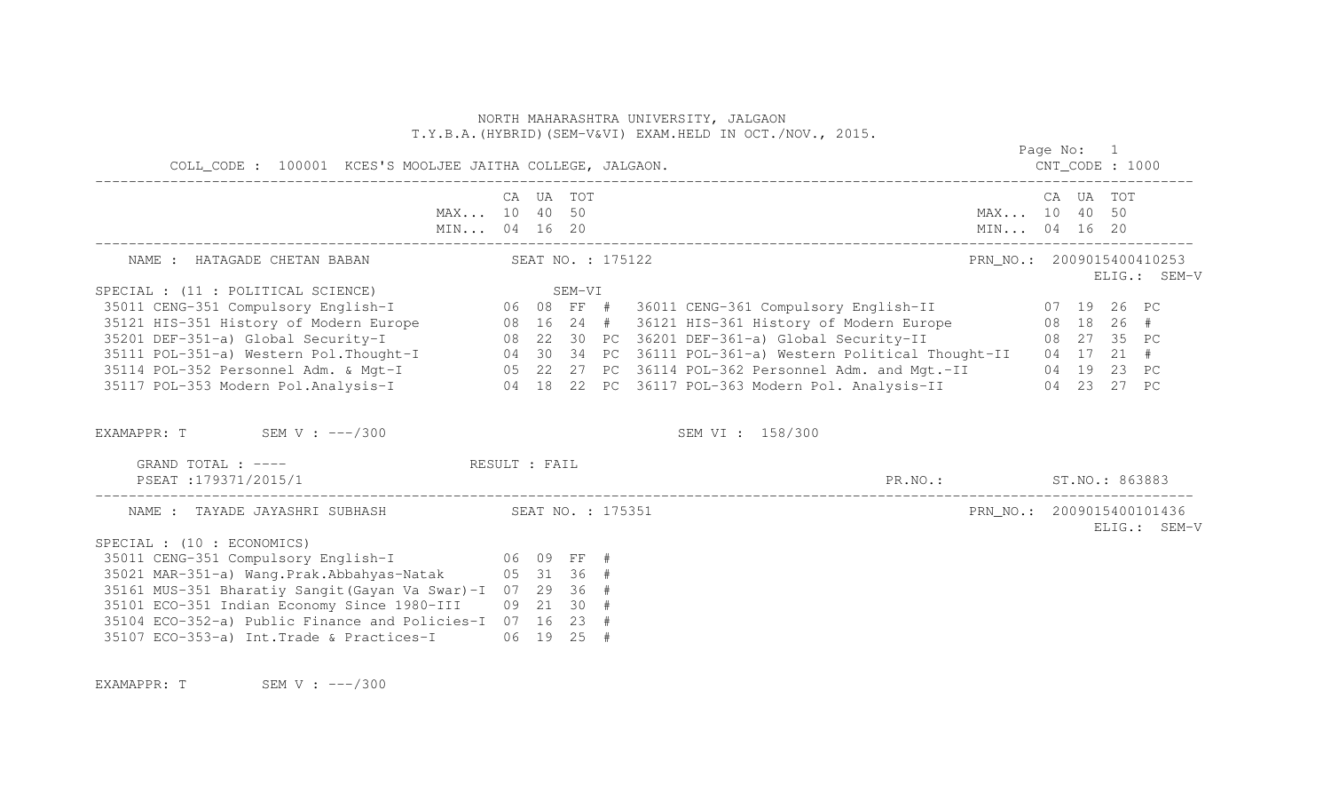|                                                                                                                                                                                                                                                                                                                                                                                                                                                        |                              |  |                   | NORTH MAHARASHTRA UNIVERSITY, JALGAON<br>T.Y.B.A. (HYBRID) (SEM-V&VI) EXAM. HELD IN OCT./NOV., 2015. |                           |            |           |              |
|--------------------------------------------------------------------------------------------------------------------------------------------------------------------------------------------------------------------------------------------------------------------------------------------------------------------------------------------------------------------------------------------------------------------------------------------------------|------------------------------|--|-------------------|------------------------------------------------------------------------------------------------------|---------------------------|------------|-----------|--------------|
|                                                                                                                                                                                                                                                                                                                                                                                                                                                        |                              |  |                   |                                                                                                      |                           | Page No: 1 |           |              |
|                                                                                                                                                                                                                                                                                                                                                                                                                                                        | MAX 10 40 50<br>MIN 04 16 20 |  | CA UA TOT         | MIN 04 16 20                                                                                         | MAX 10 40 50              |            | CA UA TOT |              |
| NAME : HATAGADE CHETAN BABAN                                                                                                                                                                                                                                                                                                                                                                                                                           |                              |  | SEAT NO. : 175122 |                                                                                                      | PRN NO.: 2009015400410253 |            |           | ELIG.: SEM-V |
| SPECIAL : (11 : POLITICAL SCIENCE)<br>SPECIAL : (11 : POLITICAL SCIENCE)            SEM-VI<br>35011 CENG-351 Compulsory English-I       06 08 FF #  36011 CENG-361 Compulsory English-II       07 19 26 PC<br>35121 HIS-351 History of Modern Europe<br>35201 DEF-351-a) Global Security-I<br>35111 POL-351-a) Western Pol.Thought-I<br>35111 POL-351-a) Western Pol.Thought-I<br>35114 POL-352 Personnel Adm. & Mgt-I<br>35117 POL-353 Modern Pol.Ana |                              |  |                   |                                                                                                      |                           |            |           |              |
| EXAMAPPR: $T$ SEM V: $---/300$<br>GRAND TOTAL : ----<br>PSEAT :179371/2015/1                                                                                                                                                                                                                                                                                                                                                                           | RESULT : FAIL                |  |                   | SEM VI : 158/300<br>PR.NO.: ST.NO.: 863883                                                           |                           |            |           |              |
| SPECIAL : (10 : ECONOMICS)<br>35011 CENG-351 Compulsory English-I 06 09 FF #<br>35021 MAR-351-a) Wang. Prak. Abbahyas-Natak 05 31 36 #<br>35161 MUS-351 Bharatiy Sangit (Gayan Va Swar)-I 07 29 36 #<br>35101 ECO-351 Indian Economy Since 1980-III 09 21 30 #<br>35104 ECO-352-a) Public Finance and Policies-I 07 16 23 #<br>35107 ECO-353-a) Int. Trade & Practices-I 06 19 25 #                                                                    |                              |  |                   |                                                                                                      | PRN_NO.: 2009015400101436 |            |           | ELIG.: SEM-V |

EXAMAPPR: T SEM V : ---/300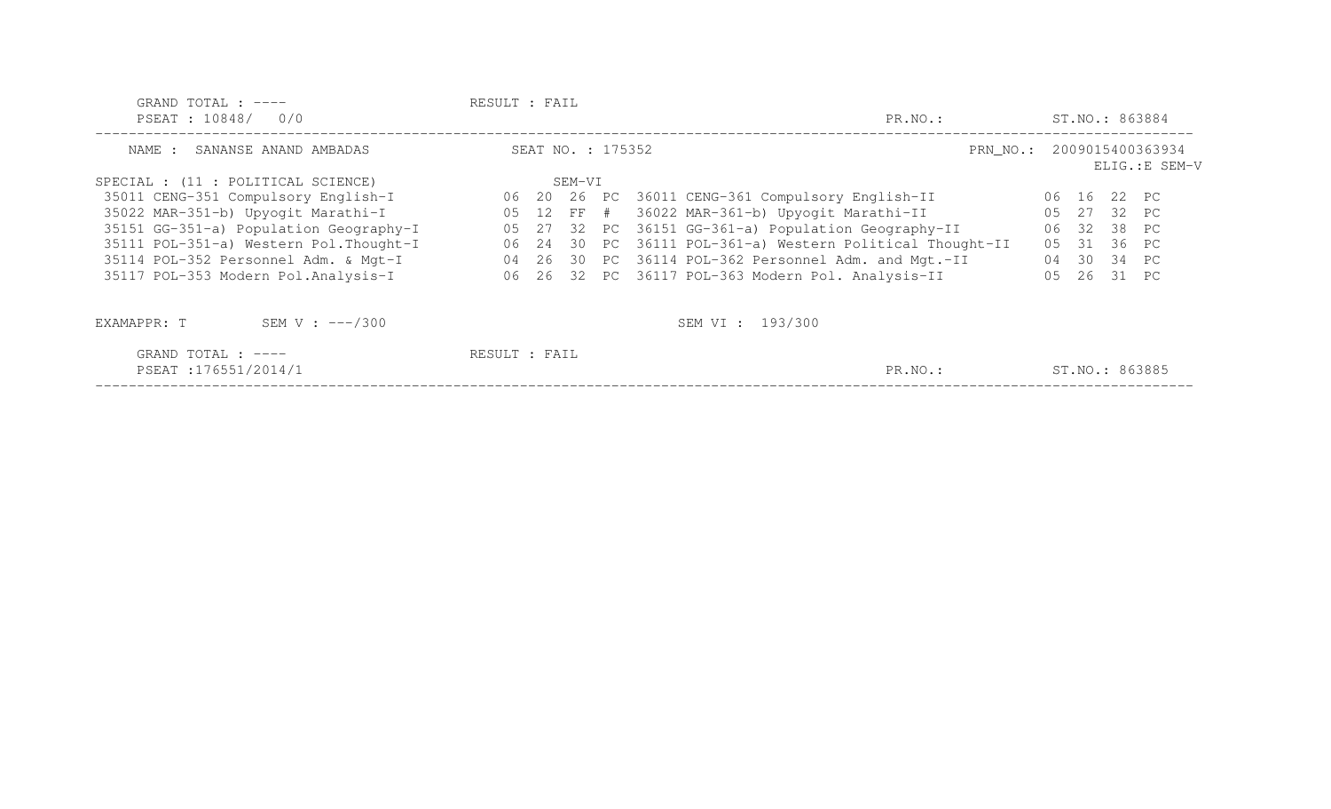| GRAND TOTAL : ----<br>PSEAT: 10848/ 0/0      | RESULT : FAIL     | ST.NO.: 863884                                            |                                             |
|----------------------------------------------|-------------------|-----------------------------------------------------------|---------------------------------------------|
| SANANSE ANAND AMBADAS<br>NAME :              | SEAT NO. : 175352 |                                                           | PRN_NO.: 2009015400363934<br>ELIG.: E SEM-V |
| SPECIAL : (11 : POLITICAL SCIENCE)           | SEM-VI            |                                                           |                                             |
| 35011 CENG-351 Compulsory English-I          |                   | 06 20 26 PC 36011 CENG-361 Compulsory English-II          | 06 16 22 PC                                 |
| 35022 MAR-351-b) Upyogit Marathi-I           |                   | 05 12 FF # 36022 MAR-361-b) Upyogit Marathi-II            | 05 27 32 PC                                 |
| 35151 GG-351-a) Population Geography-I       |                   | 05 27 32 PC 36151 GG-361-a) Population Geography-II       | 06 32 38 PC                                 |
| 35111 POL-351-a) Western Pol. Thought-I      |                   | 06 24 30 PC 36111 POL-361-a) Western Political Thought-II | 05 31 36 PC                                 |
| 35114 POL-352 Personnel Adm. & Mgt-I         |                   | 04 26 30 PC 36114 POL-362 Personnel Adm. and Mgt.-II      | 04 30 34 PC                                 |
| 35117 POL-353 Modern Pol.Analysis-I          |                   | 06 26 32 PC 36117 POL-363 Modern Pol. Analysis-II         | 0.5<br>26 31 PC                             |
| SEM V : $---/300$<br>EXAMAPPR: T             |                   | SEM VI : 193/300                                          |                                             |
| GRAND TOTAL : $---$<br>PSEAT : 176551/2014/1 | RESULT : FAIL     | PR.NO.:                                                   | ST.NO.: 863885                              |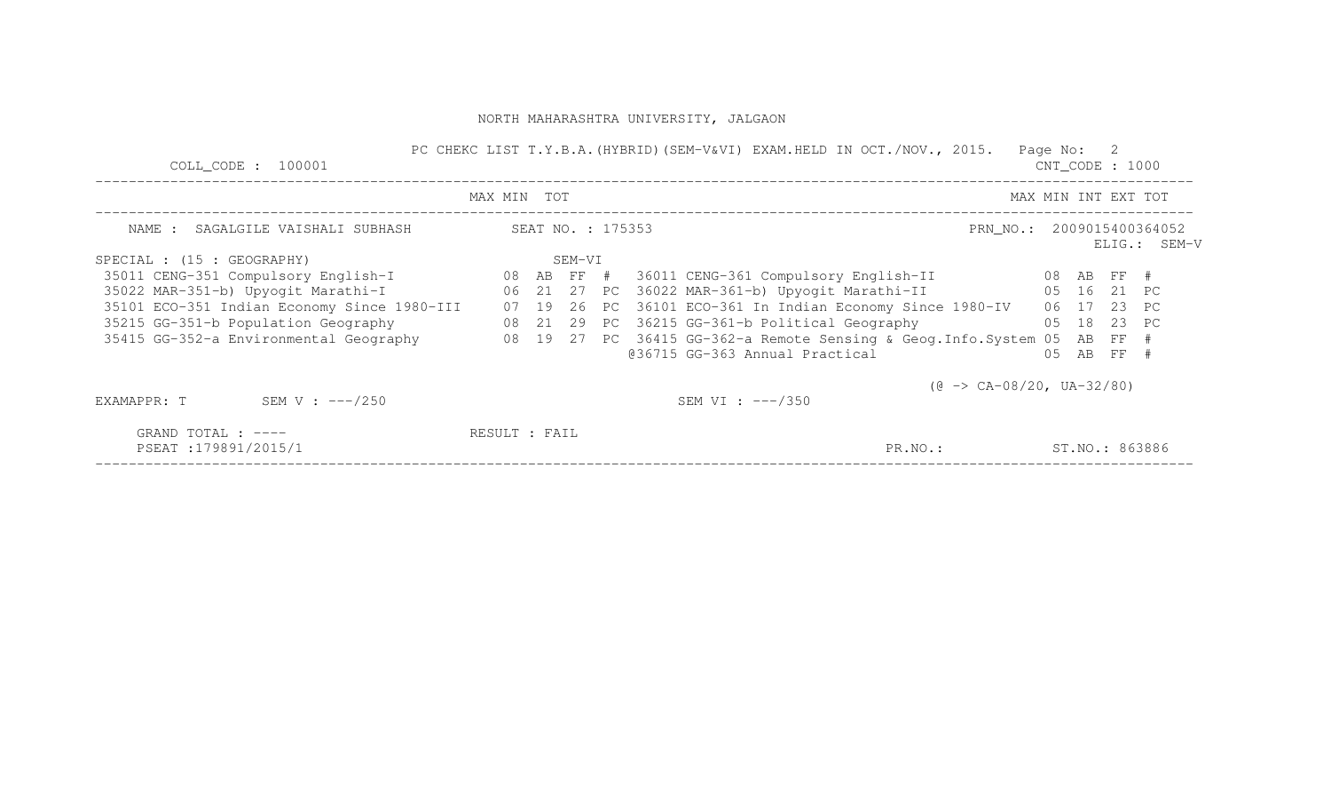| COLL CODE : 100001                             |                                                        |  |        |  |  | PC CHEKC LIST T.Y.B.A. (HYBRID) (SEM-V&VI) EXAM.HELD IN OCT./NOV., 2015. |                                           | Page No: 2          | $CNT\_CODE$ : 1000                                       |                   |  |  |  |
|------------------------------------------------|--------------------------------------------------------|--|--------|--|--|--------------------------------------------------------------------------|-------------------------------------------|---------------------|----------------------------------------------------------|-------------------|--|--|--|
|                                                | MAX MIN TOT                                            |  |        |  |  |                                                                          |                                           | MAX MIN INT EXT TOT |                                                          |                   |  |  |  |
|                                                | SEAT NO. : 175353<br>NAME : SAGALGILE VAISHALI SUBHASH |  |        |  |  |                                                                          |                                           |                     | PRN_NO.: 2009015400364052<br>ELIG.: SEM-V<br>06 17 23 PC |                   |  |  |  |
| SPECIAL : (15 : GEOGRAPHY)                     |                                                        |  | SEM-VI |  |  |                                                                          |                                           |                     |                                                          |                   |  |  |  |
| 35011 CENG-351 Compulsory English-I 08 AB FF # |                                                        |  |        |  |  |                                                                          |                                           |                     |                                                          |                   |  |  |  |
| 35022 MAR-351-b) Upyogit Marathi-I             |                                                        |  |        |  |  | 06 21 27 PC 36022 MAR-361-b) Upyogit Marathi-II 65 16 21 PC              |                                           |                     |                                                          |                   |  |  |  |
| 35101 ECO-351 Indian Economy Since 1980-III    | 07                                                     |  |        |  |  | 19 26 PC 36101 ECO-361 In Indian Economy Since 1980-IV                   |                                           |                     |                                                          |                   |  |  |  |
| 35215 GG-351-b Population Geography            |                                                        |  |        |  |  | 08 21 29 PC 36215 GG-361-b Political Geography                           | 05 18 23 PC                               |                     |                                                          |                   |  |  |  |
| 35415 GG-352-a Environmental Geography         |                                                        |  |        |  |  | 08 19 27 PC 36415 GG-362-a Remote Sensing & Geog.Info.System 05          |                                           |                     |                                                          | AB FF #           |  |  |  |
|                                                |                                                        |  |        |  |  | @36715 GG-363 Annual Practical                                           |                                           | 0.5                 | AB                                                       | $\overline{F}F$ # |  |  |  |
|                                                |                                                        |  |        |  |  |                                                                          | $(\theta \rightarrow CA-08/20, UA-32/80)$ |                     |                                                          |                   |  |  |  |
| SEM V : $---/250$<br>EXAMAPPR: T               |                                                        |  |        |  |  | SEM VI : $---/350$                                                       |                                           |                     |                                                          |                   |  |  |  |
| GRAND TOTAL : $---$                            | RESULT : FAIL                                          |  |        |  |  |                                                                          |                                           |                     |                                                          |                   |  |  |  |
| PSEAT:179891/2015/1                            |                                                        |  |        |  |  |                                                                          | PR.NO.:                                   |                     | ST.NO.: 863886                                           |                   |  |  |  |
|                                                |                                                        |  |        |  |  |                                                                          |                                           |                     |                                                          |                   |  |  |  |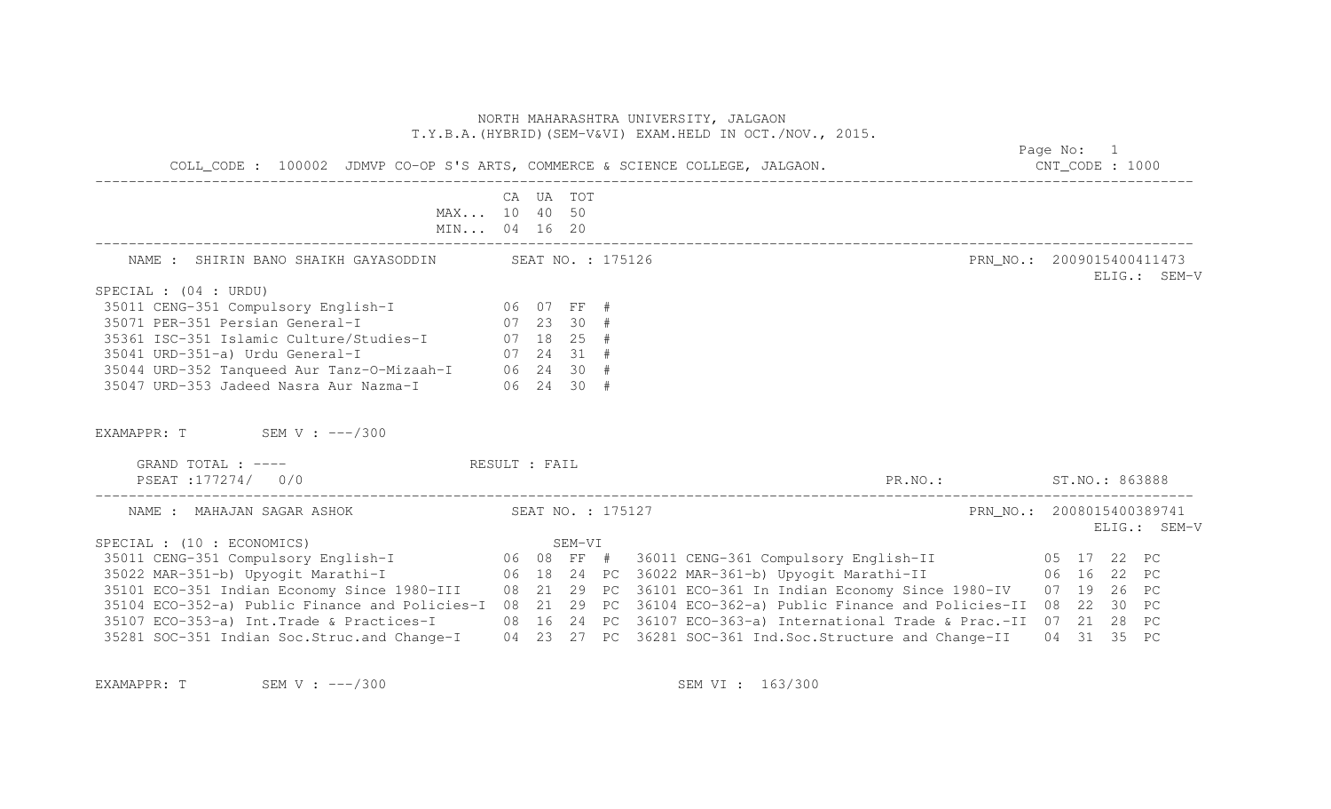|                                                                                                                                                                                                                                                                                                                                              | NORTH MAHARASHTRA UNIVERSITY, JALGAON<br>T.Y.B.A. (HYBRID) (SEM-V&VI) EXAM.HELD IN OCT./NOV., 2015. | Page No: 1        |                                                                                                                            |                                                          |
|----------------------------------------------------------------------------------------------------------------------------------------------------------------------------------------------------------------------------------------------------------------------------------------------------------------------------------------------|-----------------------------------------------------------------------------------------------------|-------------------|----------------------------------------------------------------------------------------------------------------------------|----------------------------------------------------------|
| COLL_CODE : 100002 JDMVP CO-OP S'S ARTS, COMMERCE & SCIENCE COLLEGE, JALGAON.                                                                                                                                                                                                                                                                |                                                                                                     |                   |                                                                                                                            | $CNT\_CODE$ : 1000                                       |
| MAX 10 40 50<br>MIN 04 16 20                                                                                                                                                                                                                                                                                                                 | CA UA TOT                                                                                           |                   |                                                                                                                            |                                                          |
| NAME : SHIRIN BANO SHAIKH GAYASODDIN SEAT NO. : 175126                                                                                                                                                                                                                                                                                       |                                                                                                     |                   |                                                                                                                            | PRN_NO.: 2009015400411473<br>ELIG.: SEM-V                |
| SPECIAL : (04 : URDU)<br>35011 CENG-351 Compulsory English-I 06 07 FF #<br>35071 PER-351 Persian General-I 07 23 30 #<br>35361 ISC-351 Islamic Culture/Studies-I 07 18 25 #<br>35041 URD-351-a) Urdu General-I $07$ 24 31 #<br>35044 URD-352 Tanqueed Aur Tanz-O-Mizaah-I $06$ 24 30 #<br>35047 URD-353 Jadeed Nasra Aur Nazma-I (06 24 30 # |                                                                                                     |                   |                                                                                                                            |                                                          |
| EXAMAPPR: $T$ SEM V: $---/300$                                                                                                                                                                                                                                                                                                               |                                                                                                     |                   |                                                                                                                            |                                                          |
| GRAND TOTAL : ---- RESULT : FAIL<br>PSEAT:177274/ 0/0                                                                                                                                                                                                                                                                                        |                                                                                                     |                   | PR.NO.: ST.NO.: 863888                                                                                                     |                                                          |
| NAME : MAHAJAN SAGAR ASHOK                                                                                                                                                                                                                                                                                                                   |                                                                                                     | SEAT NO. : 175127 |                                                                                                                            | PRN NO.: 2008015400389741<br>ELIG.: SEM-V                |
| SPECIAL : (10 : ECONOMICS)<br>35101 ECO-351 Indian Economy Since 1980-III 08 21 29 PC 36101 ECO-361 In Indian Economy Since 1980-IV<br>35104 ECO-352-a) Public Finance and Policies-I<br>35107 ECO-353-a) Int. Trade & Practices-I<br>35281 SOC-351 Indian Soc.Struc.and Change-I 04 23 27 PC 36281 SOC-361 Ind.Soc.Structure and Change-II  |                                                                                                     |                   | 08 21 29 PC 36104 ECO-362-a) Public Finance and Policies-II<br>08 16 24 PC 36107 ECO-363-a) International Trade & Prac.-II | 07 19 26 PC<br>08 22 30 PC<br>07 21 28 PC<br>04 31 35 PC |

EXAMAPPR: T SEM V : ---/300 SEM V : ---/300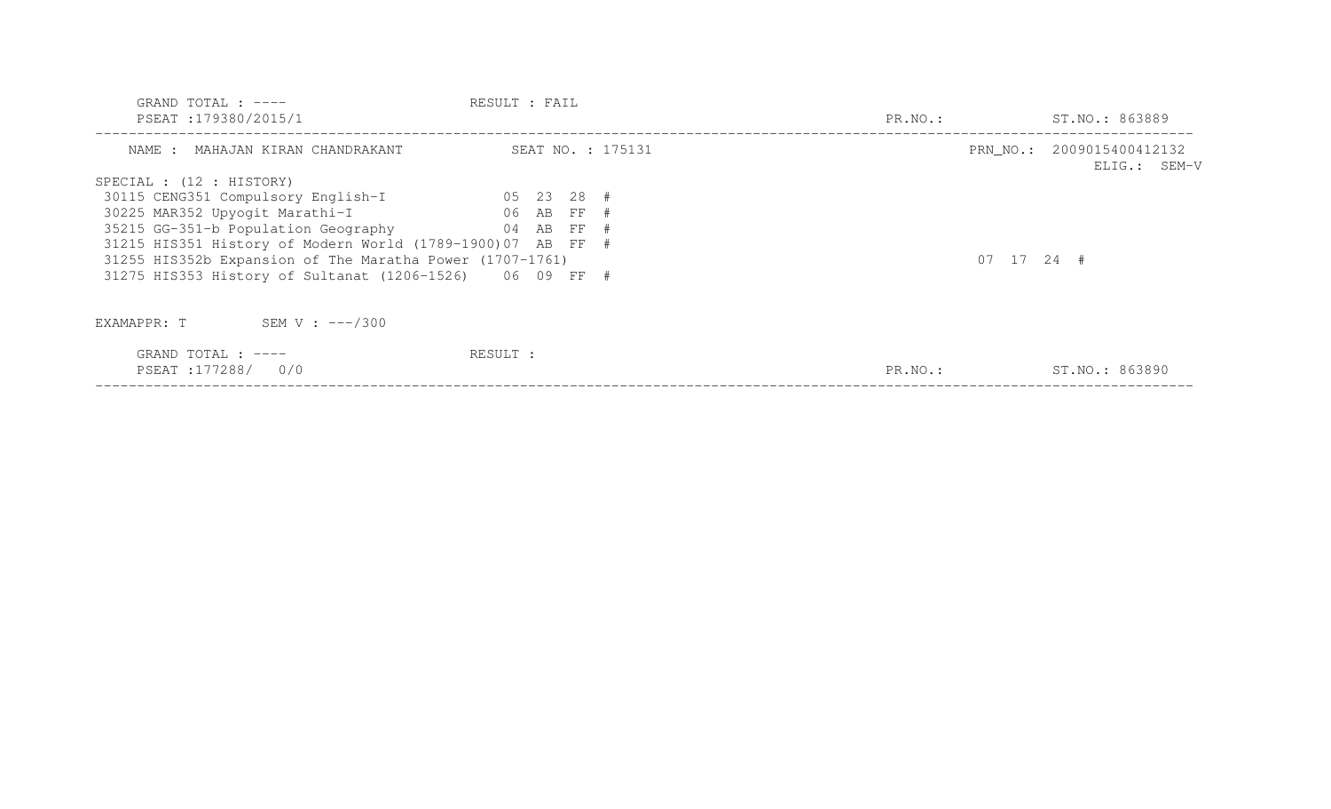| GRAND TOTAL : $---$<br>PSEAT : 179380/2015/1               | RESULT : FAIL     | PR.NO.:      | ST.NO.: 863889                            |
|------------------------------------------------------------|-------------------|--------------|-------------------------------------------|
| NAME : MAHAJAN KIRAN CHANDRAKANT                           | SEAT NO. : 175131 |              | PRN NO.: 2009015400412132<br>ELIG.: SEM-V |
| SPECIAL : (12 : HISTORY)                                   |                   |              |                                           |
| 30115 CENG351 Compulsory English-I                         | $05$ 23 28 #      |              |                                           |
| 30225 MAR352 Upyogit Marathi-I                             | 06 AB FF #        |              |                                           |
| 35215 GG-351-b Population Geography                        | 04 AB FF #        |              |                                           |
| 31215 HIS351 History of Modern World (1789-1900)07 AB FF # |                   |              |                                           |
| 31255 HIS352b Expansion of The Maratha Power (1707-1761)   |                   | $07$ 17 24 # |                                           |
| 31275 HIS353 History of Sultanat (1206-1526) 06 09 FF #    |                   |              |                                           |
| SEM V : $---/300$<br>EXAMAPPR: T                           |                   |              |                                           |
| GRAND TOTAL : $---$<br>PSEAT : 177288/<br>0/0              | RESULT :          | PR.NO.:      | ST.NO.: 863890                            |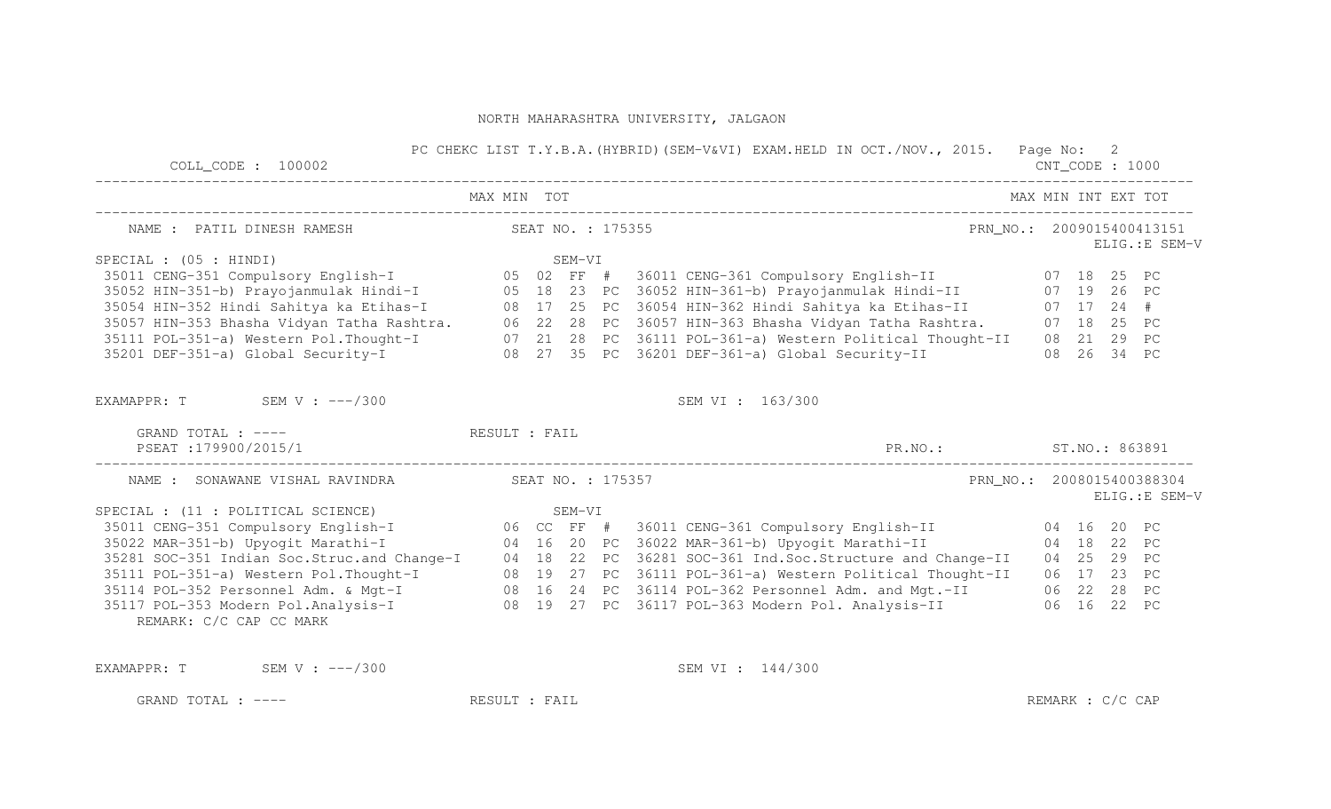| $COLL$ $CODE: 100002$                             |             |  | PC CHEKC LIST T.Y.B.A. (HYBRID) (SEM-V&VI) EXAM.HELD IN OCT./NOV., 2015. Page No: 2                                                                                                                            | CNT_CODE : 1000           |  |                |
|---------------------------------------------------|-------------|--|----------------------------------------------------------------------------------------------------------------------------------------------------------------------------------------------------------------|---------------------------|--|----------------|
|                                                   | MAX MIN TOT |  |                                                                                                                                                                                                                | MAX MIN INT EXT TOT       |  |                |
| NAME : PATIL DINESH RAMESH NAME SEAT NO. : 175355 |             |  |                                                                                                                                                                                                                | PRN NO.: 2009015400413151 |  | ELIG.: E SEM-V |
| SPECIAL : $(05 : HINDI)$                          |             |  |                                                                                                                                                                                                                |                           |  |                |
|                                                   |             |  |                                                                                                                                                                                                                |                           |  |                |
|                                                   |             |  |                                                                                                                                                                                                                |                           |  |                |
|                                                   |             |  | 35054 HIN-352 Hindi Sahitya ka Etihas-I (28 17 25 PC 36054 HIN-362 Hindi Sahitya ka Etihas-II (27 17 24 #                                                                                                      |                           |  |                |
|                                                   |             |  | 35057 HIN-353 Bhasha Vidyan Tatha Rashtra. 06 22 28 PC 36057 HIN-363 Bhasha Vidyan Tatha Rashtra. 07 18 25 PC                                                                                                  |                           |  |                |
|                                                   |             |  |                                                                                                                                                                                                                |                           |  |                |
|                                                   |             |  | 35111 POL-351-a) Western Pol.Thought-I 07 21 28 PC 36111 POL-361-a) Western Political Thought-II 08 21 29 PC<br>35201 DEF-351-a) Global Security-I 08 27 35 PC 36201 DEF-361-a) Global Security-II 08 26 34 PC |                           |  |                |
| EXAMAPPR: $T$ SEM V : $---/300$                   |             |  | SEM VI : 163/300                                                                                                                                                                                               |                           |  |                |
| GRAND TOTAL : ---- The RESULT : FAIL              |             |  |                                                                                                                                                                                                                |                           |  |                |
| PSEAT :179900/2015/1                              |             |  | PR. NO.: ST. NO.: 863891                                                                                                                                                                                       |                           |  |                |
| NAME: SONAWANE VISHAL RAVINDRA SEAT NO.: 175357   |             |  | PRN NO.: 2008015400388304                                                                                                                                                                                      |                           |  | ELIG.: E SEM-V |
|                                                   |             |  |                                                                                                                                                                                                                |                           |  |                |
|                                                   |             |  |                                                                                                                                                                                                                |                           |  |                |
|                                                   |             |  |                                                                                                                                                                                                                |                           |  |                |
|                                                   |             |  |                                                                                                                                                                                                                |                           |  |                |
|                                                   |             |  | 35111 POL-351-a) Western Pol. Thought-I 08 19 27 PC 36111 POL-361-a) Western Political Thought-II 06 17 23 PC                                                                                                  |                           |  |                |
|                                                   |             |  |                                                                                                                                                                                                                |                           |  |                |
| REMARK: C/C CAP CC MARK                           |             |  | 35114 POL-352 Personnel Adm. & Mgt-I (28 16 24 PC 36114 POL-362 Personnel Adm. and Mgt.-II (28 28 PC<br>35117 POL-353 Modern Pol.Analysis-I (28 19 27 PC 36117 POL-363 Modern Pol. Analysis-II (22 PC          |                           |  |                |
| EXAMAPPR: $T$ SEM V : $---/300$                   |             |  | SEM VI : 144/300                                                                                                                                                                                               |                           |  |                |

GRAND TOTAL : ---- RESULT : FAIL RESULT : FAIL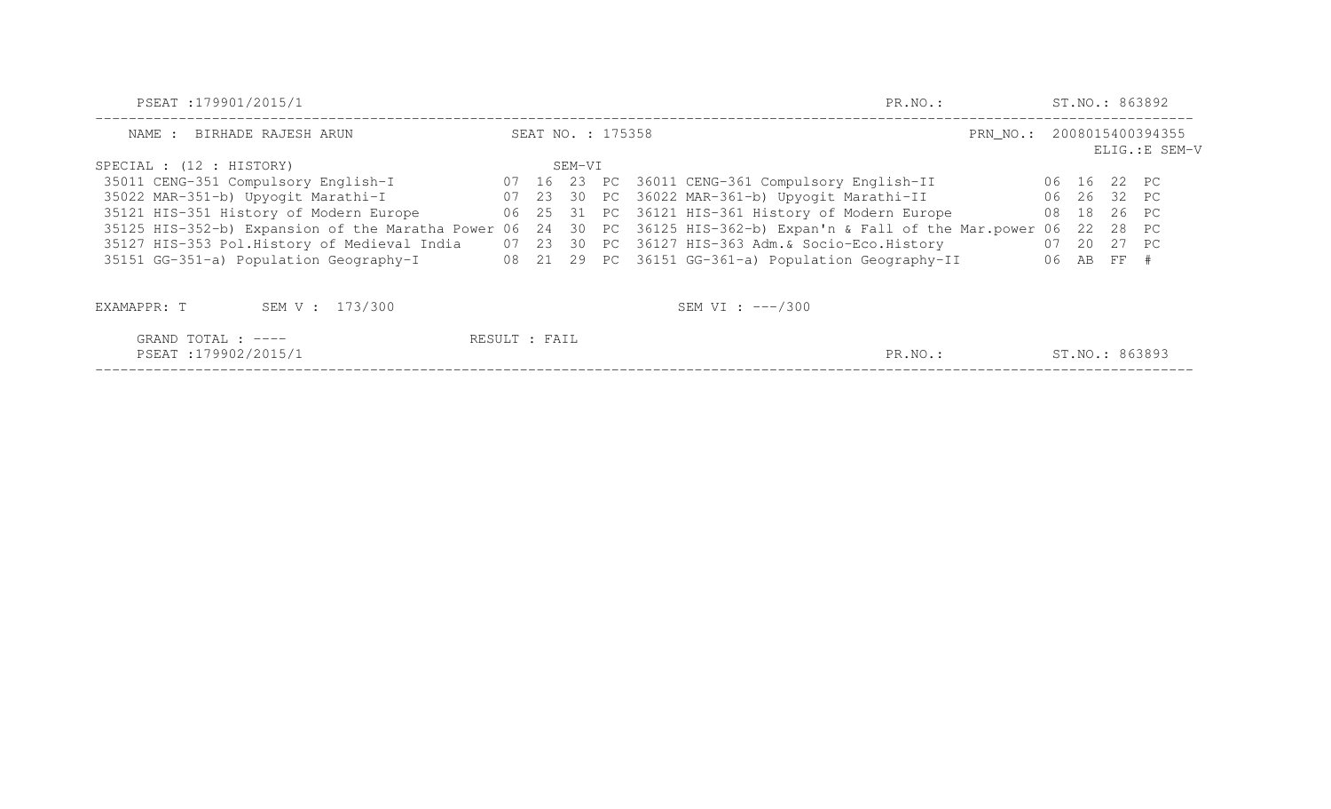| PSEAT : 179901/2015/1                                 | PR.NO.:           |        |  | ST.NO.: 863892                                             |                           |    |             |  |                |  |
|-------------------------------------------------------|-------------------|--------|--|------------------------------------------------------------|---------------------------|----|-------------|--|----------------|--|
| BIRHADE RAJESH ARUN<br>NAME :                         | SEAT NO. : 175358 |        |  |                                                            | PRN_NO.: 2008015400394355 |    |             |  | ELIG.: E SEM-V |  |
| SPECIAL : (12 : HISTORY)                              |                   | SEM-VI |  |                                                            |                           |    |             |  |                |  |
| 35011 CENG-351 Compulsory English-I                   |                   |        |  | 07 16 23 PC 36011 CENG-361 Compulsory English-II           |                           |    | 06 16 22 PC |  |                |  |
| 35022 MAR-351-b) Upyogit Marathi-I                    |                   |        |  | 07 23 30 PC 36022 MAR-361-b) Upyogit Marathi-II            |                           |    | 06 26 32 PC |  |                |  |
| 35121 HIS-351 History of Modern Europe                |                   |        |  | 06 25 31 PC 36121 HIS-361 History of Modern Europe         |                           | 08 | 18 26 PC    |  |                |  |
| 35125 HIS-352-b) Expansion of the Maratha Power 06 24 |                   |        |  | 30 PC 36125 HIS-362-b) Expan'n & Fall of the Mar. power 06 |                           |    | 22 28 PC    |  |                |  |
| 35127 HIS-353 Pol.History of Medieval India           |                   |        |  | 07 23 30 PC 36127 HIS-363 Adm. & Socio-Eco. History        |                           |    | 07 20 27 PC |  |                |  |
| 35151 GG-351-a) Population Geography-I                |                   |        |  | 08 21 29 PC 36151 GG-361-a) Population Geography-II        |                           |    | 06 AB FF #  |  |                |  |
| SEM V : 173/300<br>EXAMAPPR: T                        |                   |        |  | SEM VI : $---/300$                                         |                           |    |             |  |                |  |
| GRAND TOTAL : ----                                    | RESULT : FAIL     |        |  |                                                            |                           |    |             |  |                |  |
| PSEAT:179902/2015/1                                   |                   |        |  | PR.NO.:                                                    |                           |    |             |  | ST.NO.: 863893 |  |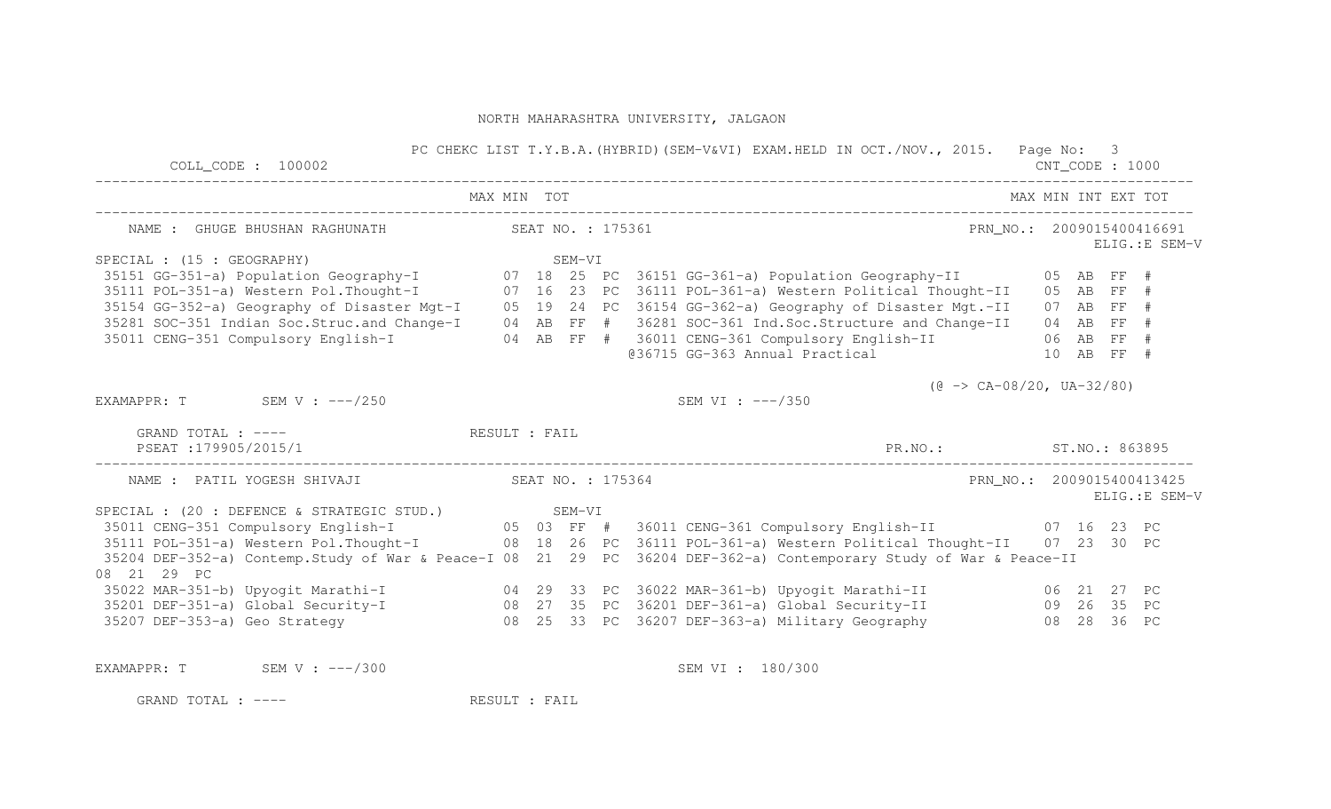| $COLL$ $COLL$ $100002$                                                                                                                                                                                                                                                 |  |  | PC CHEKC LIST T.Y.B.A. (HYBRID) (SEM-V&VI) EXAM.HELD IN OCT./NOV., 2015. Page No: 3 | $CNT\_CODE$ : 1000  |  |                                             |
|------------------------------------------------------------------------------------------------------------------------------------------------------------------------------------------------------------------------------------------------------------------------|--|--|-------------------------------------------------------------------------------------|---------------------|--|---------------------------------------------|
|                                                                                                                                                                                                                                                                        |  |  | MAX MIN TOT                                                                         | MAX MIN INT EXT TOT |  |                                             |
| NAME : GHUGE BHUSHAN RAGHUNATH SEAT NO. : 175361                                                                                                                                                                                                                       |  |  |                                                                                     |                     |  | PRN NO.: 2009015400416691<br>ELIG.: E SEM-V |
| SPECIAL : (15 : GEOGRAPHY)<br>SEM-VI<br>35151 GG-351-a) Population Geography-I<br>35151 GG-351-a) Population Geography-I<br>35111 POL-351-a) Western Political Thought-I<br>35154 GG-352-a) Geography of Disaster Mgt-I<br>35154 GG-352-a) Geography of Disaster Mgt-I |  |  |                                                                                     |                     |  |                                             |
|                                                                                                                                                                                                                                                                        |  |  |                                                                                     |                     |  |                                             |
|                                                                                                                                                                                                                                                                        |  |  |                                                                                     |                     |  |                                             |
|                                                                                                                                                                                                                                                                        |  |  |                                                                                     |                     |  |                                             |
|                                                                                                                                                                                                                                                                        |  |  |                                                                                     |                     |  |                                             |
|                                                                                                                                                                                                                                                                        |  |  |                                                                                     |                     |  |                                             |
|                                                                                                                                                                                                                                                                        |  |  | @36715 GG-363 Annual Practical 10 AB FF #                                           |                     |  |                                             |
|                                                                                                                                                                                                                                                                        |  |  | $(\theta \rightarrow CA-08/20, UA-32/80)$                                           |                     |  |                                             |
| EXAMAPPR: T SEM V : $---/250$                                                                                                                                                                                                                                          |  |  | SEM VI : ---/350                                                                    |                     |  |                                             |
| GRAND TOTAL : ---- RESULT : FAIL<br>PSEAT:179905/2015/1                                                                                                                                                                                                                |  |  | PR.NO.: ST.NO.: 863895                                                              |                     |  |                                             |
|                                                                                                                                                                                                                                                                        |  |  |                                                                                     |                     |  | PRN NO.: 2009015400413425<br>ELIG.: E SEM-V |
|                                                                                                                                                                                                                                                                        |  |  |                                                                                     |                     |  |                                             |
|                                                                                                                                                                                                                                                                        |  |  |                                                                                     |                     |  |                                             |
|                                                                                                                                                                                                                                                                        |  |  |                                                                                     |                     |  |                                             |
| 35204 DEF-352-a) Contemp. Study of War & Peace-I 08 21 29 PC 36204 DEF-362-a) Contemporary Study of War & Peace-II<br>08  21  29  PC                                                                                                                                   |  |  |                                                                                     |                     |  |                                             |
|                                                                                                                                                                                                                                                                        |  |  |                                                                                     |                     |  |                                             |
|                                                                                                                                                                                                                                                                        |  |  |                                                                                     |                     |  |                                             |
|                                                                                                                                                                                                                                                                        |  |  |                                                                                     |                     |  |                                             |
| EXAMAPPR: $T$ SEM V : $---/300$                                                                                                                                                                                                                                        |  |  | SEM VI : 180/300                                                                    |                     |  |                                             |
| RESULT : FAIL<br>GRAND TOTAL : ----                                                                                                                                                                                                                                    |  |  |                                                                                     |                     |  |                                             |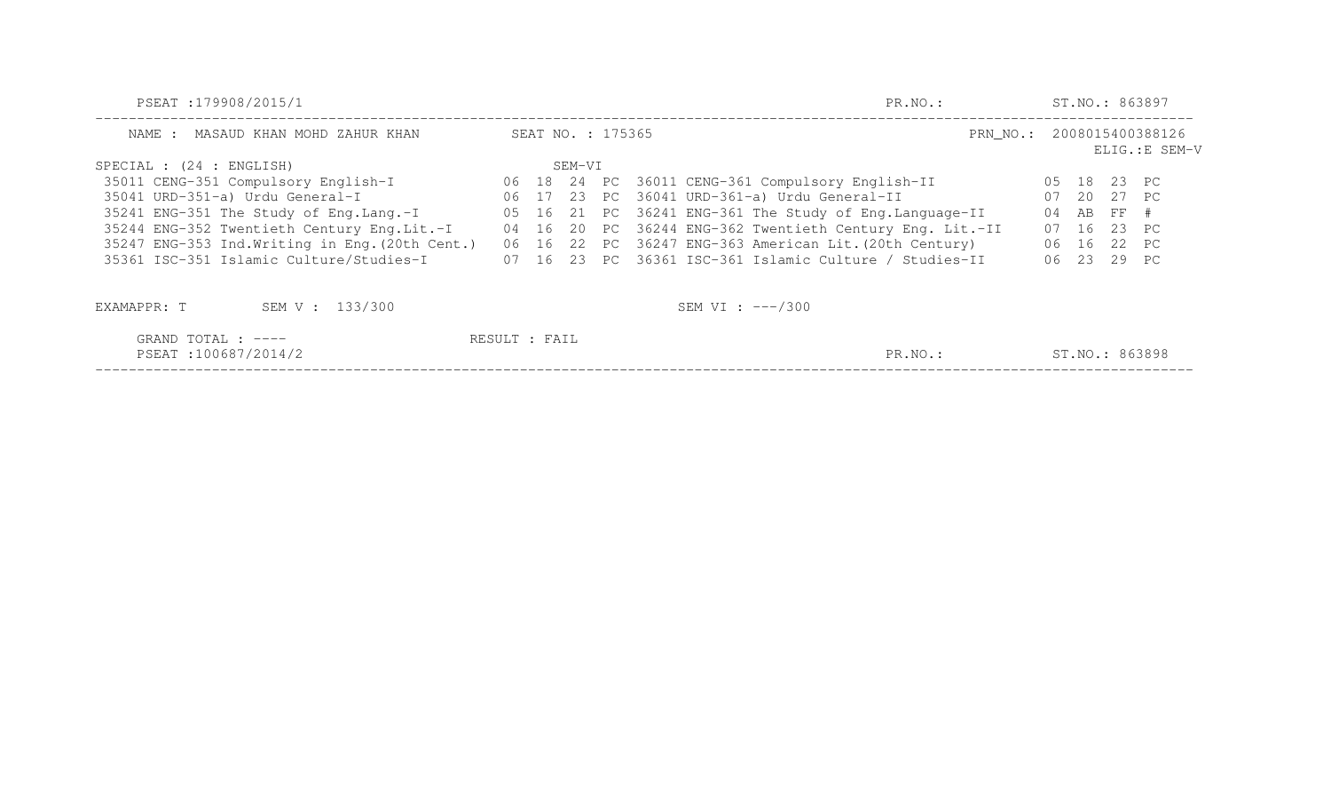| PSEAT:179908/2015/1                             | PR.NO.:       |                   |        | ST.NO.: 863897 |                                                          |    |                                             |             |                |  |  |
|-------------------------------------------------|---------------|-------------------|--------|----------------|----------------------------------------------------------|----|---------------------------------------------|-------------|----------------|--|--|
| MASAUD KHAN MOHD ZAHUR KHAN<br>NAME :           |               | SEAT NO. : 175365 |        |                |                                                          |    | PRN_NO.: 2008015400388126<br>ELIG.: E SEM-V |             |                |  |  |
| SPECIAL : (24 : ENGLISH)                        |               |                   | SEM-VI |                |                                                          |    |                                             |             |                |  |  |
| 35011 CENG-351 Compulsory English-I             |               |                   |        |                | 06 18 24 PC 36011 CENG-361 Compulsory English-II         |    |                                             | 05 18 23 PC |                |  |  |
| 35041 URD-351-a) Urdu General-I                 |               |                   |        |                | 06 17 23 PC 36041 URD-361-a) Urdu General-II             |    |                                             | 07 20 27 PC |                |  |  |
| 35241 ENG-351 The Study of Eng.Lang.-I          |               |                   |        |                | 05 16 21 PC 36241 ENG-361 The Study of Eng. Language-II  | 04 |                                             | AB FF #     |                |  |  |
| 35244 ENG-352 Twentieth Century Eng.Lit.-I      |               |                   |        |                | 04 16 20 PC 36244 ENG-362 Twentieth Century Eng. Lit.-II |    |                                             | 07 16 23 PC |                |  |  |
| 35247 ENG-353 Ind. Writing in Eng. (20th Cent.) |               |                   |        |                | 06 16 22 PC 36247 ENG-363 American Lit. (20th Century)   |    |                                             | 06 16 22 PC |                |  |  |
| 35361 ISC-351 Islamic Culture/Studies-I         |               |                   |        |                | 07 16 23 PC 36361 ISC-361 Islamic Culture / Studies-II   |    |                                             | 06 23 29 PC |                |  |  |
| SEM V : 133/300<br>EXAMAPPR: T                  |               |                   |        |                | SEM VI : $---/300$                                       |    |                                             |             |                |  |  |
| GRAND TOTAL : ----                              | RESULT : FAIL |                   |        |                |                                                          |    |                                             |             |                |  |  |
| PSEAT:100687/2014/2                             |               |                   |        |                | PR.NO.:                                                  |    |                                             |             | ST.NO.: 863898 |  |  |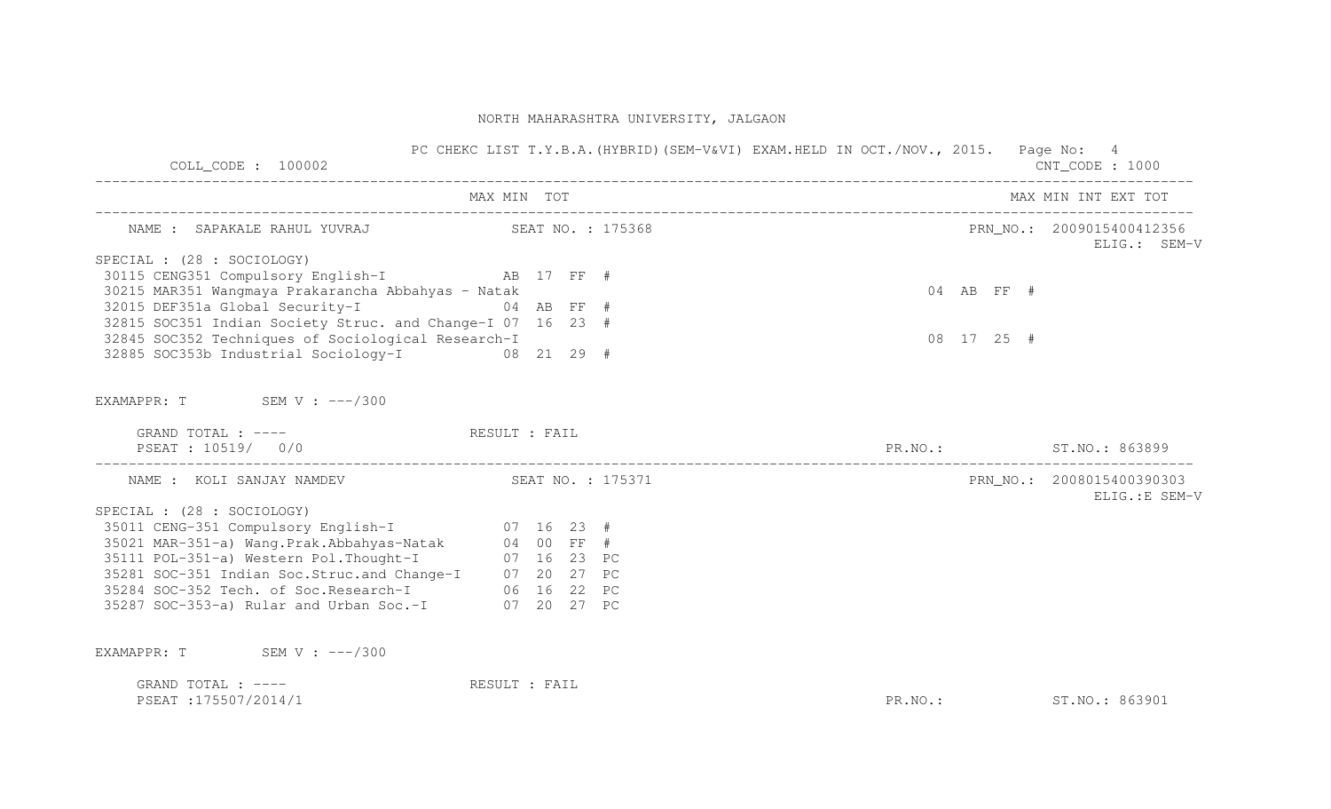| $COLL$ CODE : 100002                                       | PC CHEKC LIST T.Y.B.A. (HYBRID) (SEM-V&VI) EXAM.HELD IN OCT./NOV., 2015. Page No: 4 |                        | CNT CODE : 1000                             |
|------------------------------------------------------------|-------------------------------------------------------------------------------------|------------------------|---------------------------------------------|
|                                                            | MAX MIN TOT                                                                         |                        | MAX MIN INT EXT TOT                         |
| NAME : SAPAKALE RAHUL YUVRAJ (SEAT NO. : 175368            |                                                                                     |                        | PRN NO.: 2009015400412356<br>ELIG.: SEM-V   |
| SPECIAL : (28 : SOCIOLOGY)                                 |                                                                                     |                        |                                             |
| 30115 CENG351 Compulsory English-I AB 17 FF #              |                                                                                     |                        |                                             |
| 30215 MAR351 Wangmaya Prakarancha Abbahyas - Natak         |                                                                                     | $04$ AB FF #           |                                             |
| 32015 DEF351a Global Security-I 64 AB FF #                 |                                                                                     |                        |                                             |
| 32815 SOC351 Indian Society Struc. and Change-I 07 16 23 # |                                                                                     |                        |                                             |
| 32845 SOC352 Techniques of Sociological Research-I         |                                                                                     | $08$ 17 25 #           |                                             |
| 32885 SOC353b Industrial Sociology-I 08 21 29 #            |                                                                                     |                        |                                             |
| EXAMAPPR: T SEM V : ---/300                                |                                                                                     |                        |                                             |
| GRAND TOTAL : ---- The RESULT : FAIL<br>PSEAT: 10519/ 0/0  |                                                                                     | PR.NO.: ST.NO.: 863899 |                                             |
|                                                            |                                                                                     |                        |                                             |
| NAME : KOLI SANJAY NAMDEV SEAT NO. : 175371                |                                                                                     |                        | PRN NO.: 2008015400390303<br>ELIG.: E SEM-V |
| SPECIAL : (28 : SOCIOLOGY)                                 |                                                                                     |                        |                                             |
| 35011 CENG-351 Compulsory English-I 07 16 23 #             |                                                                                     |                        |                                             |
| 35021 MAR-351-a) Wang.Prak.Abbahyas-Natak 04 00 FF #       |                                                                                     |                        |                                             |
| 35111 POL-351-a) Western Pol. Thought-I 07 16 23 PC        |                                                                                     |                        |                                             |
| 35281 SOC-351 Indian Soc.Struc.and Change-I 07 20 27 PC    |                                                                                     |                        |                                             |
| 35284 SOC-352 Tech. of Soc. Research-I 06 16 22 PC         |                                                                                     |                        |                                             |
| 35287 SOC-353-a) Rular and Urban Soc.-I 07 20 27 PC        |                                                                                     |                        |                                             |
| EXAMAPPR: T SEM V: $---/300$                               |                                                                                     |                        |                                             |
| GRAND TOTAL : $---$                                        | RESULT : FAIL                                                                       |                        |                                             |
| PSEAT : 175507/2014/1                                      |                                                                                     | PR.NO.:                | ST. NO.: 863901                             |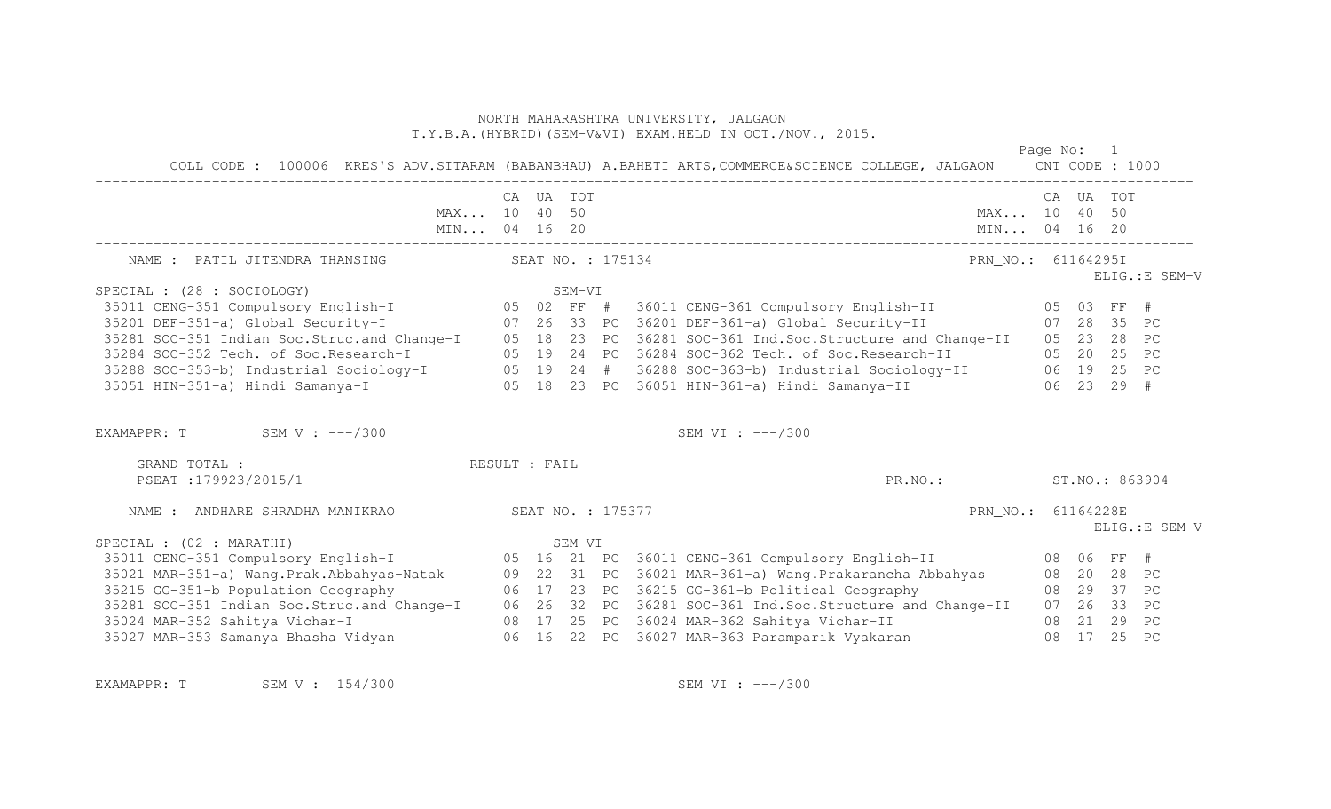| COLL_CODE: 100006 KRES'S ADV.SITARAM (BABANBHAU) A.BAHETI ARTS, COMMERCE&SCIENCE COLLEGE, JALGAON CNT_CODE: 1000                                                                                                                                                                                                                                                                                                                                                                                                                                                                                                                                             |                   |                                      |  |  |                                             |                              | Page No: 1 |          |           |                |
|--------------------------------------------------------------------------------------------------------------------------------------------------------------------------------------------------------------------------------------------------------------------------------------------------------------------------------------------------------------------------------------------------------------------------------------------------------------------------------------------------------------------------------------------------------------------------------------------------------------------------------------------------------------|-------------------|--------------------------------------|--|--|---------------------------------------------|------------------------------|------------|----------|-----------|----------------|
| MAX 10 40 50                                                                                                                                                                                                                                                                                                                                                                                                                                                                                                                                                                                                                                                 |                   | CA UA TOT                            |  |  | MIN 04 16 20                                | MAX 10 40 50<br>MIN 04 16 20 |            |          | CA UA TOT |                |
| NAME : PATIL JITENDRA THANSING                                                                                                                                                                                                                                                                                                                                                                                                                                                                                                                                                                                                                               | SEAT NO. : 175134 | PRN NO.: 61164295I<br>ELIG.: E SEM-V |  |  |                                             |                              |            |          |           |                |
| SPECIAL : (28 : SOCIOLOGY)<br>FECIAL : (28 : SOCIOLOGY)                SEM-VI<br>35011 CENG-351 Compulsory English-I        05 02 FF #  36011 CENG-361 Compulsory English-II        05 03 FF #                                                                                                                                                                                                                                                                                                                                                                                                                                                               |                   |                                      |  |  |                                             |                              |            |          |           |                |
| 35201 DEF-351-a) Global Security-I (26 33 PC 36201 DEF-361-a) Global Security-II (28 35 PC<br>35281 SOC-351 Indian Soc.Struc.and Change-I (25 18 23 PC 36281 SOC-361 Ind.Soc.Structure and Change-II (25 23 28 PC<br>35284 SOC-352 Tech. of Soc.Research-I 05 19 24 PC 36284 SOC-362 Tech. of Soc.Research-II 05 20 25 PC<br>35288 SOC-353-b) Industrial Sociology-I      05 19 24 # 36288 SOC-363-b) Industrial Sociology-II      06 19 25 PC<br>35051 HIN-351-a) Hindi Samanya-I        05 18 23 PC 36051 HIN-361-a) Hindi Samanya-II        06 23 29 #<br>EXAMAPPR: $T$ SEM V: $---/300$<br>GRAND TOTAL : ---- The RESULT : FAIL<br>PSEAT : 179923/2015/1 |                   |                                      |  |  | SEM VI : $---/300$                          |                              |            |          |           |                |
|                                                                                                                                                                                                                                                                                                                                                                                                                                                                                                                                                                                                                                                              |                   |                                      |  |  | PR.NO.: ST.NO.: 863904                      |                              |            |          |           |                |
| SPECIAL : (02 : MARATHI)                                                                                                                                                                                                                                                                                                                                                                                                                                                                                                                                                                                                                                     |                   |                                      |  |  |                                             | PRN_NO.: 61164228E           |            |          |           | ELIG.: E SEM-V |
| 35281 SOC-351 Indian Soc.Struc.and Change-I 06 26 32 PC 36281 SOC-361 Ind.Soc.Structure and Change-II<br>35024 MAR-352 Sahitya Vichar-I<br>35027 MAR-353 Samanya Bhasha Vidyan                   06  16  22  PC  36027 MAR-363 Paramparik Vyakaran                                                                                                                                                                                                                                                                                                                                                                                                           |                   |                                      |  |  | 08 17 25 PC 36024 MAR-362 Sahitya Vichar-II | 08 21 29 PC                  |            | 08 17 25 |           | PC             |

EXAMAPPR: T SEM V : 154/300 SEM SEM VI : ---/300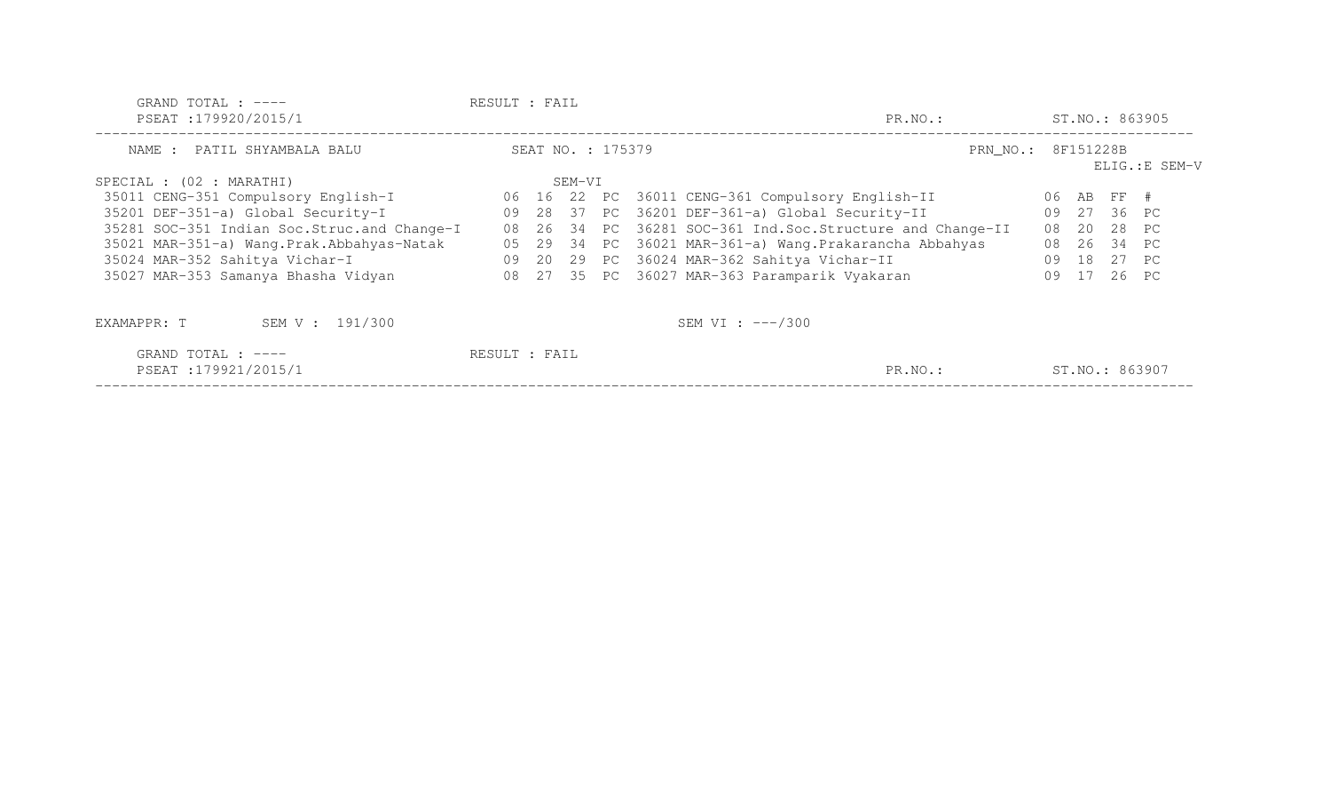| GRAND TOTAL : $---$<br>PSEAT:179920/2015/1    | RESULT : FAIL<br>PR.NO.: |                   |        |  |  |                                                          |                    | ST.NO.: 863905 |                |       |  |  |
|-----------------------------------------------|--------------------------|-------------------|--------|--|--|----------------------------------------------------------|--------------------|----------------|----------------|-------|--|--|
| NAME : PATIL SHYAMBALA BALU                   |                          | SEAT NO. : 175379 |        |  |  |                                                          | PRN NO.: 8F151228B | ELIG.:E SEM-V  |                |       |  |  |
| SPECIAL : (02 : MARATHI)                      |                          |                   | SEM-VI |  |  |                                                          |                    |                |                |       |  |  |
| 35011 CENG-351 Compulsory English-I           |                          |                   |        |  |  | 06 16 22 PC 36011 CENG-361 Compulsory English-II         |                    |                | 06 AB FF #     |       |  |  |
| 35201 DEF-351-a) Global Security-I            | 09                       |                   |        |  |  | 28 37 PC 36201 DEF-361-a) Global Security-II             | 09                 |                | 27 36 PC       |       |  |  |
| 35281 SOC-351 Indian Soc. Struc. and Change-I | 08                       |                   |        |  |  | 26 34 PC 36281 SOC-361 Ind. Soc. Structure and Change-II | 08                 | 20             | 28 PC          |       |  |  |
| 35021 MAR-351-a) Wang.Prak.Abbahyas-Natak     | 05                       |                   |        |  |  | 29 34 PC 36021 MAR-361-a) Wang.Prakarancha Abbahyas      | 08                 | 26             | 34 PC          |       |  |  |
| 35024 MAR-352 Sahitya Vichar-I                | 09                       |                   |        |  |  | 20 29 PC 36024 MAR-362 Sahitya Vichar-II                 | 09                 | 18             |                | 27 PC |  |  |
| 35027 MAR-353 Samanya Bhasha Vidyan           |                          |                   |        |  |  | 08 27 35 PC 36027 MAR-363 Paramparik Vyakaran            | 09                 | 17             |                | 26 PC |  |  |
| SEM V : 191/300<br>EXAMAPPR: T                |                          |                   |        |  |  | SEM VI : $---/300$                                       |                    |                |                |       |  |  |
| GRAND TOTAL : $---$<br>PSEAT : 179921/2015/1  | RESULT : FAIL            |                   |        |  |  | PR.NO.:                                                  |                    |                | ST.NO.: 863907 |       |  |  |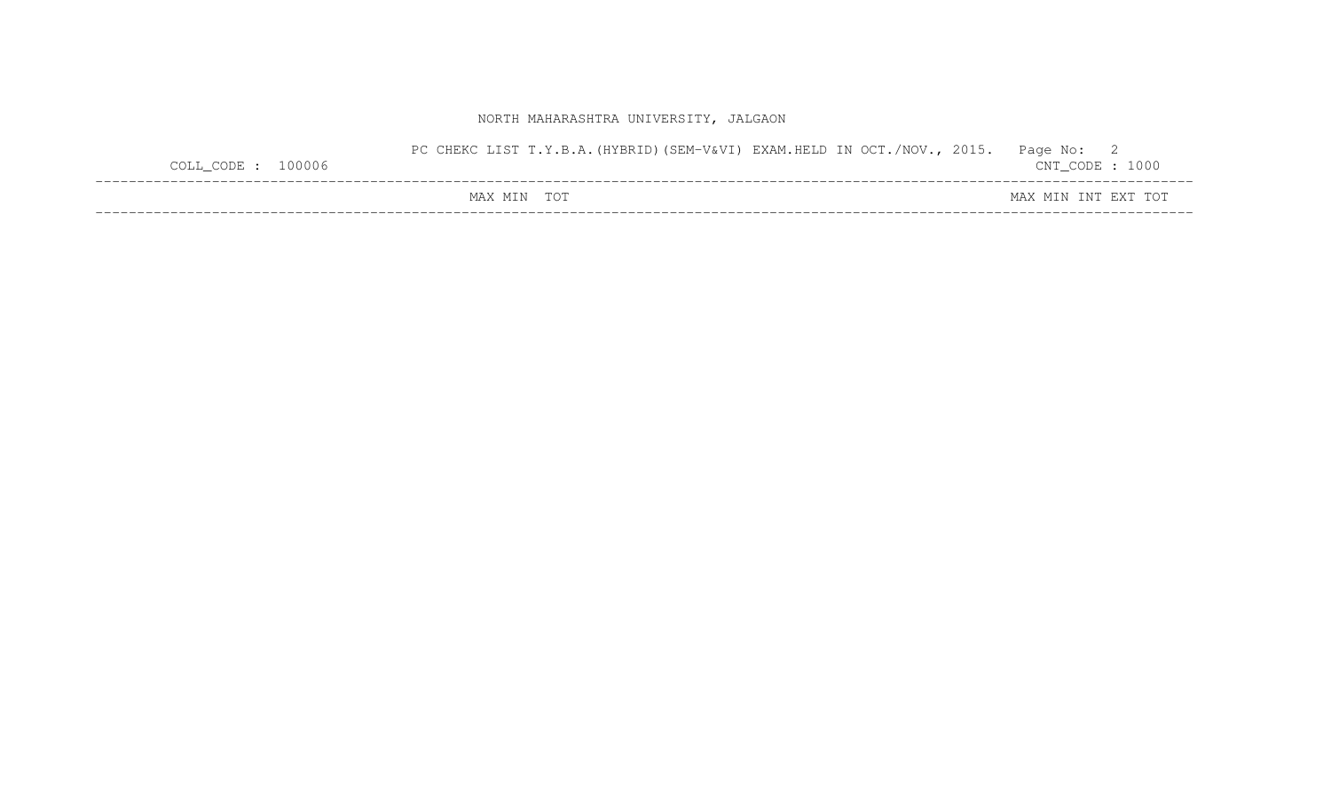| $COLL\_CODE: 100006$ | PC CHEKC LIST T.Y.B.A. (HYBRID) (SEM-V&VI) EXAM.HELD IN OCT./NOV., 2015. | Page No: 2<br>$CNT\_CODE$ : 1000 |
|----------------------|--------------------------------------------------------------------------|----------------------------------|
|                      | MAX MIN TOT                                                              | MAX MIN INT EXT TOT              |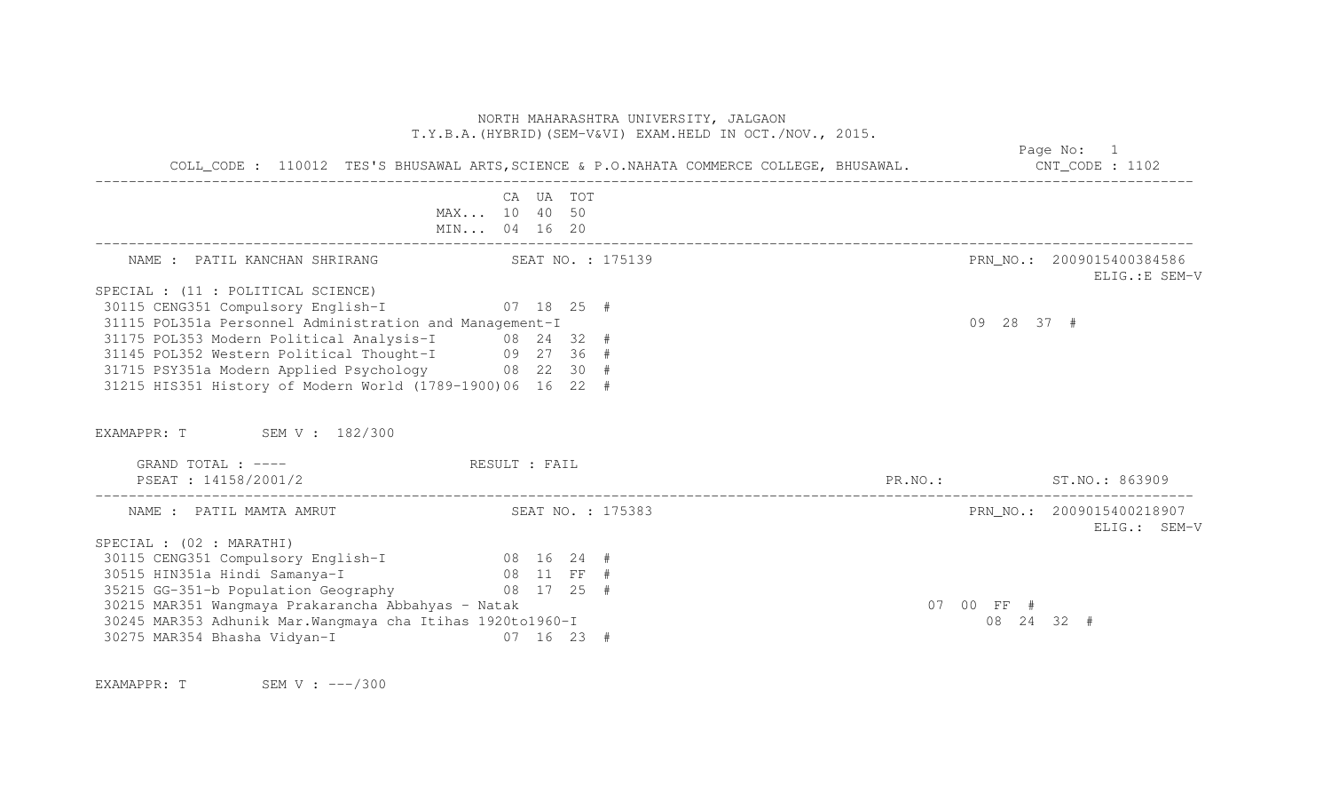|                                                                                                           | NORTH MAHARASHTRA UNIVERSITY, JALGAON<br>T.Y.B.A. (HYBRID) (SEM-V&VI) EXAM.HELD IN OCT./NOV., 2015.    |                        |                                             |
|-----------------------------------------------------------------------------------------------------------|--------------------------------------------------------------------------------------------------------|------------------------|---------------------------------------------|
|                                                                                                           | COLL_CODE: 110012 TES'S BHUSAWAL ARTS, SCIENCE & P.O.NAHATA COMMERCE COLLEGE, BHUSAWAL. CNT_CODE: 1102 |                        | Page No: 1                                  |
|                                                                                                           | CA UA TOT                                                                                              |                        |                                             |
|                                                                                                           | MAX 10 40 50<br>MIN 04 16 20                                                                           |                        |                                             |
| NAME : PATIL KANCHAN SHRIRANG SEAT NO. : 175139                                                           |                                                                                                        |                        | PRN NO.: 2009015400384586<br>ELIG.: E SEM-V |
| SPECIAL : (11 : POLITICAL SCIENCE)                                                                        |                                                                                                        |                        |                                             |
| 30115 CENG351 Compulsory English-I 07 18 25 #                                                             |                                                                                                        |                        |                                             |
| 31115 POL351a Personnel Administration and Management-I                                                   |                                                                                                        |                        | 09 28 37 #                                  |
| 31175 POL353 Modern Political Analysis-I 08 24 32 #                                                       |                                                                                                        |                        |                                             |
| 31145 POL352 Western Political Thought-I 09 27 36 #<br>31715 PSY351a Modern Applied Psychology 08 22 30 # |                                                                                                        |                        |                                             |
| 31215 HIS351 History of Modern World (1789-1900)06 16 22 #                                                |                                                                                                        |                        |                                             |
| EXAMAPPR: T SEM V: 182/300                                                                                |                                                                                                        |                        |                                             |
| GRAND TOTAL : ---- The RESULT : FAIL                                                                      |                                                                                                        |                        |                                             |
| PSEAT : 14158/2001/2                                                                                      |                                                                                                        | PR.NO.: ST.NO.: 863909 |                                             |
| NAME : PATIL MAMTA AMRUT SEAT NO. : 175383                                                                |                                                                                                        |                        | PRN NO.: 2009015400218907<br>ELIG.: SEM-V   |
| SPECIAL : (02 : MARATHI)                                                                                  |                                                                                                        |                        |                                             |
| 30115 CENG351 Compulsory English-I 08 16 24 #                                                             |                                                                                                        |                        |                                             |
| 30515 HIN351a Hindi Samanya-I (1897)<br>35215 GG-351-b Population Geography (1898) 17 25 #                |                                                                                                        |                        |                                             |
|                                                                                                           |                                                                                                        |                        |                                             |
| 30215 MAR351 Wangmaya Prakarancha Abbahyas - Natak                                                        |                                                                                                        |                        | 07 00 FF #                                  |
| 30245 MAR353 Adhunik Mar. Wangmaya cha Itihas 1920to1960-I                                                |                                                                                                        |                        | 08 24 32 #                                  |
| 30275 MAR354 Bhasha Vidyan-I (1997) 16 23 #                                                               |                                                                                                        |                        |                                             |

EXAMAPPR: T SEM V : ---/300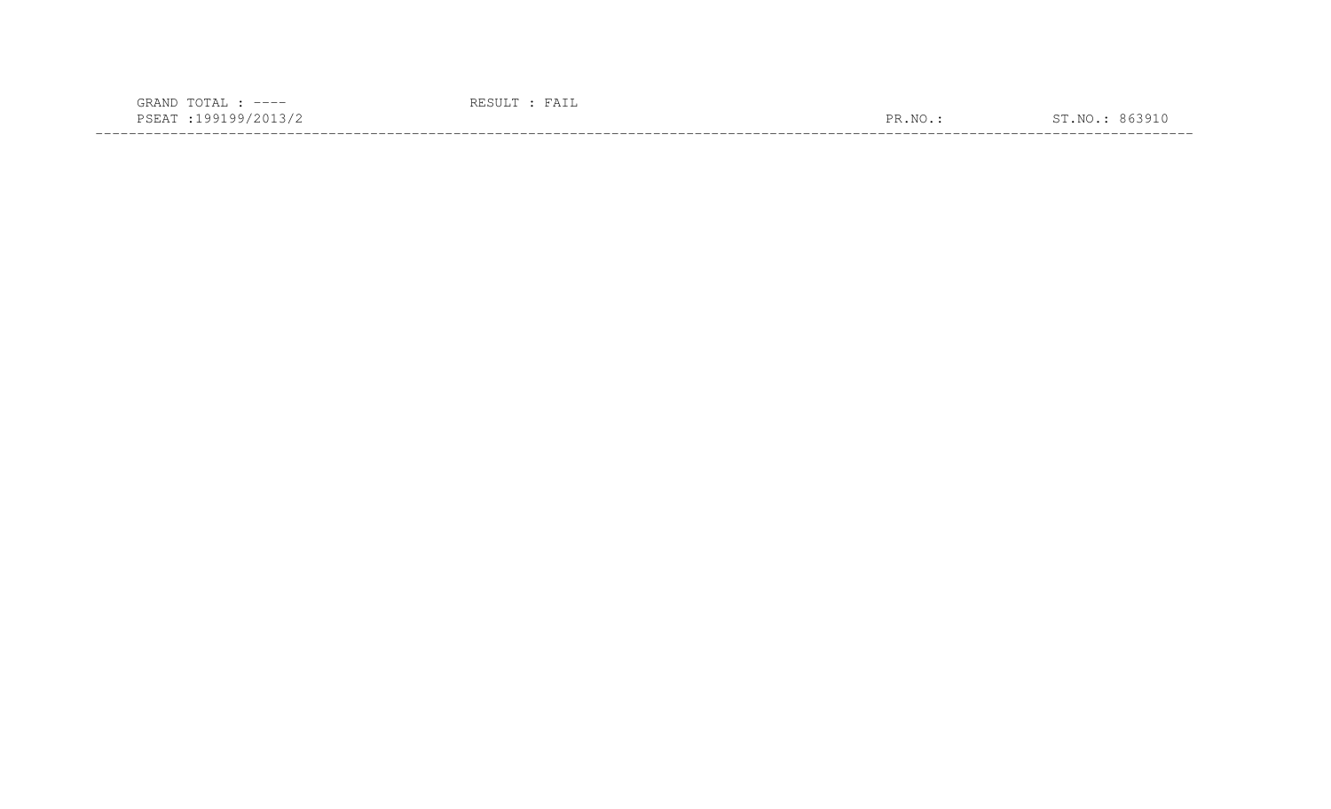| $---$                                                                                                                                |                      |  |
|--------------------------------------------------------------------------------------------------------------------------------------|----------------------|--|
| <b>A</b><br>- טבר<br>the contract of the contract of the contract of the contract of the contract of the contract of the contract of | $\overline{N}$<br>םת |  |
|                                                                                                                                      |                      |  |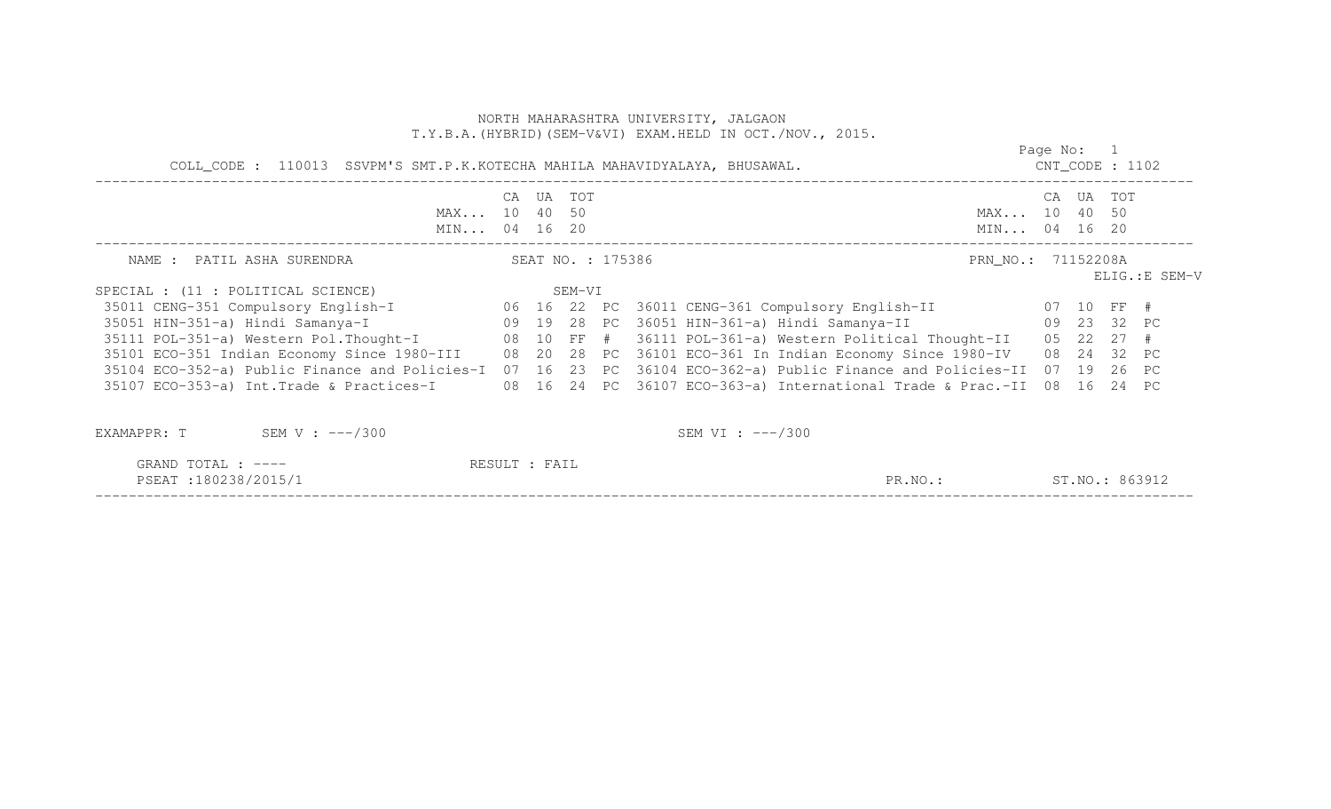|                                                                                                                        |               |           |                   | NORTH MAHARASHTRA UNIVERSITY, JALGAON<br>T.Y.B.A. (HYBRID) (SEM-V&VI) EXAM.HELD IN OCT./NOV., 2015. |                              |            |           |                |
|------------------------------------------------------------------------------------------------------------------------|---------------|-----------|-------------------|-----------------------------------------------------------------------------------------------------|------------------------------|------------|-----------|----------------|
| COLL_CODE : 110013 SSVPM'S SMT.P.K.KOTECHA MAHILA MAHAVIDYALAYA, BHUSAWAL.                                             |               |           |                   |                                                                                                     | $CNT\_CODE$ : 1102           | Page No: 1 |           |                |
| MAX 10 40 50<br>MIN 04 16 20                                                                                           |               | CA UA TOT |                   |                                                                                                     | MAX 10 40 50<br>MIN 04 16 20 |            | CA UA TOT |                |
| NAME : PATIL ASHA SURENDRA                                                                                             |               |           | SEAT NO. : 175386 |                                                                                                     | PRN_NO.: 71152208A           |            |           | ELIG.: E SEM-V |
| SPECIAL : (11 : POLITICAL SCIENCE) SEM-VI                                                                              |               |           |                   |                                                                                                     |                              |            |           |                |
| 35011 CENG-351 Compulsory English-I 66 16 22 PC 36011 CENG-361 Compulsory English-II 67 10 FF #                        |               |           |                   |                                                                                                     |                              |            |           |                |
| 35051 HIN-351-a) Hindi Samanya-I (1980) 19828 PC 36051 HIN-361-a) Hindi Samanya-II (1980) 2382 PC                      |               |           |                   |                                                                                                     |                              |            |           |                |
| 35111 POL-351-a) Western Pol. Thought-I (8 10 FF # 36111 POL-361-a) Western Political Thought-II (85 22 27 #           |               |           |                   |                                                                                                     |                              |            |           |                |
| 35101 ECO-351 Indian Economy Since 1980-III 08 20 28 PC 36101 ECO-361 In Indian Economy Since 1980-IV 08 24 32 PC      |               |           |                   |                                                                                                     |                              |            |           |                |
| 35104 ECO-352-a) Public Finance and Policies-I 07 16 23 PC 36104 ECO-362-a) Public Finance and Policies-II 07 19 26 PC |               |           |                   |                                                                                                     |                              |            |           |                |
| 35107 ECO-353-a) Int.Trade & Practices-I 08 16 24 PC 36107 ECO-363-a) International Trade & Prac.-II 08 16 24 PC       |               |           |                   |                                                                                                     |                              |            |           |                |
| SEM V : $---/300$<br>EXAMAPPR: T                                                                                       |               |           |                   | SEM VI : $---/300$                                                                                  |                              |            |           |                |
| GRAND TOTAL : $---$                                                                                                    | RESULT : FAIL |           |                   |                                                                                                     |                              |            |           |                |

| 180238/2015/1<br>PSEAT<br>∸ ∪⊥⊥⊥⊥<br>the contract of the contract of the contract of the contract of the contract of the contract of the contract of | PR.NO | 863912<br>$\sim$ $\sim$<br>ST.NO.: |
|------------------------------------------------------------------------------------------------------------------------------------------------------|-------|------------------------------------|
|                                                                                                                                                      |       |                                    |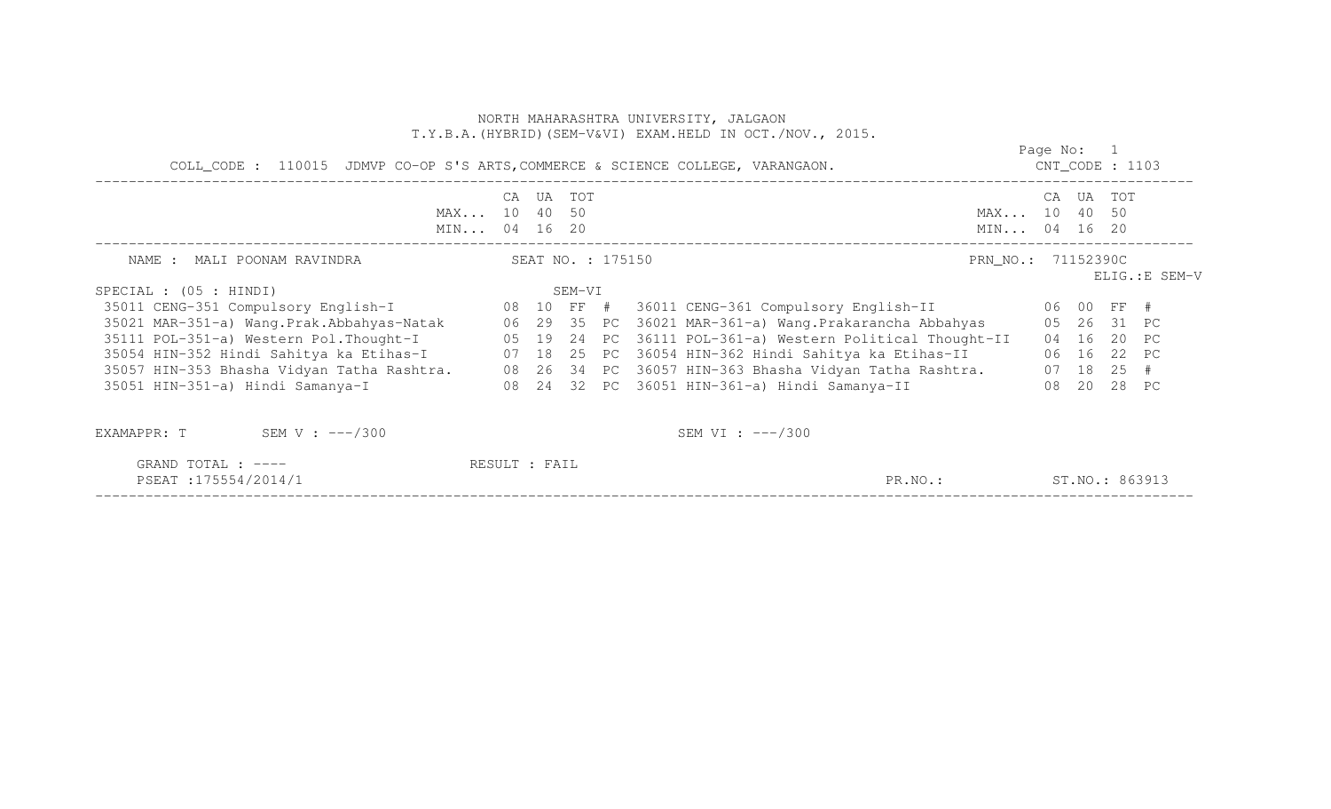|                                                                                 |           |        |                   | NORTH MAHARASHTRA UNIVERSITY, JALGAON<br>T.Y.B.A. (HYBRID) (SEM-V&VI) EXAM.HELD IN OCT./NOV., 2015.    |                                  |                |                |
|---------------------------------------------------------------------------------|-----------|--------|-------------------|--------------------------------------------------------------------------------------------------------|----------------------------------|----------------|----------------|
| COLL_CODE : 110015 JDMVP CO-OP S'S ARTS, COMMERCE & SCIENCE COLLEGE, VARANGAON. |           |        |                   |                                                                                                        | Page No: 1<br>$CNT\_CODE$ : 1103 |                |                |
| MAX 10 40 50<br>MIN 04 16 20                                                    | CA UA TOT |        |                   | MAX 10 40 50<br>MIN 04 16 20                                                                           | CA                               | UA TOT         |                |
| NAME : MALI POONAM RAVINDRA                                                     |           |        | SEAT NO. : 175150 | PRN_NO.: 71152390C                                                                                     |                                  |                |                |
| SPECIAL : $(05 : HINDI)$                                                        |           | SEM-VI |                   |                                                                                                        |                                  |                | ELIG.: E SEM-V |
|                                                                                 |           |        |                   | 35011 CENG-351 Compulsory English-I 68 10 FF # 36011 CENG-361 Compulsory English-II 66 00 FF #         |                                  |                |                |
|                                                                                 |           |        |                   | 35021 MAR-351-a) Wang.Prak.Abbahyas-Natak 66 29 35 PC 36021 MAR-361-a) Wang.Prakarancha Abbahyas       |                                  | 05 26 31 PC    |                |
|                                                                                 |           |        |                   | 35111 POL-351-a) Western Pol. Thought-I 05 19 24 PC 36111 POL-361-a) Western Political Thought-II      |                                  | 04 16 20 PC    |                |
|                                                                                 |           |        |                   | 35054 HIN-352 Hindi Sahitya ka Etihas-I           07 18 25 PC 36054 HIN-362 Hindi Sahitya ka Etihas-II |                                  | 06 16 22 PC    |                |
|                                                                                 |           |        |                   | 35057 HIN-353 Bhasha Vidyan Tatha Rashtra. 08 26 34 PC 36057 HIN-363 Bhasha Vidyan Tatha Rashtra.      |                                  | $07$ 18 25 #   |                |
| 35051 HIN-351-a) Hindi Samanya-I                                                |           |        |                   |                                                                                                        |                                  | 08  20  28  PC |                |
| SEM V : $---/300$<br>EXAMAPPR: T                                                |           |        |                   | SEM VI : $---/300$                                                                                     |                                  |                |                |

| $\cdot$ $\sim$ $\sim$ $\sim$ $\sim$<br>GRAND<br>$\Delta$<br>$---$<br>∸∽                                                                                             | ▵<br>____                                                   |                              |                           |
|---------------------------------------------------------------------------------------------------------------------------------------------------------------------|-------------------------------------------------------------|------------------------------|---------------------------|
| $- - - - -$<br>וי הים כד<br>--<br>. ר<br>◡∸<br>.<br>the contract of the contract of the contract of the contract of the contract of the contract of the contract of |                                                             | R פ<br>$\lambda$ $\tau$<br>. | NG)<br>$\sim$ $\sim$<br>. |
| ___________________<br>_ _ _ _ _ _ _                                                                                                                                | ______________________<br>_______<br>______________________ | ______________________       | ___________________       |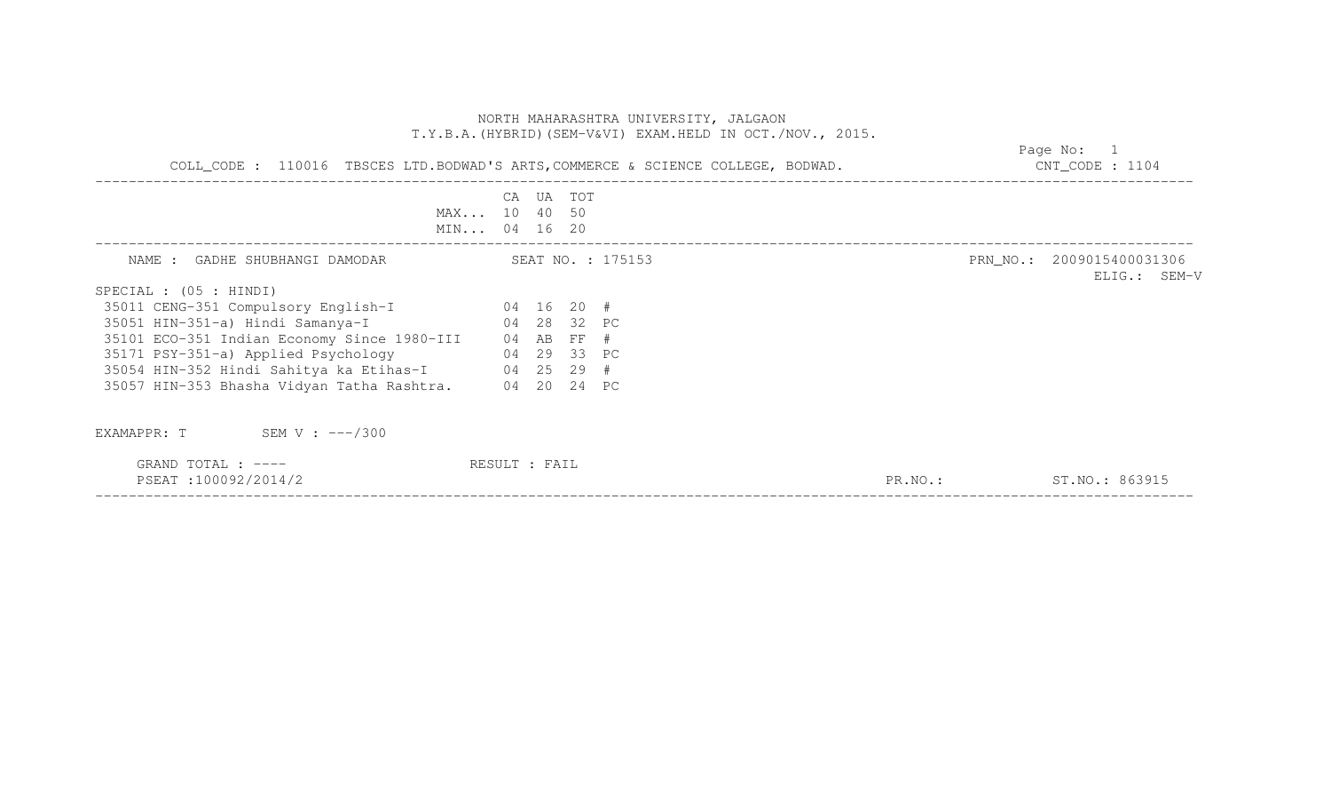| COLL_CODE : 110016 TBSCES LTD.BODWAD'S ARTS, COMMERCE & SCIENCE COLLEGE, BODWAD. | Page No: 1<br>$CNT\_CODE$ : 1104          |                                           |
|----------------------------------------------------------------------------------|-------------------------------------------|-------------------------------------------|
|                                                                                  | CA UA TOT<br>MAX 10 40 50<br>MIN 04 16 20 |                                           |
| NAME : GADHE SHUBHANGI DAMODAR SEAT NO. : 175153                                 |                                           | PRN_NO.: 2009015400031306<br>ELIG.: SEM-V |
| $SPECIAL$ : (05 : HINDI)                                                         |                                           |                                           |
| 35011 CENG-351 Compulsory English-I 04 16 20 #                                   |                                           |                                           |
| 35051 HIN-351-a) Hindi Samanya-I                                                 | 04 28 32 PC                               |                                           |
| 35101 ECO-351 Indian Economy Since 1980-III 04 AB FF #                           |                                           |                                           |
| 35171 PSY-351-a) Applied Psychology                                              | 04 29 33 PC                               |                                           |
| 35054 HIN-352 Hindi Sahitya ka Etihas-I 04 25 29 #                               |                                           |                                           |
| 35057 HIN-353 Bhasha Vidyan Tatha Rashtra. 04 20 24 PC                           |                                           |                                           |
| EXAMAPPR: $T$ SEM V : $---/300$                                                  |                                           |                                           |
| GRAND TOTAL : ----<br>PSEAT:100092/2014/2                                        | RESULT : FAIL                             | ST.NO.: 863915<br>$PR. NO.$ :             |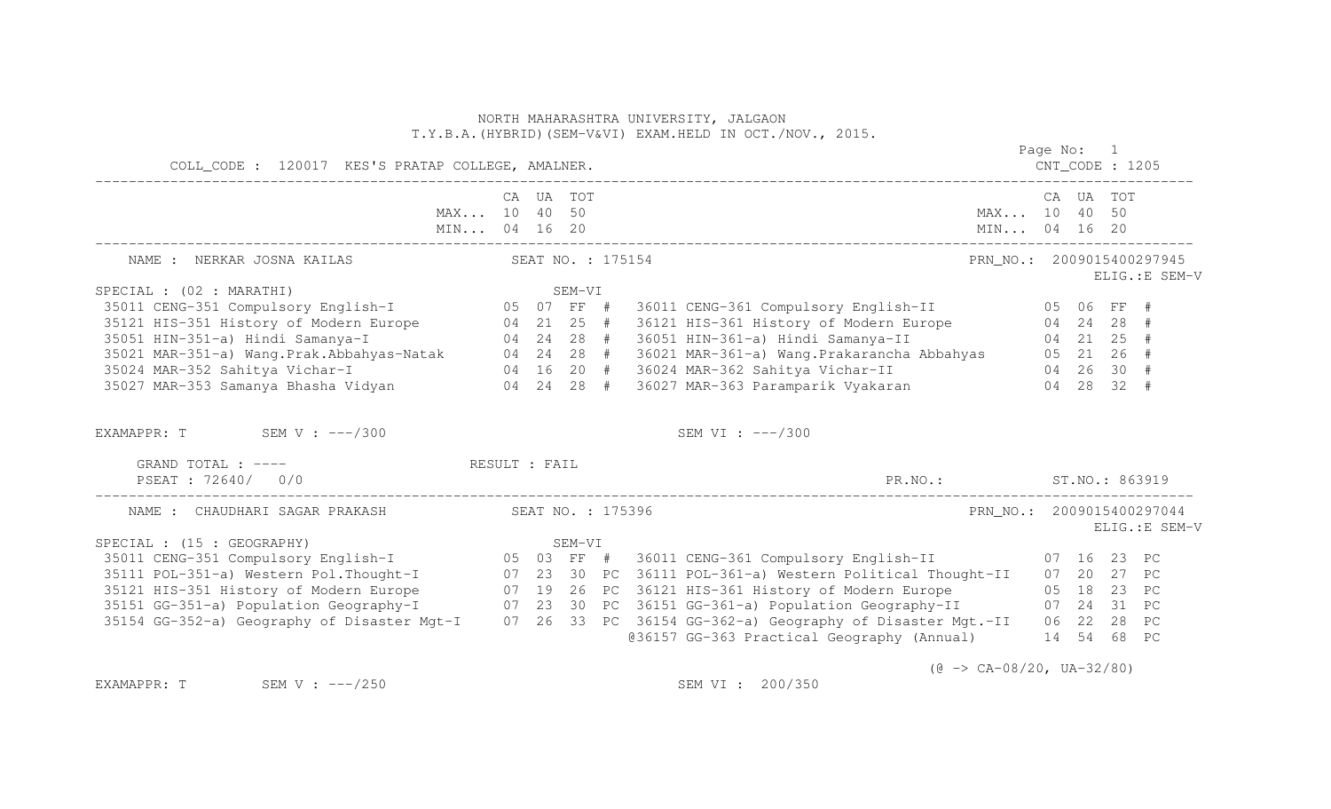| COLL_CODE : 120017 KES'S PRATAP COLLEGE, AMALNER.                                                                                                                                                                                          |                           |        |                   |                                                        | Page No: 1 |  |                                             |
|--------------------------------------------------------------------------------------------------------------------------------------------------------------------------------------------------------------------------------------------|---------------------------|--------|-------------------|--------------------------------------------------------|------------|--|---------------------------------------------|
|                                                                                                                                                                                                                                            | CA UA TOT<br>MAX 10 40 50 |        |                   | MAX 10 40 50                                           | CA UA TOT  |  |                                             |
| NAME : NERKAR JOSNA KAILAS                                                                                                                                                                                                                 |                           |        | SEAT NO. : 175154 |                                                        |            |  | PRN NO.: 2009015400297945<br>ELIG.: E SEM-V |
| SPECIAL : (02 : MARATHI)                                                                                                                                                                                                                   |                           |        |                   |                                                        |            |  |                                             |
|                                                                                                                                                                                                                                            |                           |        |                   |                                                        |            |  |                                             |
|                                                                                                                                                                                                                                            |                           |        |                   |                                                        |            |  |                                             |
|                                                                                                                                                                                                                                            |                           |        |                   |                                                        |            |  |                                             |
|                                                                                                                                                                                                                                            |                           |        |                   |                                                        |            |  |                                             |
|                                                                                                                                                                                                                                            |                           |        |                   |                                                        |            |  |                                             |
| SPECIAL: (02: MARATHI)<br>35011 CENG-351 Compulsory English-I<br>35011 CENG-351 Compulsory English-I<br>35021 HIS-351 History of Modern Europe<br>35021 HIN-351-a) Hindi Samanya-I<br>35021 MAR-351-a) Wang.Prak.Abbahyas-Natak<br>35022 M |                           |        |                   |                                                        |            |  |                                             |
| EXAMAPPR: T SEM V : $---/300$                                                                                                                                                                                                              |                           |        |                   | SEM VI : $---/300$                                     |            |  |                                             |
| GRAND TOTAL : ---- The RESULT : FAIL<br>PSEAT : 72640/ 0/0                                                                                                                                                                                 |                           |        |                   | PR.NO.: ST.NO.: 863919                                 |            |  |                                             |
| NAME : CHAUDHARI SAGAR PRAKASH SEAT NO. : 175396                                                                                                                                                                                           |                           |        |                   |                                                        |            |  | PRN NO.: 2009015400297044<br>ELIG.: E SEM-V |
| SPECIAL : (15 : GEOGRAPHY)                                                                                                                                                                                                                 |                           | SEM-VI |                   |                                                        |            |  |                                             |
| 35011 CENG-351 Compulsory English-I<br>35111 POL-351 Compulsory English-I (07 23 30 PC 36111 POL-361 Compulsory English-II (07 16 23 PC<br>35111 POL-351-a) Western Polithought-I (07 23 30 PC 36111 POL-361-a) Western Political T        |                           |        |                   |                                                        |            |  |                                             |
|                                                                                                                                                                                                                                            |                           |        |                   |                                                        |            |  |                                             |
| 35121 HIS-351 History of Modern Europe 607 19 26 PC 36121 HIS-361 History of Modern Europe 605 18 23 PC                                                                                                                                    |                           |        |                   |                                                        |            |  |                                             |
| 35151 GG-351-a) Population Geography-I 07 23 30 PC 36151 GG-361-a) Population Geography-II 07 24 31 PC                                                                                                                                     |                           |        |                   |                                                        |            |  |                                             |
| 35154 GG-352-a) Geography of Disaster Mgt-I 07 26 33 PC 36154 GG-362-a) Geography of Disaster Mgt.-II 06 22 28 PC                                                                                                                          |                           |        |                   |                                                        |            |  |                                             |
|                                                                                                                                                                                                                                            |                           |        |                   | @36157 GG-363 Practical Geography (Annual) 14 54 68 PC |            |  |                                             |
|                                                                                                                                                                                                                                            |                           |        |                   | $(0 \rightarrow CA-08/20, UA-32/80)$                   |            |  |                                             |

EXAMAPPR: T SEM V : ---/250 SEM SEM VI : 200/350

 $(\text{e} \rightarrow \text{CA-08/20}, \text{UA-32/80})$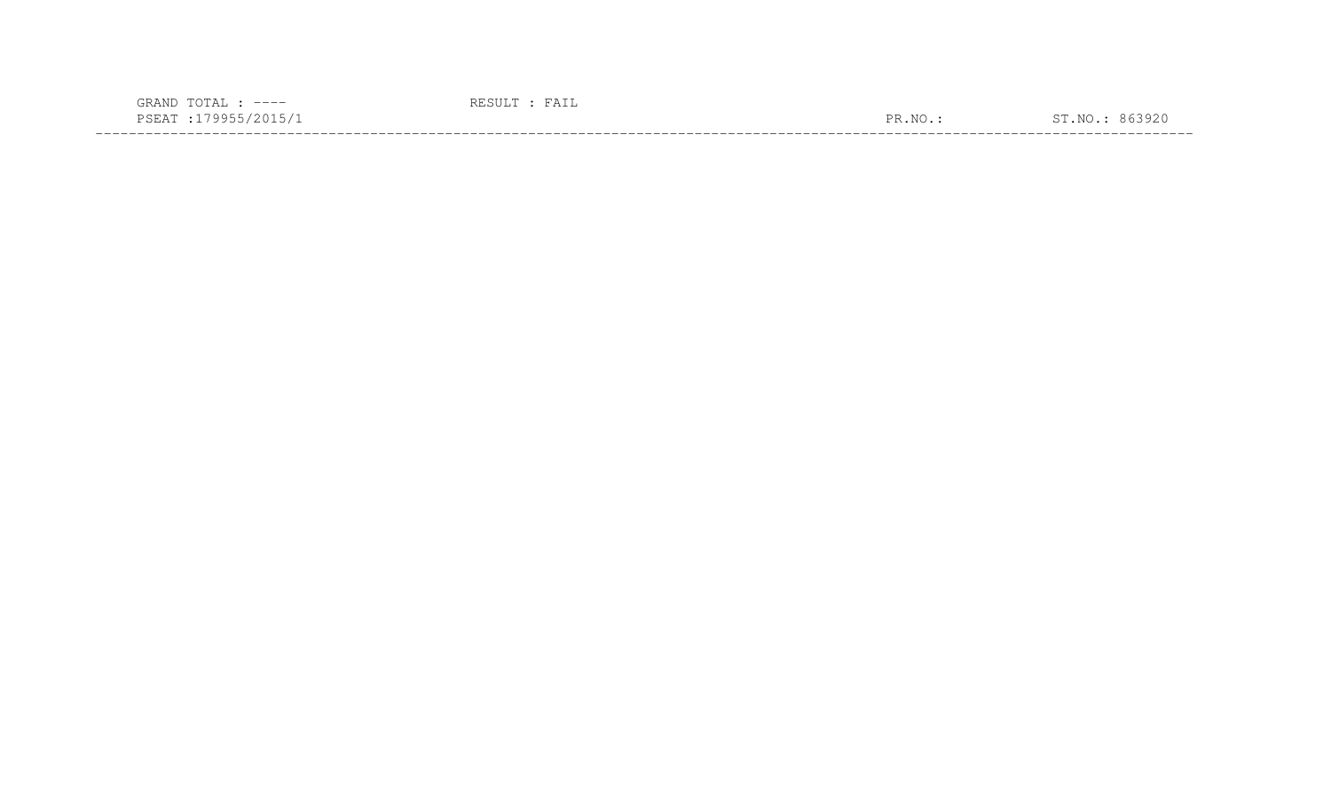| -----                                                                                                                                |  |  |
|--------------------------------------------------------------------------------------------------------------------------------------|--|--|
| $\lambda$<br>- ~-<br>the contract of the contract of the contract of the contract of the contract of the contract of the contract of |  |  |
|                                                                                                                                      |  |  |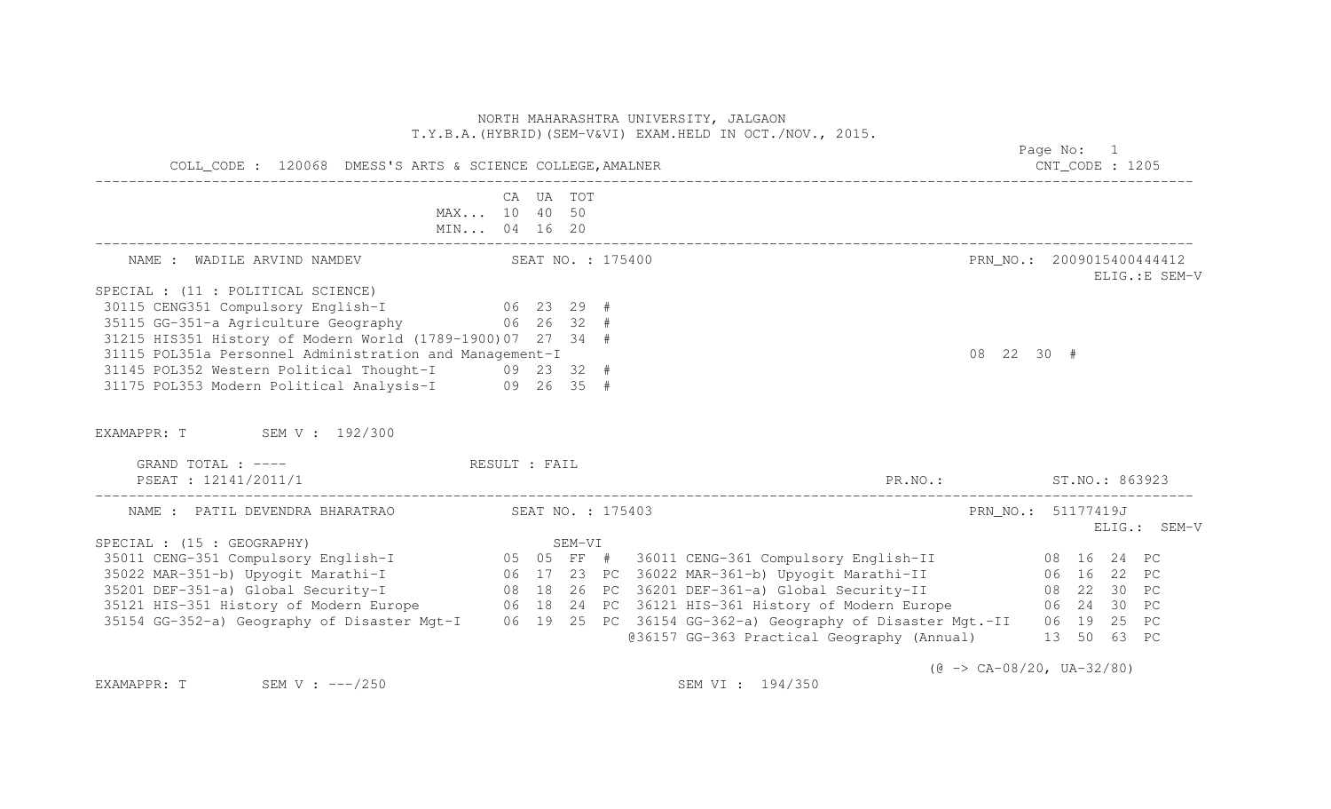| COLL_CODE : 120068 DMESS'S ARTS & SCIENCE COLLEGE, AMALNER                                                                                                                                                                                 |  |                   |  |  |                                                        |                                           | Page No: 1<br>$CNT\_CODE$ : 1205 |  |                |  |  |  |
|--------------------------------------------------------------------------------------------------------------------------------------------------------------------------------------------------------------------------------------------|--|-------------------|--|--|--------------------------------------------------------|-------------------------------------------|----------------------------------|--|----------------|--|--|--|
| MAX 10 40 50<br>MIN 04 16 20                                                                                                                                                                                                               |  | CA UA TOT         |  |  |                                                        |                                           |                                  |  |                |  |  |  |
| NAME : WADILE ARVIND NAMDEV SEAT NO. : 175400                                                                                                                                                                                              |  |                   |  |  |                                                        | PRN_NO.: 2009015400444412                 |                                  |  | ELIG.: E SEM-V |  |  |  |
| SPECIAL : (11 : POLITICAL SCIENCE)                                                                                                                                                                                                         |  |                   |  |  |                                                        |                                           |                                  |  |                |  |  |  |
| 30115 CENG351 Compulsory English-I 06 23 29 #                                                                                                                                                                                              |  |                   |  |  |                                                        |                                           |                                  |  |                |  |  |  |
| 35115 GG-351-a Agriculture Geography 66 26 32 #                                                                                                                                                                                            |  |                   |  |  |                                                        |                                           |                                  |  |                |  |  |  |
| 31215 HIS351 History of Modern World (1789-1900) 07 27 34 #                                                                                                                                                                                |  |                   |  |  |                                                        |                                           |                                  |  |                |  |  |  |
| 31115 POL351a Personnel Administration and Management-I                                                                                                                                                                                    |  |                   |  |  |                                                        | 08 22 30 #                                |                                  |  |                |  |  |  |
| 31145 POL352 Western Political Thought-I 09 23 32 #<br>31175 POL353 Modern Political Analysis-I 09 26 35 #                                                                                                                                 |  |                   |  |  |                                                        |                                           |                                  |  |                |  |  |  |
|                                                                                                                                                                                                                                            |  |                   |  |  |                                                        |                                           |                                  |  |                |  |  |  |
| EXAMAPPR: T SEM V : 192/300<br>GRAND TOTAL : ---- The RESULT : FAIL                                                                                                                                                                        |  |                   |  |  |                                                        |                                           |                                  |  |                |  |  |  |
| PSEAT : 12141/2011/1                                                                                                                                                                                                                       |  |                   |  |  | PR. NO.: ST. NO.: 863923                               |                                           |                                  |  |                |  |  |  |
| NAME : PATIL DEVENDRA BHARATRAO                                                                                                                                                                                                            |  | SEAT NO. : 175403 |  |  |                                                        | PRN_NO.: 51177419J                        |                                  |  |                |  |  |  |
| SPECIAL : (15 : GEOGRAPHY)                                                                                                                                                                                                                 |  |                   |  |  |                                                        |                                           |                                  |  |                |  |  |  |
|                                                                                                                                                                                                                                            |  |                   |  |  |                                                        |                                           |                                  |  |                |  |  |  |
|                                                                                                                                                                                                                                            |  |                   |  |  |                                                        |                                           |                                  |  |                |  |  |  |
|                                                                                                                                                                                                                                            |  |                   |  |  |                                                        |                                           |                                  |  |                |  |  |  |
|                                                                                                                                                                                                                                            |  |                   |  |  |                                                        |                                           |                                  |  |                |  |  |  |
| SEM-VI<br>35011 CENG-351 Compulsory English-I<br>35011 CENG-351 Compulsory English-I<br>35022 MAR-351-b) Upyogit Marathi-I<br>35201 DEF-351-a) Global Security-I<br>35121 HIS-351 History of Modern Europe<br>35121 HIS-351 History of Mod |  |                   |  |  | @36157 GG-363 Practical Geography (Annual) 13 50 63 PC |                                           |                                  |  |                |  |  |  |
| EXAMAPPR: T SEM V : $---/250$                                                                                                                                                                                                              |  |                   |  |  | SEM VI : 194/350                                       | $(\theta \rightarrow CA-08/20, UA-32/80)$ |                                  |  | ELIG.: SEM-V   |  |  |  |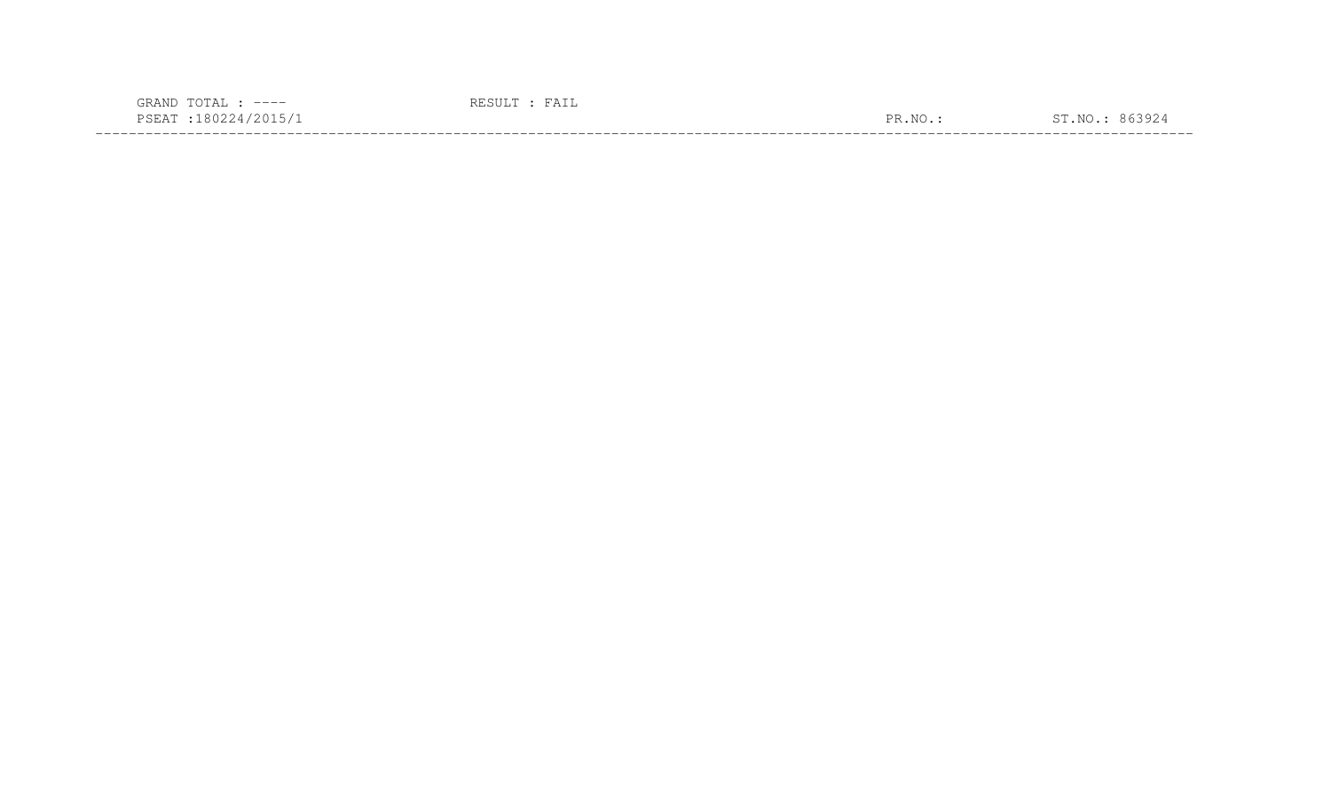| $---$                                                                                                           |                      |  |
|-----------------------------------------------------------------------------------------------------------------|----------------------|--|
| the contract of the contract of the contract of the contract of the contract of the contract of the contract of | $\overline{N}$<br>םת |  |
|                                                                                                                 |                      |  |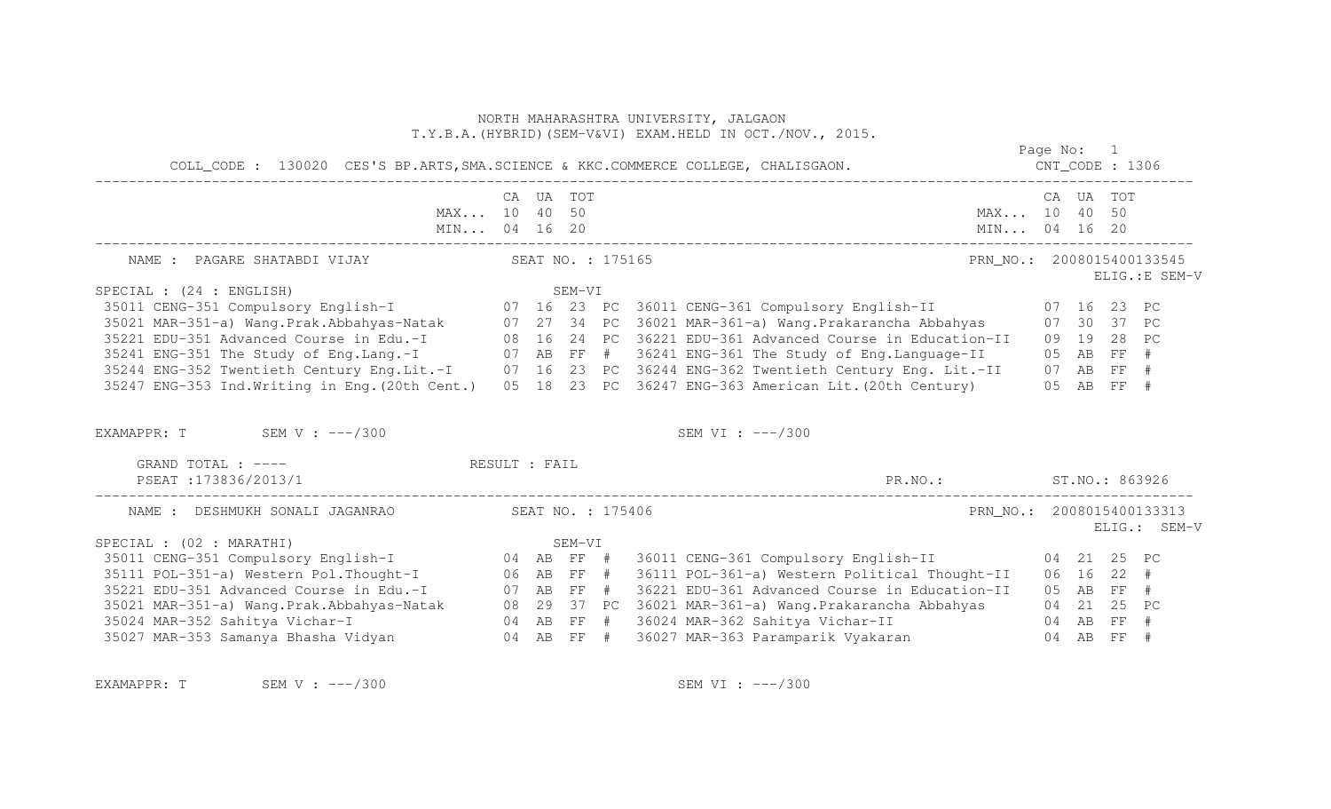# T.Y.B.A.(HYBRID)(SEM-V&VI) EXAM.HELD IN OCT./NOV., 2015. Page No: 1 COLL\_CODE : 130020 CES'S BP.ARTS,SMA.SCIENCE & KKC.COMMERCE COLLEGE, CHALISGAON. CNT\_CODE : 1306 ------------------------------------------------------------------------------------------------------------------------------------ CA UA TOT CA UA TOT MAX... 10 40 50 MAX... 10 40 50 MIN... 04 16 20 MIN... 04 16 20 MIN... 04 16 20 ------------------------------------------------------------------------------------------------------------------------------------ NAME : PAGARE SHATABDI VIJAY SEAT NO. : 175165 PRN\_NO. : 2008015400133545 ELIG.:E SEM-V SEM-VI<br>35011 CENG-351 Compulsory English-I (16 23 PC 36011 CENG-361 Compulsory English-II (17 16 23 PC<br>35021 MAR-351-a) Wang.Prak.Abbahyas-Natak (17 27 34 PC 36021 MAR-361-a) Wang.Prakarancha Abbahyas (17 30 37 PC<br>35221 ED 35241 ENG-351 The Study of Eng.Lang.-I 07 AB FF # 36241 ENG-361 The Study of Eng.Language-II 05 AB FF # 35244 ENG-352 Twentieth Century Eng.Lit.-I 07 16 23 PC 36244 ENG-362 Twentieth Century Eng. Lit.-II 07 AB FF # 35247 ENG-353 Ind.Writing in Eng.(20th Cent.) 05 18 23 PC 36247 ENG-363 American Lit.(20th Century) 05 AB FF # EXAMAPPR: T SEM V : ---/300 SEM VI : ---/300 GRAND TOTAL : ---- RESULT : FAIL PSEAT :173836/2013/1 PR.NO.: ST.NO.: 863926 ------------------------------------------------------------------------------------------------------------------------------------ NAME : DESHMUKH SONALI JAGANRAO SEAT NO. : 175406 PRN\_NO.: 2008015400133313 ELIG.: SEM-V enter and the second second second second second second second second second second second second second second second second second second second second second second second second second second second second second secon SEM-VI<br>
SEM-VI 35011 CENG-351 Compulsory English-T<br>
35011 CENG-351 Compulsory English-T<br>
35021 EDU-351-a) Weatern Pol.Thought-T<br>
35221 EDU-351-a) Weatern Pol.Thought-T<br>
35221 EDU-351 Advanced Course in Edu.-T<br>
35021 MAR-35

NORTH MAHARASHTRA UNIVERSITY, JALGAON

EXAMAPPR: T SEM V : ---/300 SEM VI : ---/300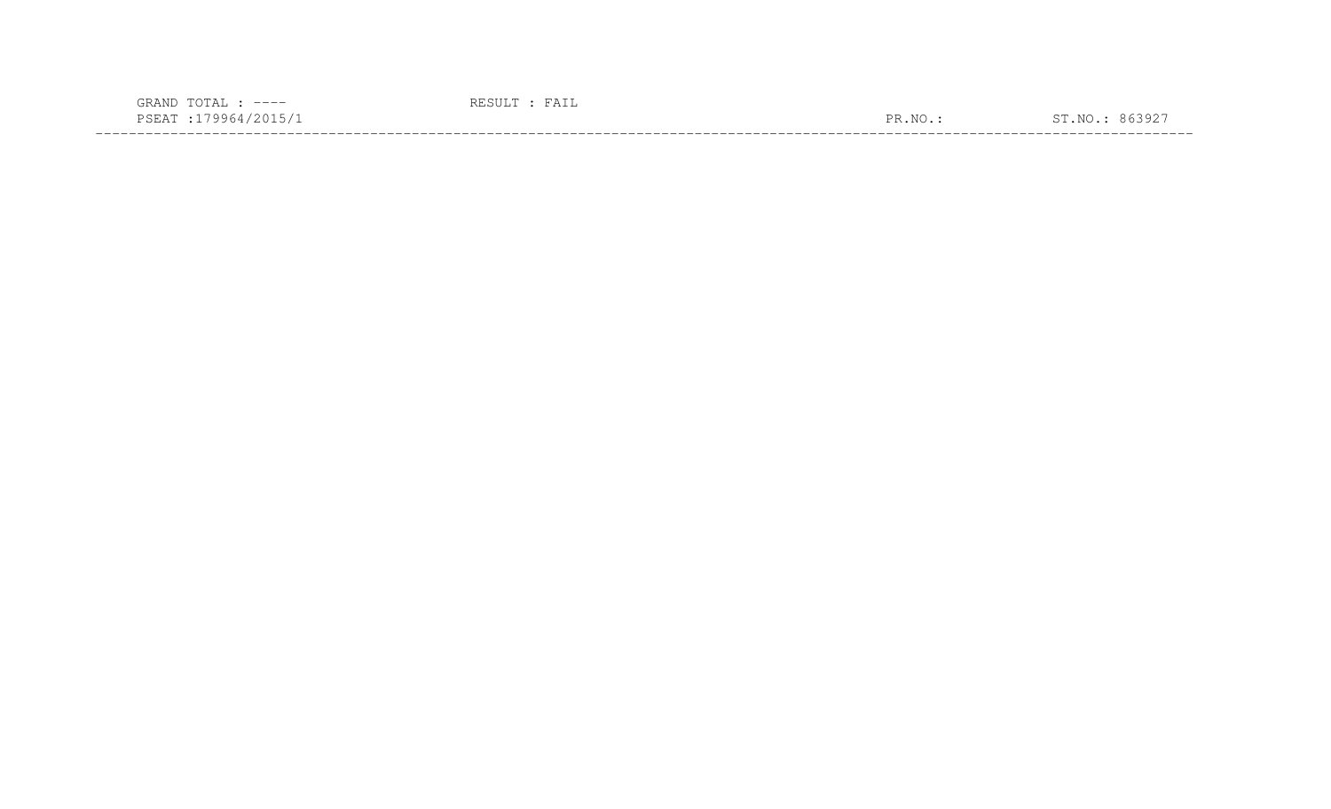| $\cap$<br>GRAND<br>$---$                                                                                                          | $A \perp L$ |                                         |    |
|-----------------------------------------------------------------------------------------------------------------------------------|-------------|-----------------------------------------|----|
| PSEA.<br>4046.<br>the contract of the contract of the contract of the contract of the contract of the contract of the contract of |             | PR.<br>እፐ $\curvearrowright$<br>$\cdot$ | Νſ |
|                                                                                                                                   |             |                                         |    |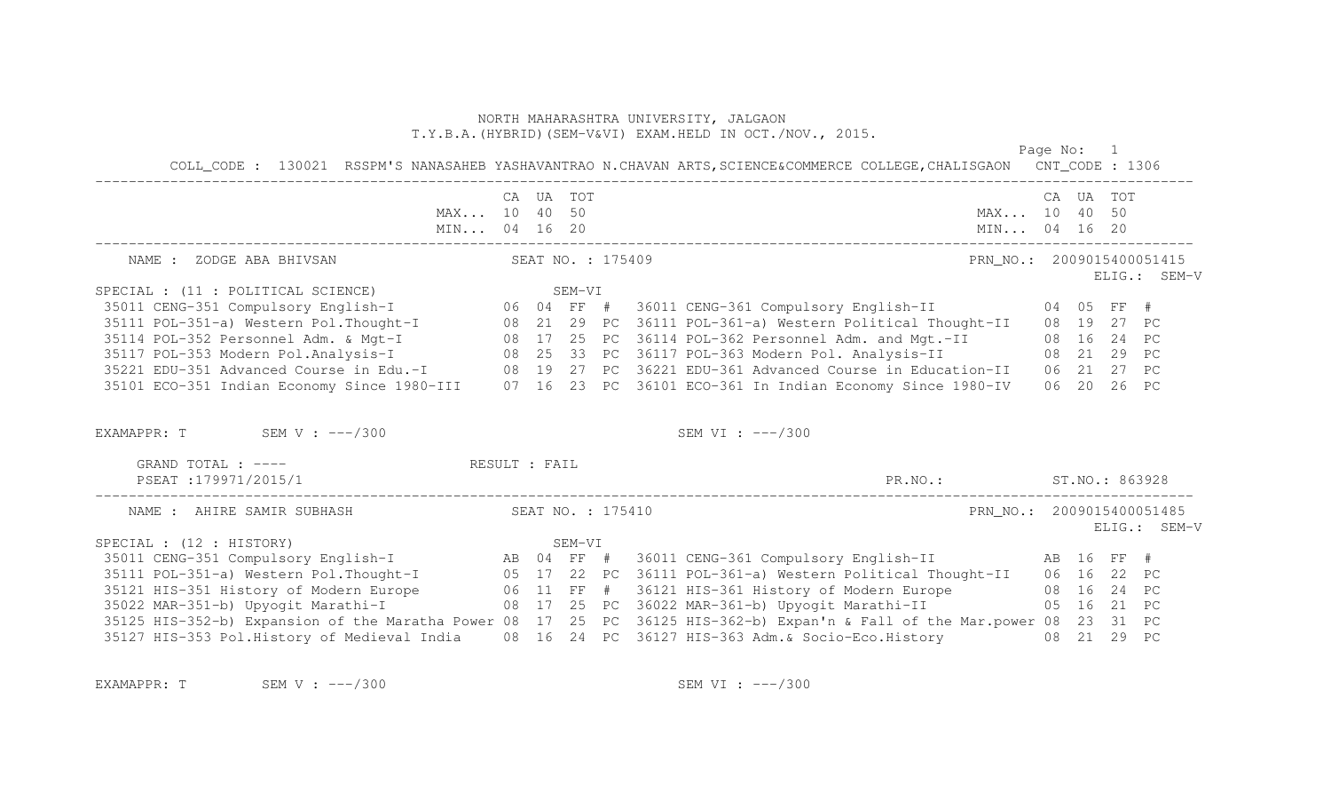Page No: 1

| COLL_CODE: 130021 RSSPM'S NANASAHEB YASHAVANTRAO N.CHAVAN ARTS, SCIENCE&COMMERCE COLLEGE, CHALISGAON CNT_CODE: 1306                                                                                                                    |  |                   |                    |                           |  |           |              |
|----------------------------------------------------------------------------------------------------------------------------------------------------------------------------------------------------------------------------------------|--|-------------------|--------------------|---------------------------|--|-----------|--------------|
| MAX 10 40 50                                                                                                                                                                                                                           |  | CA UA TOT         |                    | MAX 10 40 50              |  | CA UA TOT |              |
| NAME : ZODGE ABA BHIVSAN                                                                                                                                                                                                               |  | SEAT NO. : 175409 |                    | PRN NO.: 2009015400051415 |  |           | ELIG.: SEM-V |
|                                                                                                                                                                                                                                        |  |                   |                    |                           |  |           |              |
|                                                                                                                                                                                                                                        |  |                   |                    |                           |  |           |              |
|                                                                                                                                                                                                                                        |  |                   |                    |                           |  |           |              |
|                                                                                                                                                                                                                                        |  |                   |                    |                           |  |           |              |
| 35114 POL-352 Personnel Adm. & Mgt-I (1888) 17 25 PC 36114 POL-362 Personnel Adm. and Mgt.-II (1888) 16 24 PC<br>35117 POL-353 Modern Pol.Analysis-I (1888) 25 33 PC 36117 POL-363 Modern Pol. Analysis-II (1888) 29 PC                |  |                   |                    |                           |  |           |              |
| 35221 EDU-351 Advanced Course in Edu.-I 08 19 27 PC 36221 EDU-361 Advanced Course in Education-II 06 21 27 PC                                                                                                                          |  |                   |                    |                           |  |           |              |
| 35101 ECO-351 Indian Economy Since 1980-III 07 16 23 PC 36101 ECO-361 In Indian Economy Since 1980-IV 06 20 26 PC                                                                                                                      |  |                   |                    |                           |  |           |              |
| EXAMAPPR: $T$ SEM V : $---/300$                                                                                                                                                                                                        |  |                   | SEM VI : $---/300$ |                           |  |           |              |
| GRAND TOTAL : ---- RESULT : FAIL                                                                                                                                                                                                       |  |                   |                    |                           |  |           |              |
| PSEAT : 179971/2015/1                                                                                                                                                                                                                  |  |                   |                    | PR.NO.: ST.NO.: 863928    |  |           |              |
| NAME : AHIRE SAMIR SUBHASH                                                                                                                                                                                                             |  | SEAT NO. : 175410 |                    | PRN NO.: 2009015400051485 |  |           | ELIG.: SEM-V |
| SPECIAL : (12 : HISTORY)                                                                                                                                                                                                               |  | SEM-VI            |                    |                           |  |           |              |
| 35011 CENG-351 Compulsory English-I (AB 04 FF # 36011 CENG-361 Compulsory English-II (AB 16 FF #                                                                                                                                       |  |                   |                    |                           |  |           |              |
| 35111 POL-351-a) Western Pol. Thought-I (05 17 22 PC 36111 POL-361-a) Western Political Thought-II (06 16 22 PC                                                                                                                        |  |                   |                    |                           |  |           |              |
|                                                                                                                                                                                                                                        |  |                   |                    |                           |  |           |              |
|                                                                                                                                                                                                                                        |  |                   |                    |                           |  |           |              |
| 35125 HIS-352-b) Expansion of the Maratha Power 08 17 25 PC 36125 HIS-362-b) Expan'n & Fall of the Mar.power 08 23 31 PC<br>35127 HIS-353 Pol.History of Medieval India 08 16 24 PC 36127 HIS-363 Adm. & Socio-Eco.History 08 21 29 PC |  |                   |                    |                           |  |           |              |

EXAMAPPR: T SEM V : ---/300 SEM VI : ---/300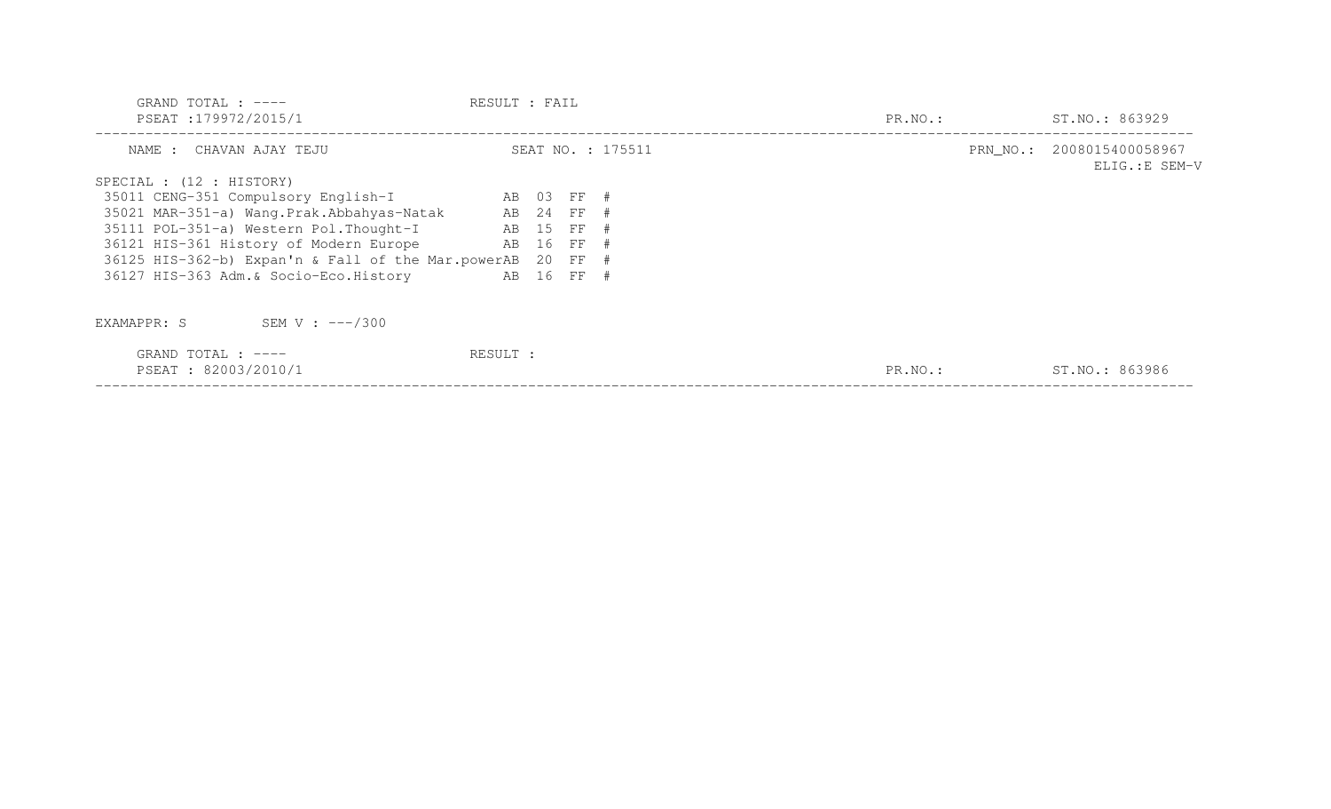| GRAND TOTAL : $---$<br>PSEAT:179972/2015/1             | RESULT : FAIL |            |                   | PR.NO.: | ST.NO.: 863929                             |
|--------------------------------------------------------|---------------|------------|-------------------|---------|--------------------------------------------|
| NAME : CHAVAN AJAY TEJU                                |               |            | SEAT NO. : 175511 |         | PRN NO.: 2008015400058967<br>ELIG.:E SEM-V |
| SPECIAL : (12 : HISTORY)                               |               |            |                   |         |                                            |
| 35011 CENG-351 Compulsory English-I AB 03 FF #         |               |            |                   |         |                                            |
| 35021 MAR-351-a) Wang. Prak. Abbahyas-Natak AB 24 FF # |               |            |                   |         |                                            |
| 35111 POL-351-a) Western Pol. Thought-I                | AB 15 FF #    |            |                   |         |                                            |
| 36121 HIS-361 History of Modern Europe                 | AB 16 FF #    |            |                   |         |                                            |
| 36125 HIS-362-b) Expan'n & Fall of the Mar.powerAB     |               | 20 FF #    |                   |         |                                            |
| 36127 HIS-363 Adm. & Socio-Eco. History                |               | AB 16 FF # |                   |         |                                            |
| SEM V : $---/300$<br>EXAMAPPR: S                       |               |            |                   |         |                                            |
| GRAND TOTAL : $---$<br>PSEAT: 82003/2010/1             | RESULT :      |            |                   | PR.NO.: | ST.NO.: 863986                             |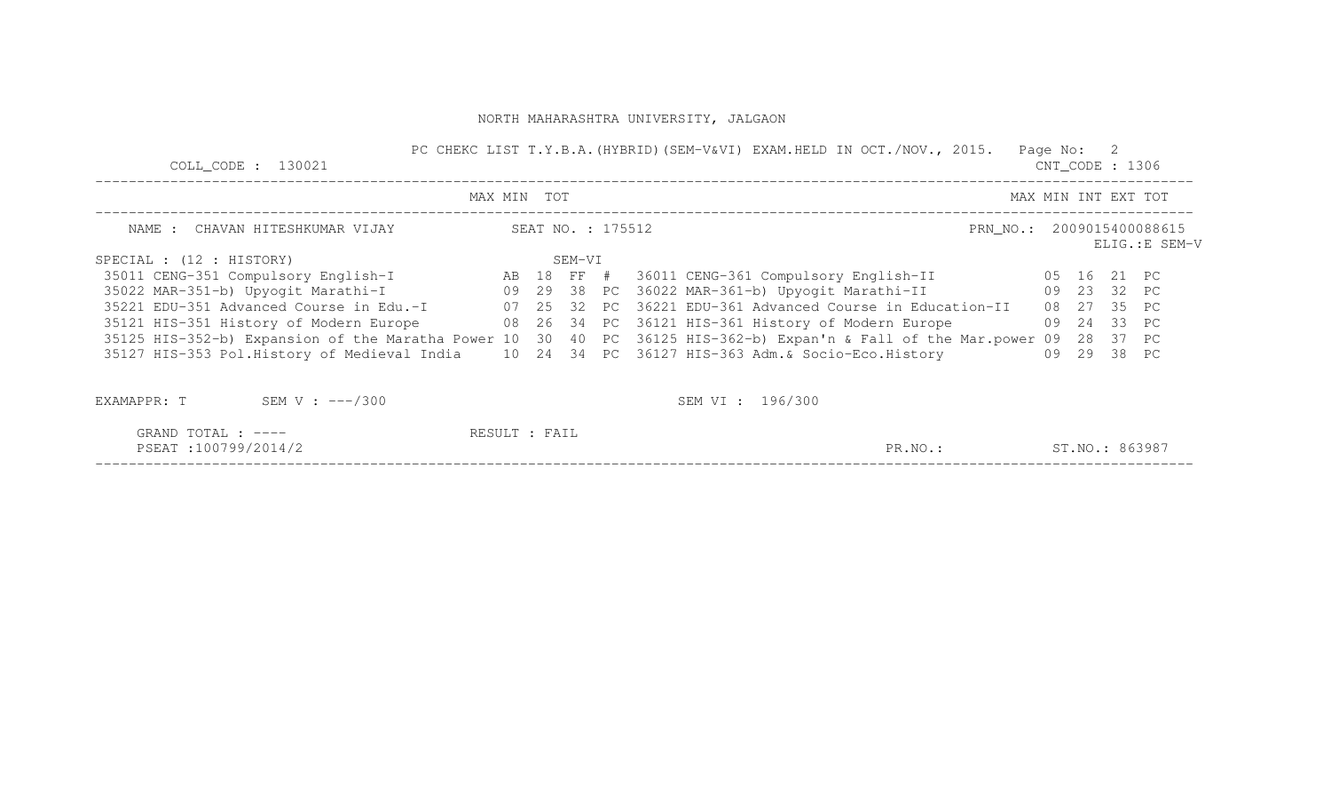| COLL CODE : 130021                                                                             |               |                   | PC CHEKC LIST T.Y.B.A. (HYBRID) (SEM-V&VI) EXAM.HELD IN OCT./NOV., 2015.                                                 | Page No: 2 | $CNT\_CODE$ : 1306  |                |
|------------------------------------------------------------------------------------------------|---------------|-------------------|--------------------------------------------------------------------------------------------------------------------------|------------|---------------------|----------------|
|                                                                                                | MAX MIN TOT   |                   |                                                                                                                          |            | MAX MIN INT EXT TOT |                |
| NAME : CHAVAN HITESHKUMAR VIJAY                                                                |               | SEAT NO. : 175512 | PRN_NO.: 2009015400088615                                                                                                |            |                     | ELIG.: E SEM-V |
| SPECIAL : (12 : HISTORY)                                                                       |               | SEM-VI            |                                                                                                                          |            |                     |                |
|                                                                                                |               |                   | 35011 CENG-351 Compulsory English-I (AB 18 FF # 36011 CENG-361 Compulsory English-II (05 16 21 PC                        |            |                     |                |
|                                                                                                |               |                   | 35022 MAR-351-b) Upyogit Marathi-I                       09   29   38   PC   36022 MAR-361-b) Upyogit Marathi-II         |            | 09 23 32 PC         |                |
| 35221 EDU-351 Advanced Course in Edu.-I                                                        |               |                   | 07 25 32 PC 36221 EDU-361 Advanced Course in Education-II                                                                |            | 08 27 35 PC         |                |
| 35121 HIS-351 History of Modern Europe 68 26 34 PC 36121 HIS-361 History of Modern Europe      |               |                   |                                                                                                                          |            | 09 24 33 PC         |                |
|                                                                                                |               |                   | 35125 HIS-352-b) Expansion of the Maratha Power 10 30 40 PC 36125 HIS-362-b) Expan'n & Fall of the Mar.power 09 28 37 PC |            |                     |                |
| 35127 HIS-353 Pol.History of Medieval India 10 24 34 PC 36127 HIS-363 Adm. & Socio-Eco.History |               |                   |                                                                                                                          |            | 09 29 38 PC         |                |
| EXAMAPPR: $T$ SEM V : $---/300$                                                                |               |                   | SEM VI : 196/300                                                                                                         |            |                     |                |
| GRAND TOTAL : $---$                                                                            | RESULT : FAIL |                   |                                                                                                                          |            |                     |                |
| PSEAT:100799/2014/2                                                                            |               |                   | PR.NO.:                                                                                                                  |            | ST.NO.: 863987      |                |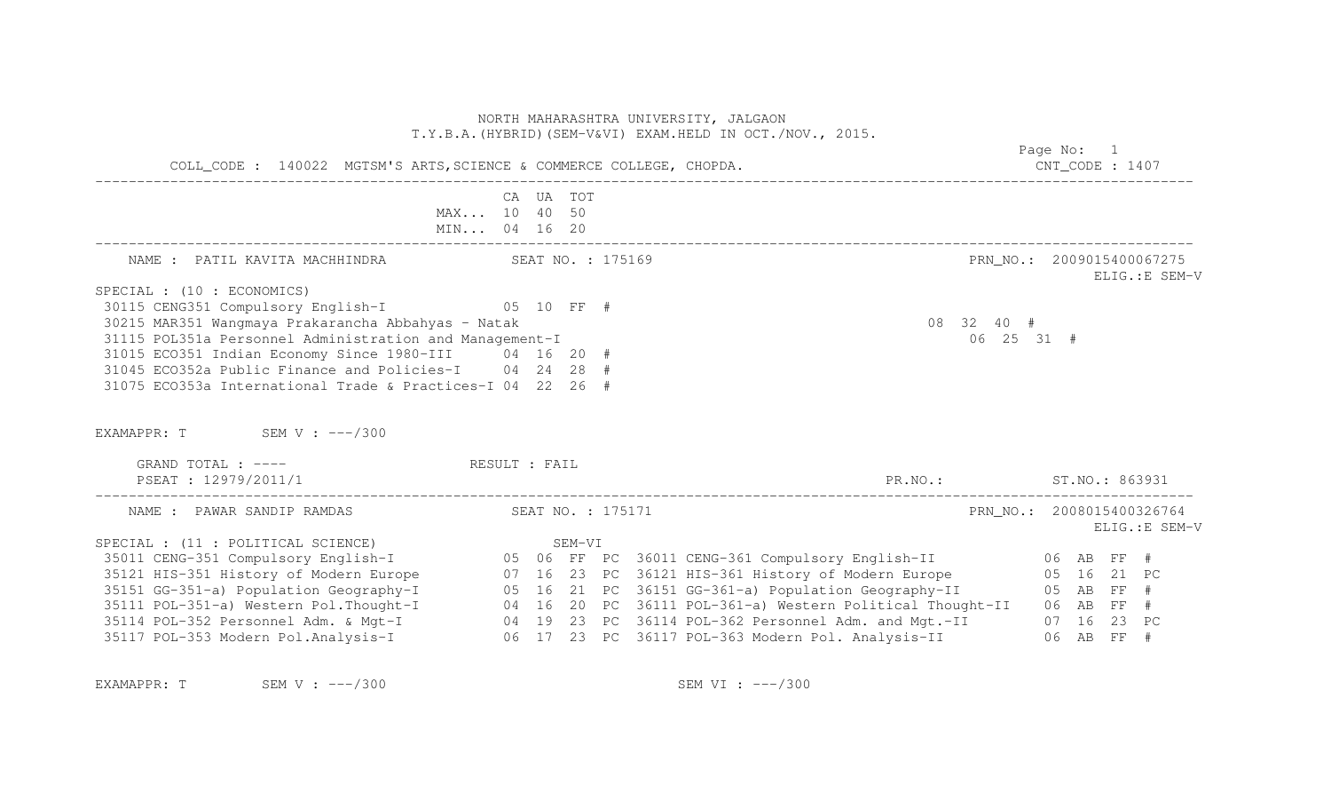|                                                                                                                                                                                                                                                                                                                                                                                                                 | NORTH MAHARASHTRA UNIVERSITY, JALGAON<br>T.Y.B.A. (HYBRID) (SEM-V&VI) EXAM.HELD IN OCT./NOV., 2015.<br>COLL_CODE : 140022 MGTSM'S ARTS, SCIENCE & COMMERCE COLLEGE, CHOPDA.                          | Page No: 1<br>$CNT\_CODE$ : 1407            |
|-----------------------------------------------------------------------------------------------------------------------------------------------------------------------------------------------------------------------------------------------------------------------------------------------------------------------------------------------------------------------------------------------------------------|------------------------------------------------------------------------------------------------------------------------------------------------------------------------------------------------------|---------------------------------------------|
|                                                                                                                                                                                                                                                                                                                                                                                                                 | CA UA TOT<br>MAX 10 40 50<br>MIN 04 16 20                                                                                                                                                            |                                             |
| NAME : PATIL KAVITA MACHHINDRA SEAT NO. : 175169                                                                                                                                                                                                                                                                                                                                                                |                                                                                                                                                                                                      | PRN NO.: 2009015400067275<br>ELIG.: E SEM-V |
| SPECIAL : (10 : ECONOMICS)<br>30115 CENG351 Compulsory English-I 05 10 FF #<br>30215 MAR351 Wangmaya Prakarancha Abbahyas - Natak<br>31115 POL351a Personnel Administration and Management-I<br>31015 ECO351 Indian Economy Since 1980-III 04 16 20 #<br>31045 ECO352a Public Finance and Policies-I 04 24 28 #<br>31075 ECO353a International Trade & Practices-I 04 22 26 #<br>EXAMAPPR: $T$ SEM V: $---/300$ |                                                                                                                                                                                                      | 08 32 40 #<br>06 25 31 #                    |
| GRAND TOTAL : ---- RESULT : FAIL<br>PSEAT : 12979/2011/1                                                                                                                                                                                                                                                                                                                                                        |                                                                                                                                                                                                      | PR.NO.: ST.NO.: 863931                      |
| NAME : PAWAR SANDIP RAMDAS                                                                                                                                                                                                                                                                                                                                                                                      | SEAT NO. : 175171                                                                                                                                                                                    | PRN NO.: 2008015400326764<br>ELIG.: E SEM-V |
|                                                                                                                                                                                                                                                                                                                                                                                                                 |                                                                                                                                                                                                      |                                             |
|                                                                                                                                                                                                                                                                                                                                                                                                                 |                                                                                                                                                                                                      |                                             |
|                                                                                                                                                                                                                                                                                                                                                                                                                 | 35151 GG-351-a) Population Geography-I 65 16 21 PC 36151 GG-361-a) Population Geography-II 65 AB FF #                                                                                                |                                             |
|                                                                                                                                                                                                                                                                                                                                                                                                                 | 35111 POL-351-a) Western Pol. Thought-I 04 16 20 PC 36111 POL-361-a) Western Political Thought-II 06 AB FF #                                                                                         |                                             |
|                                                                                                                                                                                                                                                                                                                                                                                                                 |                                                                                                                                                                                                      |                                             |
|                                                                                                                                                                                                                                                                                                                                                                                                                 | 35114 POL-352 Personnel Adm. & Mgt-I (19 23 PC 36114 POL-362 Personnel Adm. and Mgt.-II (19 23 PC)<br>35117 POL-353 Modern Pol.Analysis-I (19 23 PC 36117 POL-363 Modern Pol. Analysis-II (19 88 FF) |                                             |

EXAMAPPR: T SEM V : ---/300 SEM VI : ---/300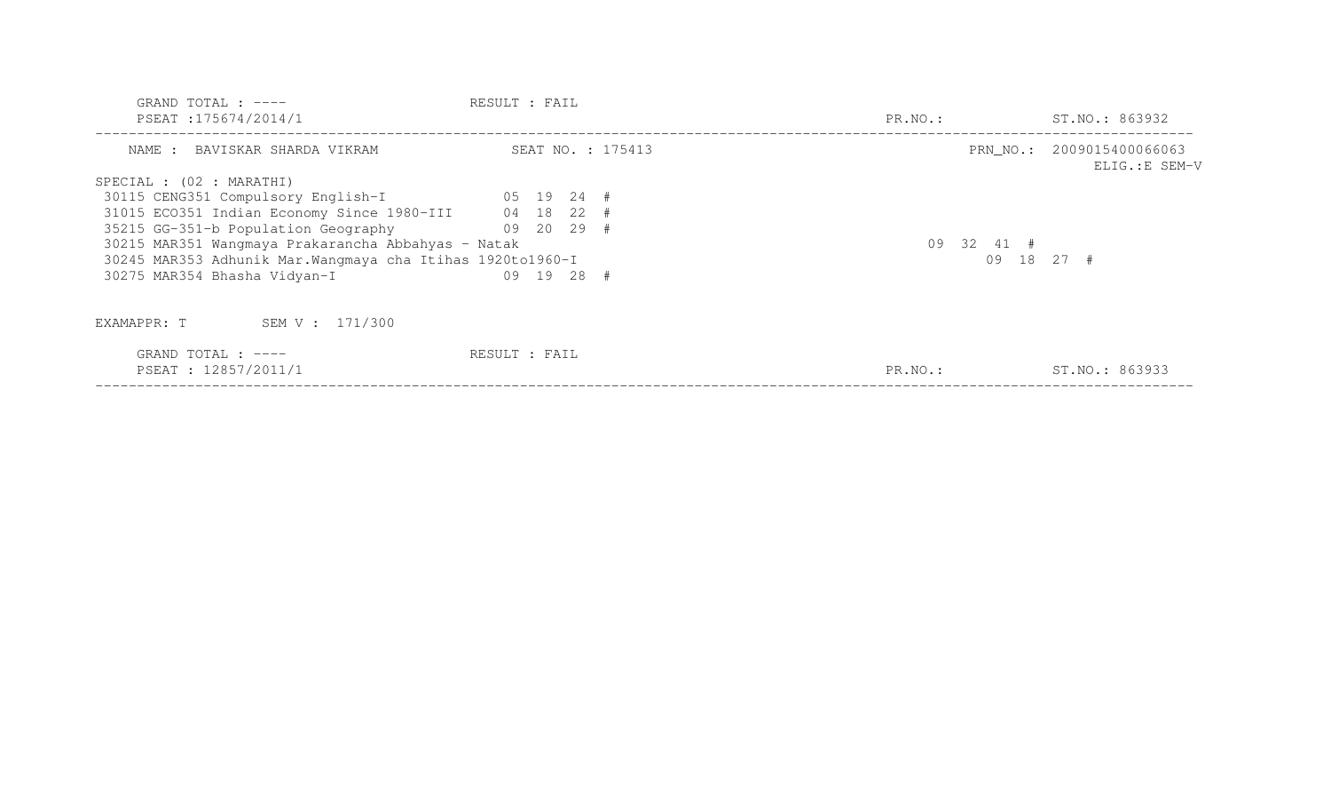| GRAND TOTAL : $---$<br>PSEAT : 175674/2014/1               | RESULT : FAIL     | PR.NO.:    | ST.NO.: 863932                              |
|------------------------------------------------------------|-------------------|------------|---------------------------------------------|
| NAME : BAVISKAR SHARDA VIKRAM                              | SEAT NO. : 175413 |            | PRN NO.: 2009015400066063<br>ELIG.: E SEM-V |
| SPECIAL : (02 : MARATHI)                                   |                   |            |                                             |
| 30115 CENG351 Compulsory English-I 05 19 24 #              |                   |            |                                             |
| 31015 ECO351 Indian Economy Since 1980-III 04 18 22 #      |                   |            |                                             |
| 35215 GG-351-b Population Geography                        | $09$ 20 29 #      |            |                                             |
| 30215 MAR351 Wangmaya Prakarancha Abbahyas - Natak         |                   | 09 32 41 # |                                             |
| 30245 MAR353 Adhunik Mar. Wangmaya cha Itihas 1920to1960-I |                   |            | $09$ 18 27 #                                |
| 30275 MAR354 Bhasha Vidyan-I                               | 09 19 28 #        |            |                                             |
| SEM V : 171/300<br>EXAMAPPR: T                             |                   |            |                                             |
| GRAND TOTAL : $---$<br>PSEAT : 12857/2011/1                | RESULT : FAIL     | PR.NO.:    | ST.NO.: 863933                              |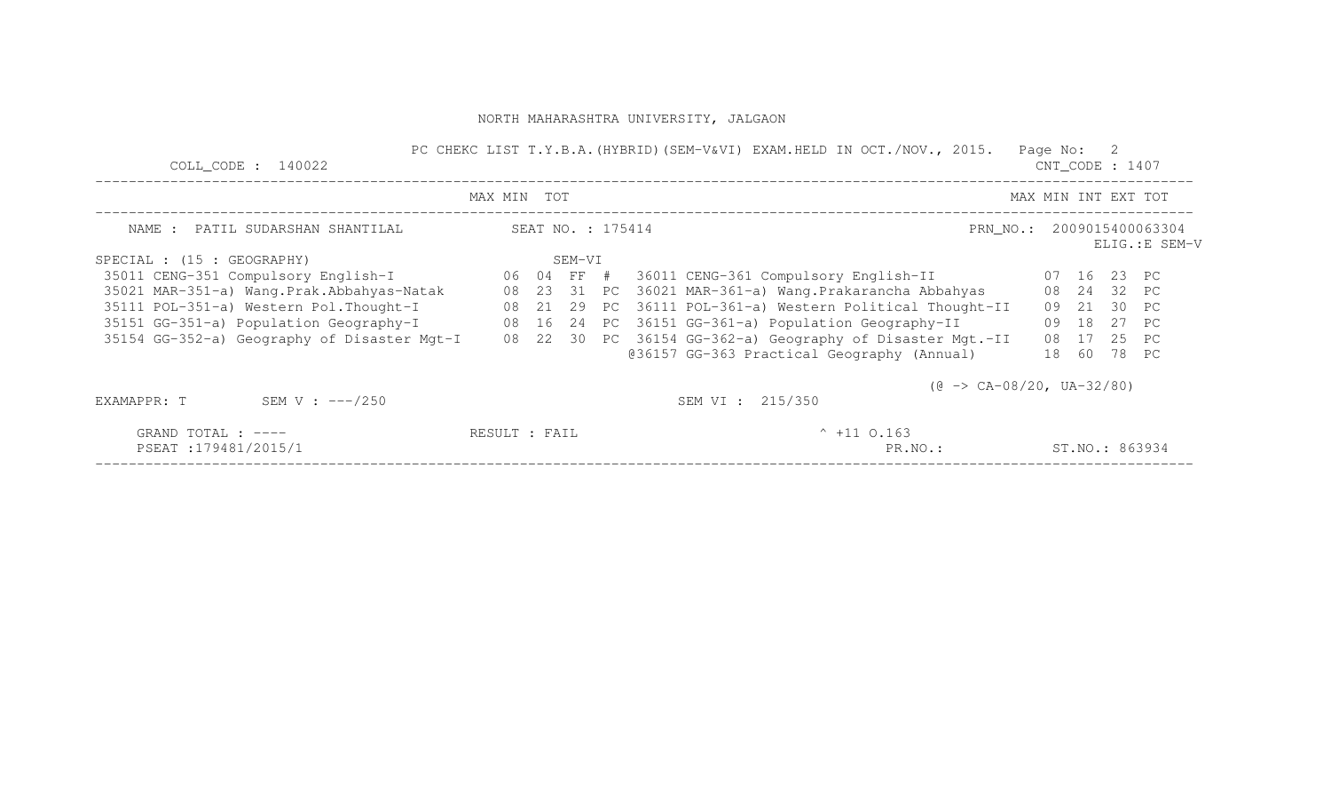| $COLL$ CODE : 140022                                                                       |                   |  |        |  | PC CHEKC LIST T.Y.B.A. (HYBRID) (SEM-V&VI) EXAM.HELD IN OCT./NOV., 2015.<br>Page No: 2                            | $CNT\_CODE$ : 1407 |  |  |
|--------------------------------------------------------------------------------------------|-------------------|--|--------|--|-------------------------------------------------------------------------------------------------------------------|--------------------|--|--|
|                                                                                            | MAX MIN TOT       |  |        |  | MAX MIN INT EXT TOT                                                                                               |                    |  |  |
| NAME : PATIL SUDARSHAN SHANTILAL                                                           | SEAT NO. : 175414 |  |        |  |                                                                                                                   |                    |  |  |
| SPECIAL : (15 : GEOGRAPHY)                                                                 |                   |  | SEM-VI |  |                                                                                                                   |                    |  |  |
| 35011 CENG-351 Compulsory English-I                                                        | 06 04 FF #        |  |        |  | 36011 CENG-361 Compulsory English-II                                                                              | 07 16 23 PC        |  |  |
| 35021 MAR-351-a) Wang.Prak.Abbahyas-Natak                                                  |                   |  |        |  | 08   23   31   PC   36021 MAR-361-a)   Wang.Prakarancha Abbahyas                                                  | 08  24  32  PC     |  |  |
| 35111 POL-351-a) Western Pol. Thought-I                                                    |                   |  |        |  | 08 21 29 PC 36111 POL-361-a) Western Political Thought-II                                                         | 09 21 30 PC        |  |  |
| 35151 GG-351-a) Population Geography-I 68 16 24 PC 36151 GG-361-a) Population Geography-II |                   |  |        |  | 09<br>18                                                                                                          | 27 PC              |  |  |
|                                                                                            |                   |  |        |  | 35154 GG-352-a) Geography of Disaster Mgt-I 08 22 30 PC 36154 GG-362-a) Geography of Disaster Mgt.-II<br>08<br>17 | 25 PC              |  |  |
|                                                                                            |                   |  |        |  | @36157 GG-363 Practical Geography (Annual)<br>18<br>60                                                            | 78 PC              |  |  |
|                                                                                            |                   |  |        |  | $(\theta \rightarrow CA-08/20, UA-32/80)$                                                                         |                    |  |  |
| SEM V : $---/250$<br>EXAMAPPR: T                                                           |                   |  |        |  | SEM VI : 215/350                                                                                                  |                    |  |  |
| GRAND TOTAL : $---$                                                                        | RESULT : FAIL     |  |        |  | $^{\circ}$ +11 0.163                                                                                              |                    |  |  |
| PSEAT:179481/2015/1                                                                        |                   |  |        |  | PR.NO.:                                                                                                           | ST.NO.: 863934     |  |  |
|                                                                                            |                   |  |        |  |                                                                                                                   |                    |  |  |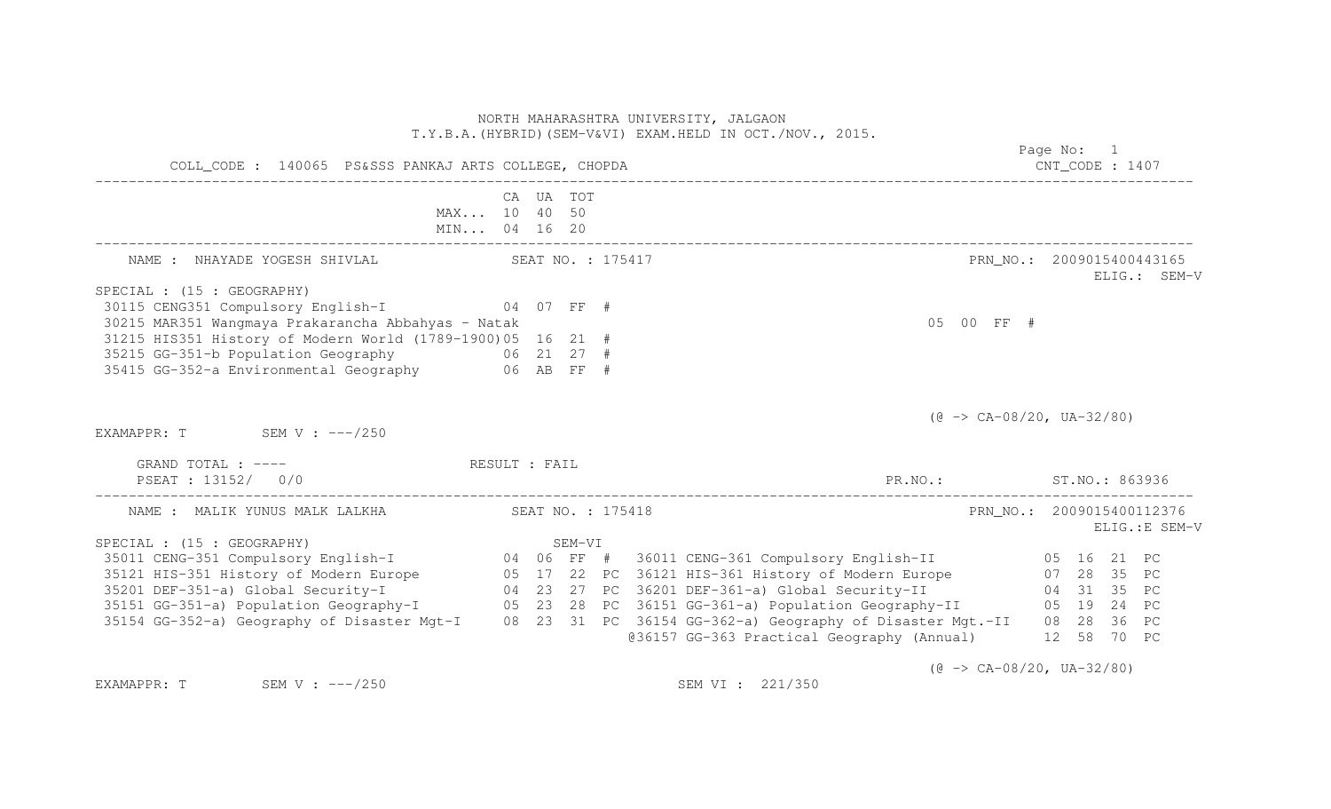| T.Y.B.A. (HYBRID) (SEM-V&VI) EXAM.HELD IN OCT./NOV., 2015.<br>COLL_CODE : 140065 PS&SSS PANKAJ ARTS COLLEGE, CHOPDA                                                                                                                    |           |        |  |                                                        | Page No: 1<br>$CNT\_CODE$ : 1407          |  |  |  |                |  |
|----------------------------------------------------------------------------------------------------------------------------------------------------------------------------------------------------------------------------------------|-----------|--------|--|--------------------------------------------------------|-------------------------------------------|--|--|--|----------------|--|
| MAX 10 40 50<br>MIN 04 16 20                                                                                                                                                                                                           | CA UA TOT |        |  |                                                        |                                           |  |  |  |                |  |
| NAME : NHAYADE YOGESH SHIVLAL SEAT NO. : 175417                                                                                                                                                                                        |           |        |  |                                                        | PRN NO.: 2009015400443165                 |  |  |  | ELIG.: SEM-V   |  |
| SPECIAL : (15 : GEOGRAPHY)                                                                                                                                                                                                             |           |        |  |                                                        |                                           |  |  |  |                |  |
| 30115 CENG351 Compulsory English-I 04 07 FF #                                                                                                                                                                                          |           |        |  |                                                        |                                           |  |  |  |                |  |
| 30215 MAR351 Wangmaya Prakarancha Abbahyas - Natak                                                                                                                                                                                     |           |        |  |                                                        | 05 00 FF #                                |  |  |  |                |  |
| 31215 HIS351 History of Modern World (1789-1900)05 16 21 #                                                                                                                                                                             |           |        |  |                                                        |                                           |  |  |  |                |  |
| 35215 GG-351-b Population Geography 66 21 27 #                                                                                                                                                                                         |           |        |  |                                                        |                                           |  |  |  |                |  |
| 35415 GG-352-a Environmental Geography 66 AB FF #                                                                                                                                                                                      |           |        |  |                                                        |                                           |  |  |  |                |  |
|                                                                                                                                                                                                                                        |           |        |  |                                                        | $(\theta \rightarrow CA-08/20, UA-32/80)$ |  |  |  |                |  |
| EXAMAPPR: $T$ SEM V : $---/250$                                                                                                                                                                                                        |           |        |  |                                                        |                                           |  |  |  |                |  |
| GRAND TOTAL : ---- RESULT : FAIL                                                                                                                                                                                                       |           |        |  |                                                        |                                           |  |  |  |                |  |
| PSEAT : 13152/ 0/0                                                                                                                                                                                                                     |           |        |  | PR.NO.: ST.NO.: 863936                                 |                                           |  |  |  |                |  |
| NAME: MALIK YUNUS MALK LALKHA (SEAT NO. : 175418)                                                                                                                                                                                      |           |        |  |                                                        | PRN_NO.: 2009015400112376                 |  |  |  |                |  |
|                                                                                                                                                                                                                                        |           |        |  |                                                        |                                           |  |  |  | ELIG.: E SEM-V |  |
| SPECIAL : (15 : GEOGRAPHY)                                                                                                                                                                                                             |           | SEM-VI |  |                                                        |                                           |  |  |  |                |  |
|                                                                                                                                                                                                                                        |           |        |  |                                                        |                                           |  |  |  |                |  |
| 35121 HIS-351 History of Modern Europe<br>35201 DEF-351-a) Global Security-I<br>35151 GG-351-a) Population Geography-I 05 23 28 PC 36151 GG-361-a) Global Security-II 04 31 35 PC<br>35154 GG-352-a) Geography of Disaster Mgt-I 08 23 |           |        |  |                                                        |                                           |  |  |  |                |  |
|                                                                                                                                                                                                                                        |           |        |  |                                                        |                                           |  |  |  |                |  |
|                                                                                                                                                                                                                                        |           |        |  |                                                        |                                           |  |  |  |                |  |
|                                                                                                                                                                                                                                        |           |        |  |                                                        |                                           |  |  |  |                |  |
|                                                                                                                                                                                                                                        |           |        |  | @36157 GG-363 Practical Geography (Annual) 12 58 70 PC |                                           |  |  |  |                |  |
|                                                                                                                                                                                                                                        |           |        |  |                                                        | $(\theta \rightarrow CA-08/20, UA-32/80)$ |  |  |  |                |  |

EXAMAPPR: T SEM V : ---/250 SEM V : ---/250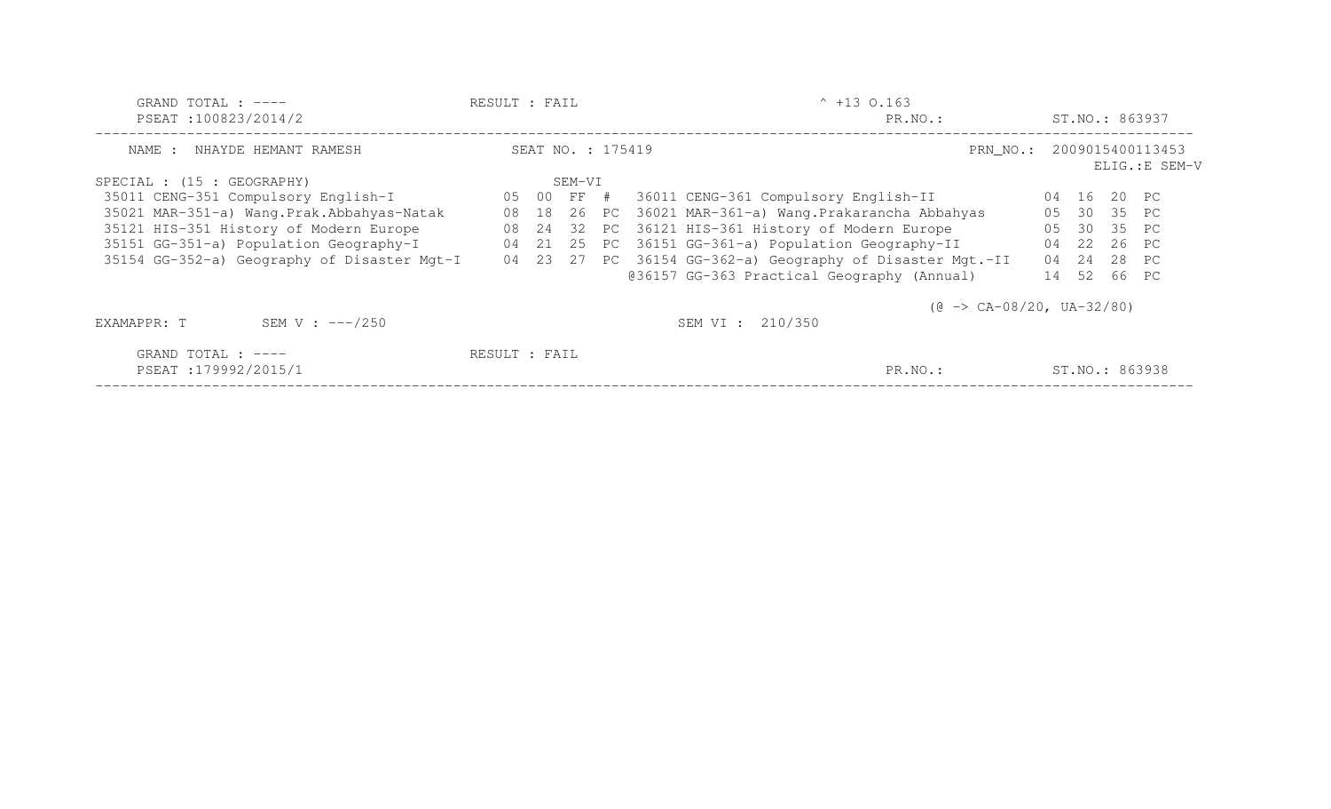| GRAND TOTAL : $---$<br>PSEAT:100823/2014/2  | RESULT : FAIL |                   |  | $^{\circ}$ +13 0.163<br>PR.NO.:                               |    |       |             | ST.NO.: 863937 |
|---------------------------------------------|---------------|-------------------|--|---------------------------------------------------------------|----|-------|-------------|----------------|
| NHAYDE HEMANT RAMESH<br>NAME :              |               | SEAT NO. : 175419 |  | PRN NO.: 2009015400113453                                     |    |       |             | ELIG.: E SEM-V |
| SPECIAL : (15 : GEOGRAPHY)                  |               | SEM-VI            |  |                                                               |    |       |             |                |
| 35011 CENG-351 Compulsory English-I         |               | 05 00 FF #        |  | 36011 CENG-361 Compulsory English-II                          |    | 04 16 | 20 PC       |                |
| 35021 MAR-351-a) Wang.Prak.Abbahyas-Natak   | 08            |                   |  | 18 26 PC 36021 MAR-361-a) Wang. Prakarancha Abbahyas          | 05 |       | 30 35 PC    |                |
| 35121 HIS-351 History of Modern Europe      | 08            |                   |  | 24 32 PC 36121 HIS-361 History of Modern Europe               | 05 |       | 30 35 PC    |                |
| 35151 GG-351-a) Population Geography-I      | 04            |                   |  | 21 25 PC 36151 GG-361-a) Population Geography-II              | 04 |       | 22 26 PC    |                |
| 35154 GG-352-a) Geography of Disaster Mgt-I |               |                   |  | 04 23 27 PC 36154 GG-362-a) Geography of Disaster Mgt.-II     | 04 |       | 24 28 PC    |                |
|                                             |               |                   |  | @36157 GG-363 Practical Geography (Annual)                    |    |       | 14 52 66 PC |                |
| SEM V : $---/250$<br>EXAMAPPR: T            |               |                   |  | $(\theta \rightarrow CA-08/20, UA-32/80)$<br>SEM VI : 210/350 |    |       |             |                |
|                                             |               |                   |  |                                                               |    |       |             |                |
| GRAND TOTAL : $---$<br>PSEAT:179992/2015/1  | RESULT : FAIL |                   |  | PR.NO.:                                                       |    |       |             | ST.NO.: 863938 |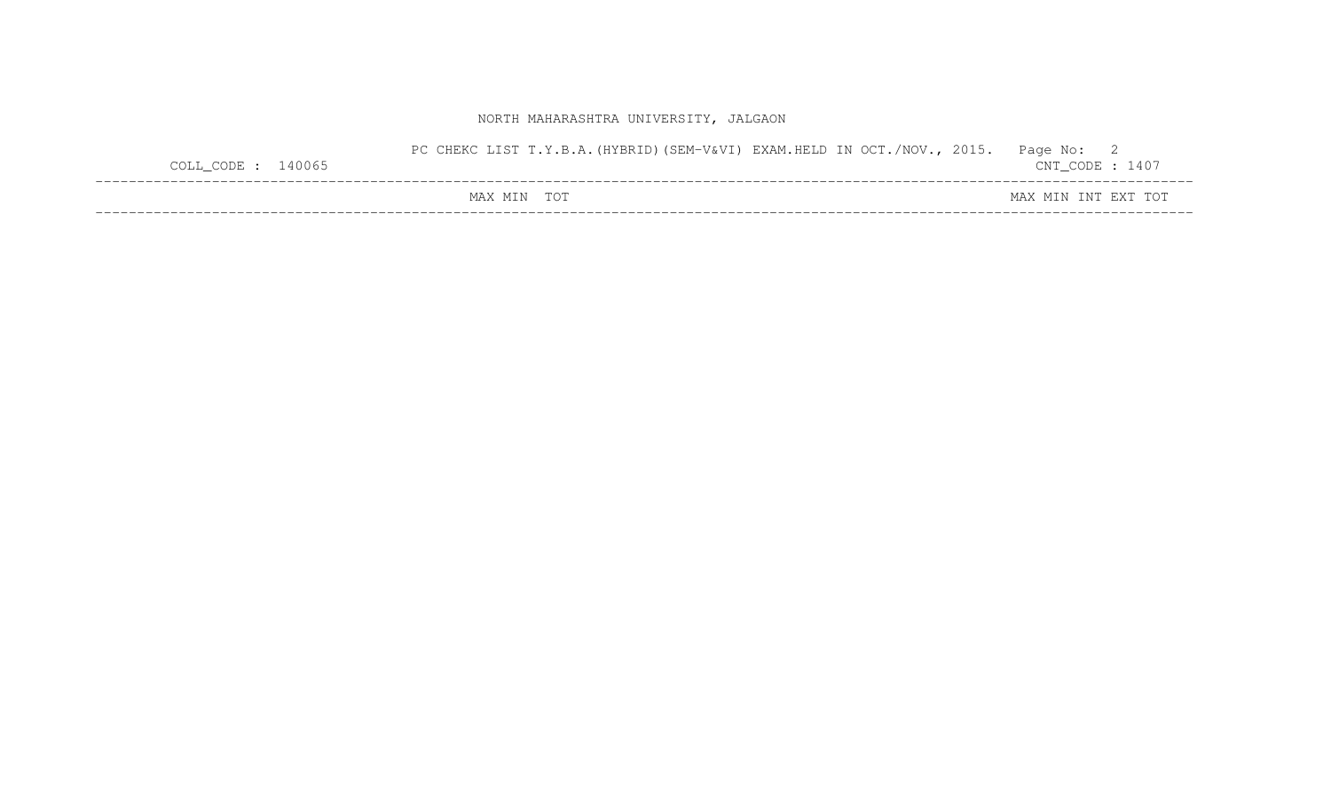| COLL CODE : $140065$ | PC CHEKC LIST T.Y.B.A. (HYBRID) (SEM-V&VI) EXAM.HELD IN OCT./NOV., 2015. | Page No: 2<br>$\mathtt{CNT\_CODE}$ : 1407 |
|----------------------|--------------------------------------------------------------------------|-------------------------------------------|
|                      | MAX MIN TOT                                                              | MAX MIN INT EXT TOT                       |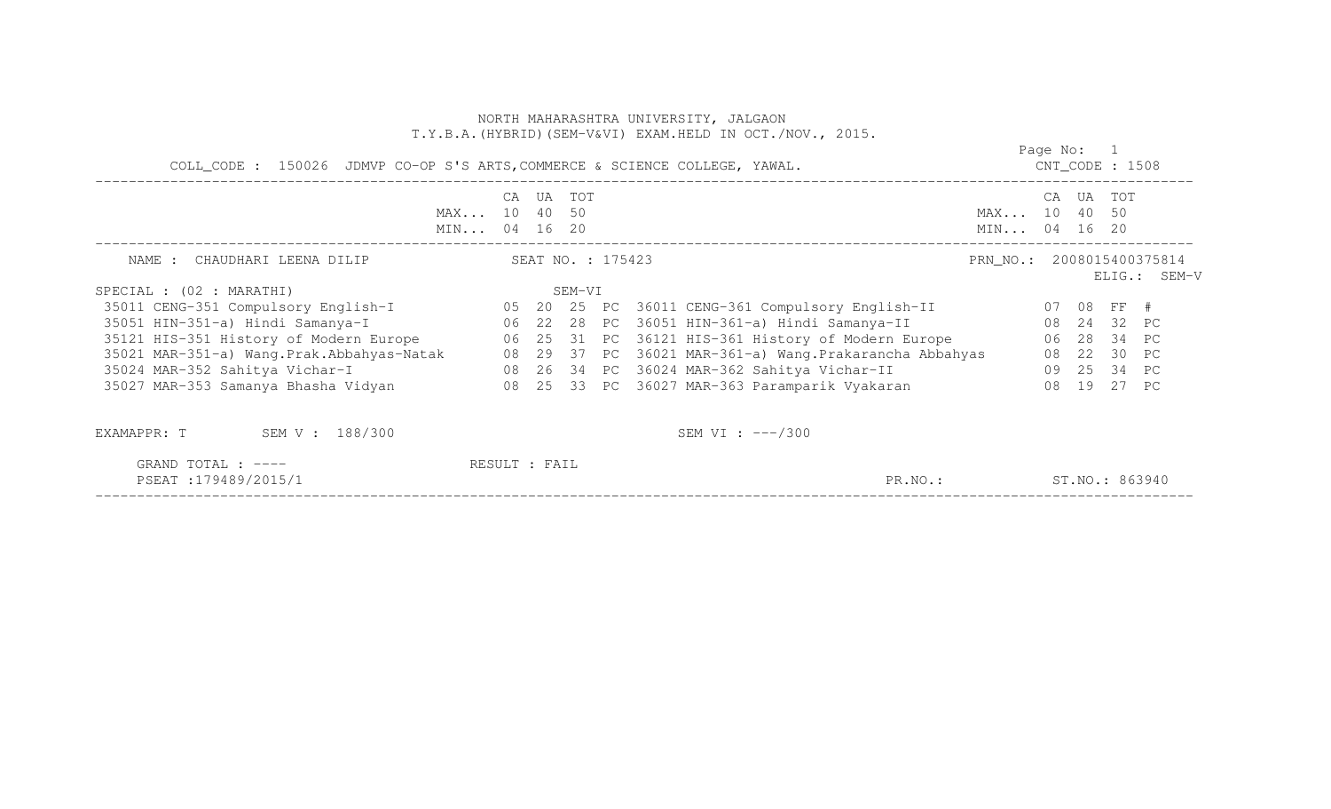|                                                                                                                                                                                                               |               |           |        |                   | NORTH MAHARASHTRA UNIVERSITY, JALGAON<br>T.Y.B.A. (HYBRID) (SEM-V&VI) EXAM.HELD IN OCT./NOV., 2015. |                              |            |                |              |
|---------------------------------------------------------------------------------------------------------------------------------------------------------------------------------------------------------------|---------------|-----------|--------|-------------------|-----------------------------------------------------------------------------------------------------|------------------------------|------------|----------------|--------------|
|                                                                                                                                                                                                               |               |           |        |                   | COLL_CODE: 150026 JDMVP CO-OP S'S ARTS, COMMERCE & SCIENCE COLLEGE, YAWAL. COLLECTE : 1508          |                              | Page No: 1 |                |              |
| MAX 10 40 50<br>MIN 04 16 20                                                                                                                                                                                  |               | CA UA TOT |        |                   |                                                                                                     | MAX 10 40 50<br>MIN 04 16 20 |            | CA UA TOT      |              |
| NAME : CHAUDHARI LEENA DILIP                                                                                                                                                                                  |               |           |        | SEAT NO. : 175423 |                                                                                                     | PRN NO.: 2008015400375814    |            |                | ELIG.: SEM-V |
| SPECIAL : (02 : MARATHI)                                                                                                                                                                                      |               |           | SEM-VI |                   |                                                                                                     |                              |            |                |              |
|                                                                                                                                                                                                               |               |           |        |                   |                                                                                                     |                              |            |                |              |
| 35051 HIN-351-a) Hindi Samanya-I (22 28 PC 36051 HIN-361-a) Hindi Samanya-II (28 24 32 PC                                                                                                                     |               |           |        |                   |                                                                                                     |                              |            |                |              |
| 35121 HIS-351 History of Modern Europe 6 06 25 31 PC 36121 HIS-361 History of Modern Europe 6 06 28 34 PC                                                                                                     |               |           |        |                   |                                                                                                     |                              |            |                |              |
|                                                                                                                                                                                                               |               |           |        |                   |                                                                                                     |                              |            |                |              |
| 35021 MAR-351-a) Wang.Prak.Abbahyas-Natak (29 37 PC 36021 MAR-361-a) Wang.Prakarancha Abbahyas (22 30 PC)<br>35024 MAR-352 Sahitya Vichar-I (25 34 C) (26 34 PC 36024 MAR-362 Sahitya Vichar-II (29 25 34 PC) |               |           |        |                   |                                                                                                     |                              |            |                |              |
| 35027 MAR-353 Samanya Bhasha Vidyan                 08  25  33  PC  36027 MAR-363 Paramparik Vyakaran                   08  19  27  PC                                                                        |               |           |        |                   |                                                                                                     |                              |            |                |              |
| EXAMAPPR: T SEM V: 188/300                                                                                                                                                                                    |               |           |        |                   | SEM VI : $---/300$                                                                                  |                              |            |                |              |
| GRAND TOTAL : ----<br>PSEAT:179489/2015/1                                                                                                                                                                     | RESULT : FAIL |           |        |                   | PR.NO.:                                                                                             |                              |            | ST.NO.: 863940 |              |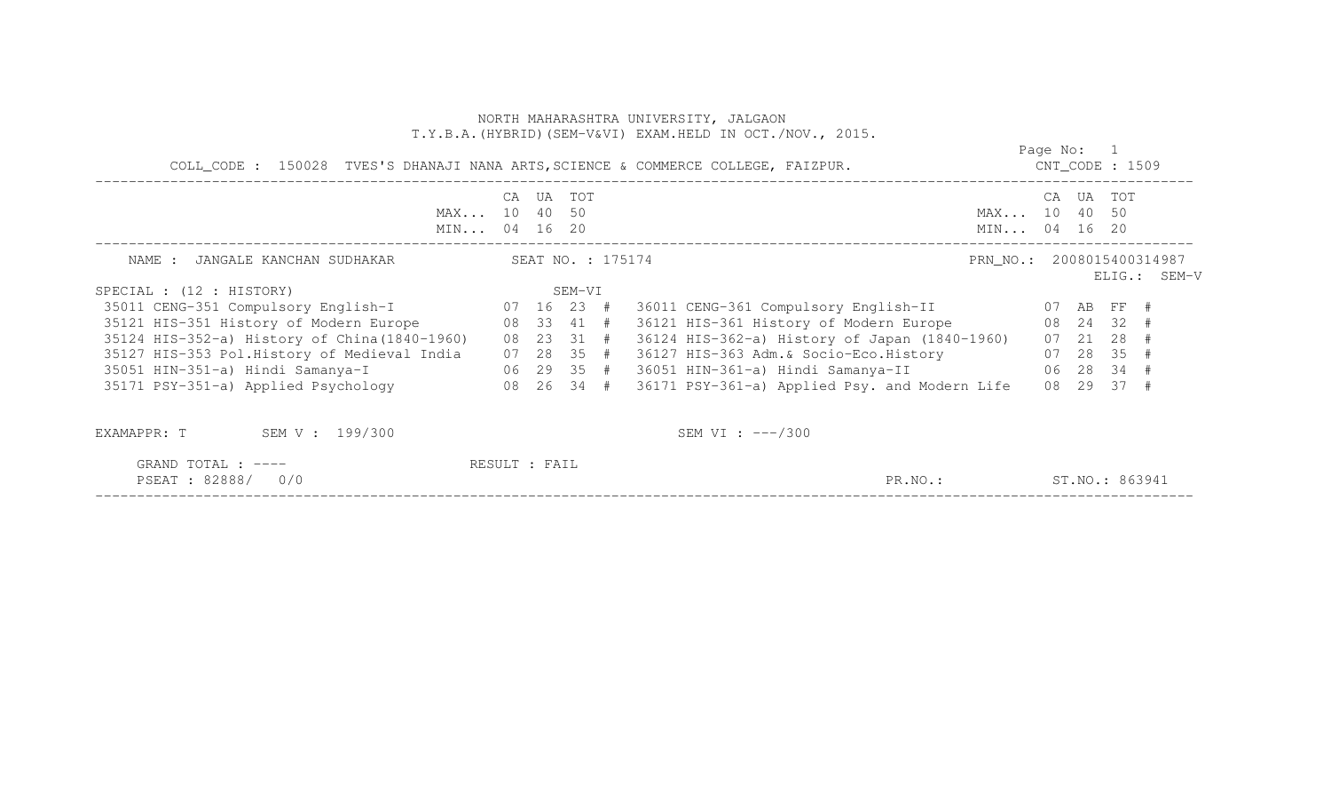|                                                          |               |           |        |                   | COLL_CODE : 150028 TVES'S DHANAJI NANA ARTS, SCIENCE & COMMERCE COLLEGE, FAIZPUR. | Page No: 1<br>$CNT\_CODE$ : 1509 |       |                |                                           |
|----------------------------------------------------------|---------------|-----------|--------|-------------------|-----------------------------------------------------------------------------------|----------------------------------|-------|----------------|-------------------------------------------|
| MAX 10 40 50<br>MIN 04 16 20                             |               | CA UA TOT |        |                   |                                                                                   | MAX 10 40 50<br>MIN 04 16 20     | CA UA | TOT            |                                           |
| JANGALE KANCHAN SUDHAKAR<br>NAME :                       |               |           |        | SEAT NO. : 175174 |                                                                                   |                                  |       |                | PRN NO.: 2008015400314987<br>ELIG.: SEM-V |
| SPECIAL : (12 : HISTORY)                                 |               |           | SEM-VI |                   |                                                                                   |                                  |       |                |                                           |
| 35011 CENG-351 Compulsory English-I 07 16 23 #           |               |           |        |                   | 36011 CENG-361 Compulsory English-II 07 AB FF #                                   |                                  |       |                |                                           |
| 08 33 41 #<br>35121 HIS-351 History of Modern Europe     |               |           |        |                   | 36121 HIS-361 History of Modern Europe 68 24 32 #                                 |                                  |       |                |                                           |
| 35124 HIS-352-a) History of China (1840-1960) 08 23 31 # |               |           |        |                   | 36124 HIS-362-a) History of Japan (1840-1960)                                     |                                  |       | 07 21 28 #     |                                           |
| 35127 HIS-353 Pol.History of Medieval India 07 28 35 #   |               |           |        |                   | 36127 HIS-363 Adm. & Socio-Eco. History 67 28 35 #                                |                                  |       |                |                                           |
| 35051 HIN-351-a) Hindi Samanya-I (29 35 #                |               |           |        |                   |                                                                                   |                                  |       |                |                                           |
| 35171 PSY-351-a) Applied Psychology 68 26 34 #           |               |           |        |                   | 36171 PSY-361-a) Applied Psy. and Modern Life                                     |                                  |       | 08 29 37 #     |                                           |
| SEM V : 199/300<br>EXAMAPPR: T                           |               |           |        |                   | SEM VI : $---/300$                                                                |                                  |       |                |                                           |
| GRAND TOTAL : ----<br>PSEAT: 82888/ 0/0                  | RESULT : FAIL |           |        |                   | PR.NO.:                                                                           |                                  |       | ST.NO.: 863941 |                                           |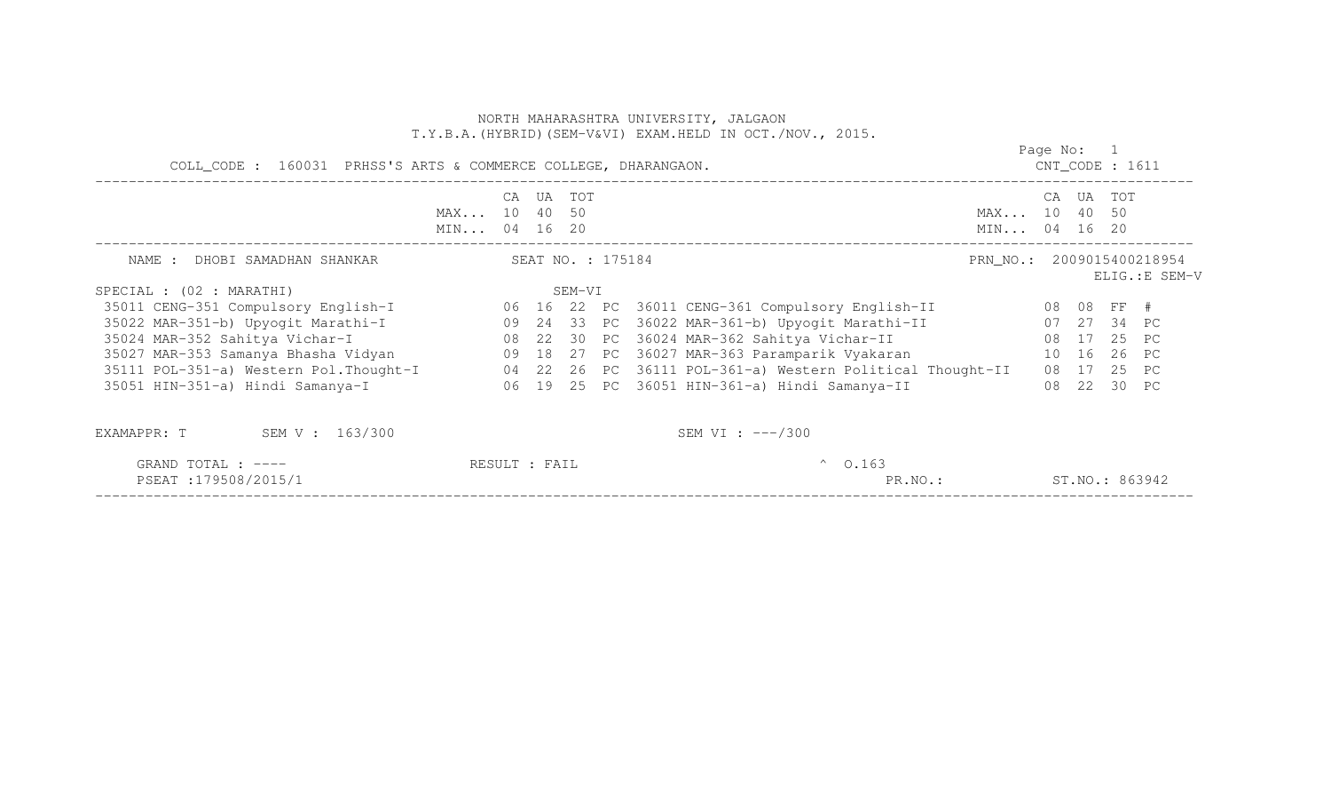|                                                                                                    |                              |           |        |  | NORTH MAHARASHTRA UNIVERSITY, JALGAON<br>T.Y.B.A. (HYBRID) (SEM-V&VI) EXAM.HELD IN OCT./NOV., 2015. |                              |            |                    |                |
|----------------------------------------------------------------------------------------------------|------------------------------|-----------|--------|--|-----------------------------------------------------------------------------------------------------|------------------------------|------------|--------------------|----------------|
| COLL_CODE : 160031 PRHSS'S ARTS & COMMERCE COLLEGE, DHARANGAON.                                    |                              |           |        |  |                                                                                                     |                              | Page No: 1 | $CNT\_CODE$ : 1611 |                |
|                                                                                                    | MAX 10 40 50<br>MIN 04 16 20 | CA UA TOT |        |  |                                                                                                     | MAX 10 40 50<br>MIN 04 16 20 |            | CA UA TOT          |                |
| SEAT NO. : 175184<br>NAME : DHOBI SAMADHAN SHANKAR                                                 |                              |           |        |  |                                                                                                     | PRN NO.: 2009015400218954    |            |                    | ELIG.: E SEM-V |
| SPECIAL : (02 : MARATHI)                                                                           |                              |           | SEM-VI |  |                                                                                                     |                              |            |                    |                |
| 35011 CENG-351 Compulsory English-I 66 16 22 PC 36011 CENG-361 Compulsory English-II 68 08 FF #    |                              |           |        |  |                                                                                                     |                              |            |                    |                |
|                                                                                                    |                              |           |        |  |                                                                                                     |                              |            |                    |                |
|                                                                                                    |                              |           |        |  |                                                                                                     |                              |            |                    |                |
| 35027 MAR-353 Samanya Bhasha Vidyan (18 29 18 27 PC 36027 MAR-363 Paramparik Vyakaran (18 16 26 PC |                              |           |        |  |                                                                                                     |                              |            |                    |                |
| 35111 POL-351-a) Western Pol.Thought-I 04 22 26 PC 36111 POL-361-a) Western Political Thought-II   |                              |           |        |  |                                                                                                     |                              |            | 08 17 25 PC        |                |
| 35051 HIN-351-a) Hindi Samanya-I                                                                   |                              |           |        |  | 06 19 25 PC 36051 HIN-361-a) Hindi Samanya-II                                                       |                              |            | 08 22 30 PC        |                |
| EXAMAPPR: T SEM V: 163/300                                                                         |                              |           |        |  | SEM VI : $---/300$                                                                                  |                              |            |                    |                |

| TOTAL<br>GRAND<br>.                                                                                                                                      | $\Gamma$<br>Άll<br>RESUL. | 0.163 |                 |
|----------------------------------------------------------------------------------------------------------------------------------------------------------|---------------------------|-------|-----------------|
| PSEAT<br>79508.<br>$\cdot$ 5 $\prime$<br>the contract of the contract of the contract of the contract of the contract of the contract of the contract of |                           | PR.NO | 863942<br>ST.NO |
|                                                                                                                                                          |                           |       |                 |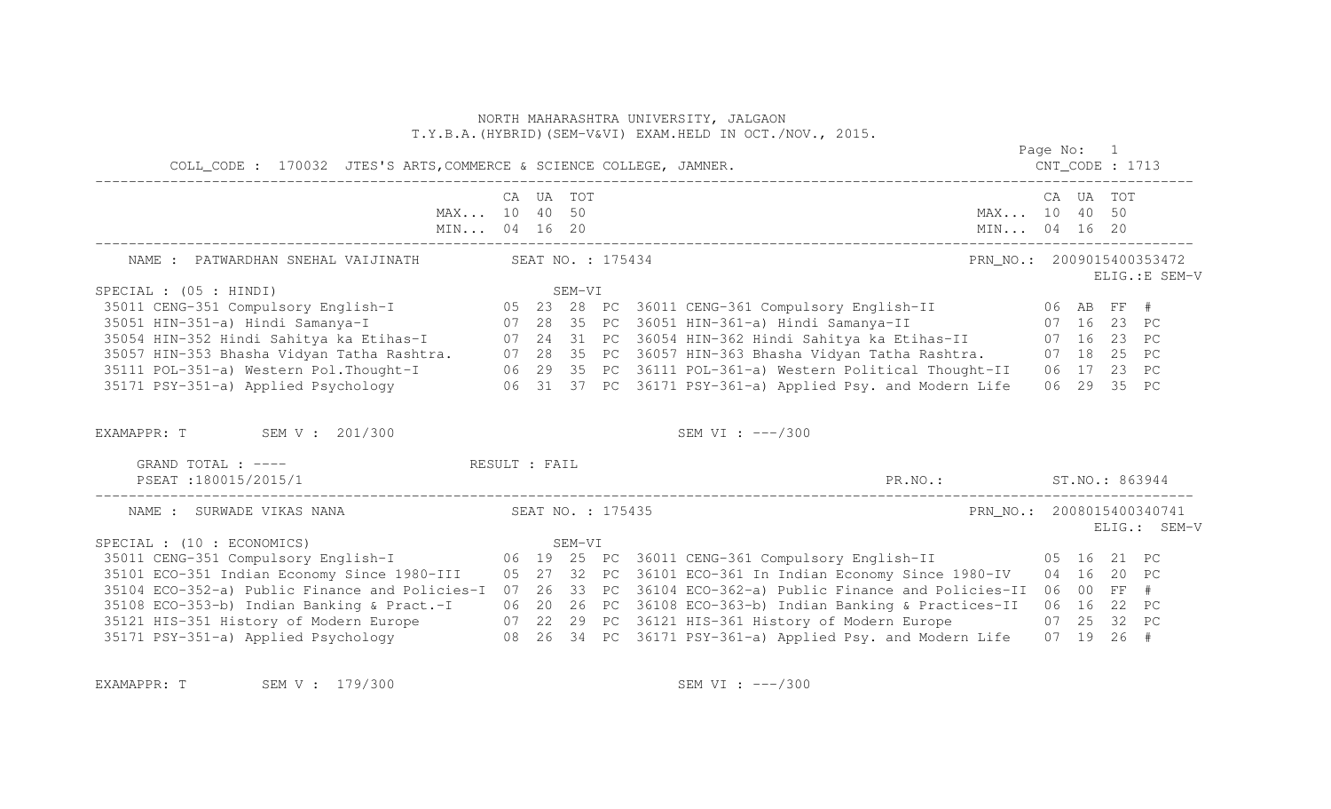|                                                                                                                                                                                                                   |  |                   | NORTH MAHARASHTRA UNIVERSITY, JALGAON<br>T.Y.B.A. (HYBRID) (SEM-V&VI) EXAM. HELD IN OCT./NOV., 2015. |                           |             |                |
|-------------------------------------------------------------------------------------------------------------------------------------------------------------------------------------------------------------------|--|-------------------|------------------------------------------------------------------------------------------------------|---------------------------|-------------|----------------|
| COLL_CODE : 170032 JTES'S ARTS, COMMERCE & SCIENCE COLLEGE, JAMNER.                                                                                                                                               |  |                   |                                                                                                      | $CNT\_CODE$ : 1713        | Page No: 1  |                |
| MAX 10 40 50                                                                                                                                                                                                      |  | CA UA TOT         | MAX 10 40 50                                                                                         | MIN 04 16 20              | CA UA TOT   |                |
| NAME : PATWARDHAN SNEHAL VAIJINATH                                                                                                                                                                                |  | SEAT NO. : 175434 |                                                                                                      | PRN NO.: 2009015400353472 |             | ELIG.: E SEM-V |
| SPECIAL : (05 : HINDI)                                                                                                                                                                                            |  |                   |                                                                                                      |                           |             |                |
|                                                                                                                                                                                                                   |  |                   |                                                                                                      |                           |             |                |
|                                                                                                                                                                                                                   |  |                   |                                                                                                      |                           |             |                |
| 35054 HIN-352 Hindi Sahitya ka Etihas-I (27 24 31 PC 36054 HIN-362 Hindi Sahitya ka Etihas-II (27 16 23 PC                                                                                                        |  |                   |                                                                                                      |                           |             |                |
| 35057 HIN-353 Bhasha Vidyan Tatha Rashtra. 07 28 35 PC 36057 HIN-363 Bhasha Vidyan Tatha Rashtra. 07 18 25 PC                                                                                                     |  |                   |                                                                                                      |                           |             |                |
| 35111 POL-351-a) Western Pol.Thought-I (29 35 PC 36111 POL-361-a) Western Political Thought-II (23 PC<br>35171 PSY-351-a) Applied Psychology (26 31 37 PC 36171 PSY-361-a) Applied Psy. and Modern Life (29 35 PC |  |                   |                                                                                                      |                           |             |                |
| EXAMAPPR: T SEM V: 201/300                                                                                                                                                                                        |  |                   | SEM VI : $---/300$                                                                                   |                           |             |                |
| GRAND TOTAL : ---- RESULT : FAIL<br>PSEAT:180015/2015/1                                                                                                                                                           |  |                   | PR.NO.: ST.NO.: 863944                                                                               |                           |             |                |
| NAME : SURWADE VIKAS NANA                                                                                                                                                                                         |  | SEAT NO. : 175435 |                                                                                                      | PRN NO.: 2008015400340741 |             | ELIG.: SEM-V   |
| SPECIAL : (10 : ECONOMICS)                                                                                                                                                                                        |  |                   |                                                                                                      |                           |             |                |
| 35101 ECO-351 Indian Economy Since 1980-III 05 27 32 PC 36101 ECO-361 In Indian Economy Since 1980-IV                                                                                                             |  |                   |                                                                                                      |                           | 04 16 20 PC |                |
| 35104 ECO-352-a) Public Finance and Policies-I                                                                                                                                                                    |  |                   | 07 26 33 PC 36104 ECO-362-a) Public Finance and Policies-II                                          |                           | 06 00 FF #  |                |
| 35108 ECO-353-b) Indian Banking & Pract.-I                                                                                                                                                                        |  |                   | 06 20 26 PC 36108 ECO-363-b) Indian Banking & Practices-II                                           |                           | 06 16 22 PC |                |
|                                                                                                                                                                                                                   |  |                   |                                                                                                      |                           | 07 25 32 PC |                |
|                                                                                                                                                                                                                   |  |                   |                                                                                                      |                           |             |                |
|                                                                                                                                                                                                                   |  |                   |                                                                                                      |                           |             |                |

EXAMAPPR: T SEM V : 179/300 SEM SEM VI : ---/300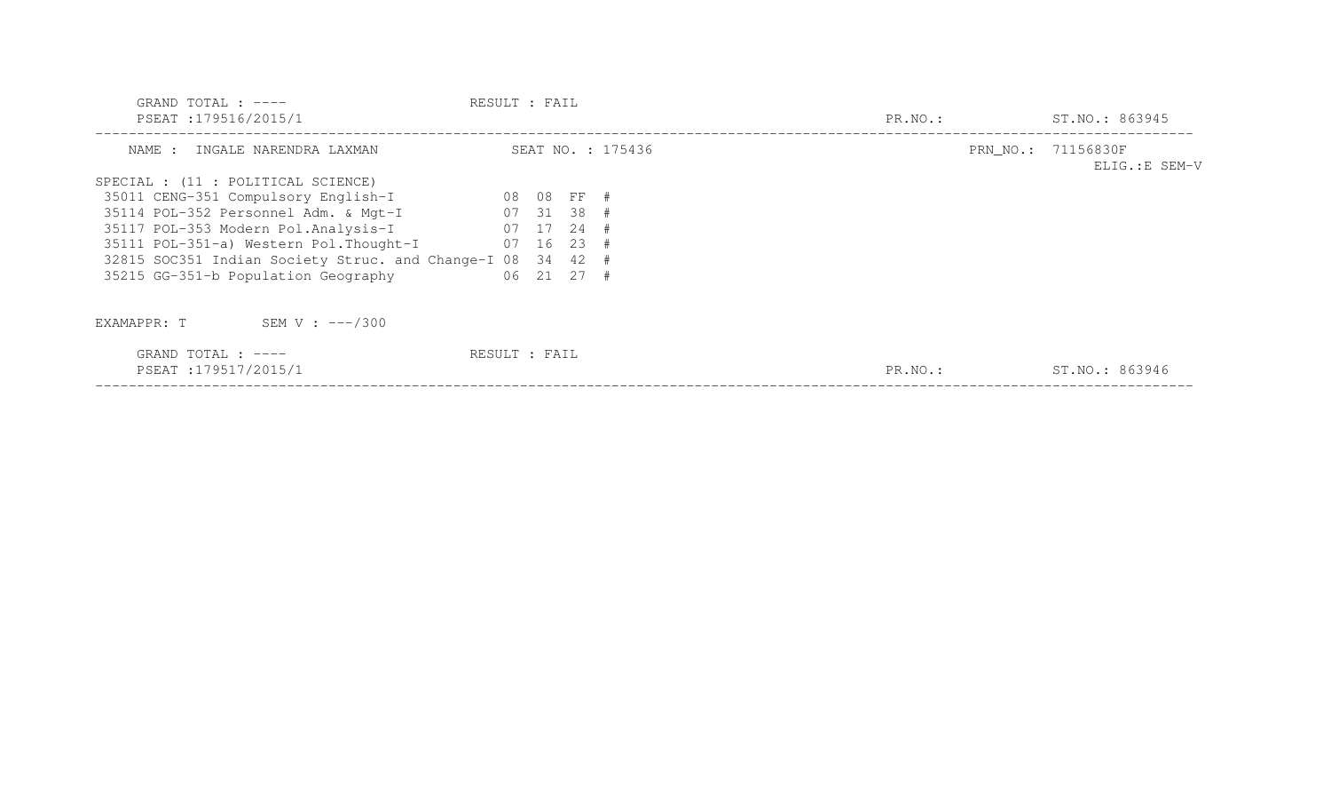| GRAND TOTAL : $---$<br>PSEAT:179516/2015/1         | RESULT : FAIL |            |                   | PR.NO.: | ST.NO.: 863945                       |
|----------------------------------------------------|---------------|------------|-------------------|---------|--------------------------------------|
|                                                    |               |            |                   |         |                                      |
| NAME : INGALE NARENDRA LAXMAN                      |               |            | SEAT NO. : 175436 |         | PRN_NO.: 71156830F<br>ELIG.: E SEM-V |
| SPECIAL : (11 : POLITICAL SCIENCE)                 |               |            |                   |         |                                      |
| 35011 CENG-351 Compulsory English-I                | 08 08 FF #    |            |                   |         |                                      |
| 35114 POL-352 Personnel Adm. & Mgt-I               | $07$ 31 38 #  |            |                   |         |                                      |
| 35117 POL-353 Modern Pol.Analysis-I                | $07$ 17 24 #  |            |                   |         |                                      |
| 35111 POL-351-a) Western Pol. Thought-I            | $07$ 16 23 #  |            |                   |         |                                      |
| 32815 SOC351 Indian Society Struc. and Change-I 08 |               | 34 42 #    |                   |         |                                      |
| 35215 GG-351-b Population Geography                |               | 06 21 27 # |                   |         |                                      |
| SEM V : $---/300$<br>EXAMAPPR: T                   |               |            |                   |         |                                      |
| GRAND TOTAL : $---$<br>PSEAT:179517/2015/1         | RESULT : FAIL |            |                   | PR.NO.: | ST.NO.: 863946                       |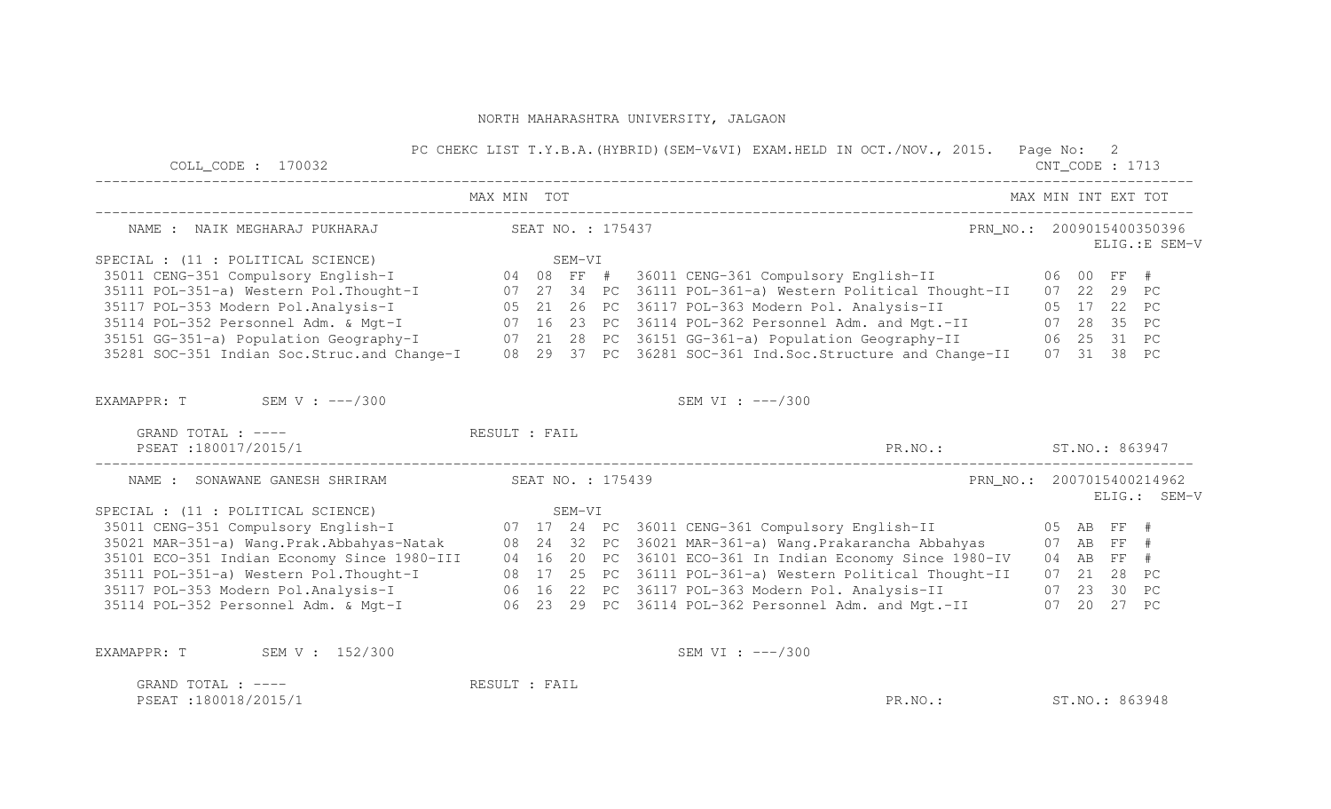| $COLL$ $CODE: 170032$                            | PC CHEKC LIST T.Y.B.A. (HYBRID) (SEM-V&VI) EXAM.HELD IN OCT./NOV., 2015. Page No: 2                                                                                                                                                  |                           | $CNT\_CODE$ : 1713                        |                 |                |  |  |
|--------------------------------------------------|--------------------------------------------------------------------------------------------------------------------------------------------------------------------------------------------------------------------------------------|---------------------------|-------------------------------------------|-----------------|----------------|--|--|
|                                                  | MAX MIN TOT                                                                                                                                                                                                                          | MAX MIN INT EXT TOT       |                                           |                 |                |  |  |
| NAME : NAIK MEGHARAJ PUKHARAJ (SEAT NO. : 175437 |                                                                                                                                                                                                                                      | PRN NO.: 2009015400350396 |                                           |                 | ELIG.: E SEM-V |  |  |
|                                                  |                                                                                                                                                                                                                                      |                           |                                           |                 |                |  |  |
|                                                  | SPECIAL : (11 : POLITICAL SCIENCE)<br>35011 CENG-351 Compulsory English-I                               04   08  FF  #   36011 CENG-361 Compulsory English-II                               06   00  FF  #<br>25  29  PC             |                           |                                           |                 |                |  |  |
|                                                  | 35111 POL-351-a) Western Pol.Thought-I 07 27 34 PC 36111 POL-361-a) Western Political Thought-II 07 22 29 PC                                                                                                                         |                           |                                           |                 |                |  |  |
|                                                  | 35117 POL-353 Modern Pol.Analysis-I (05 21 26 PC 36117 POL-363 Modern Pol. Analysis-II (05 17 22 PC<br>35114 POL-352 Personnel Adm. & Mgt-I (07 16 23 PC 36114 POL-362 Personnel Adm. and Mgt.-II (07 28 35 PC                       |                           |                                           |                 |                |  |  |
|                                                  |                                                                                                                                                                                                                                      |                           |                                           |                 |                |  |  |
|                                                  |                                                                                                                                                                                                                                      |                           |                                           |                 |                |  |  |
|                                                  | 35151 GG-351-a) Population Geography-I (2008) 21 28 PC 36151 GG-361-a) Population Geography-II (25 31 PC<br>35281 SOC-351 Indian Soc.Struc.and Change-I (28 29 37 PC 36281 SOC-361 Ind.Soc.Structure and Change-II (27 31 38 PC      |                           |                                           |                 |                |  |  |
| EXAMAPPR: $T$ SEM V: $---/300$                   | SEM VI : $---/300$                                                                                                                                                                                                                   |                           |                                           |                 |                |  |  |
| GRAND TOTAL : ---- RESULT : FAIL                 |                                                                                                                                                                                                                                      |                           |                                           |                 |                |  |  |
| PSEAT:180017/2015/1                              | PR.NO.: ST.NO.: 863947                                                                                                                                                                                                               |                           |                                           |                 |                |  |  |
| NAME : SONAWANE GANESH SHRIRAM SEAT NO. : 175439 |                                                                                                                                                                                                                                      |                           | PRN NO.: 2007015400214962<br>ELIG.: SEM-V |                 |                |  |  |
|                                                  |                                                                                                                                                                                                                                      |                           |                                           |                 |                |  |  |
|                                                  |                                                                                                                                                                                                                                      |                           |                                           |                 |                |  |  |
|                                                  |                                                                                                                                                                                                                                      |                           |                                           |                 |                |  |  |
|                                                  |                                                                                                                                                                                                                                      |                           |                                           |                 |                |  |  |
|                                                  |                                                                                                                                                                                                                                      |                           |                                           |                 |                |  |  |
|                                                  |                                                                                                                                                                                                                                      |                           |                                           |                 |                |  |  |
|                                                  | 35111 POL-351-a) Western Pol.Thought-I (25 PC 36111 POL-361-a) Western Political Thought-II (27 21 28 PC<br>35117 POL-353 Modern Pol.Analysis-I (26 16 22 PC 36117 POL-363 Modern Pol. Analysis-II (23 30 PC<br>35114 POL-352 Person |                           |                                           |                 |                |  |  |
| EXAMAPPR: T SEM V: 152/300                       | SEM VI : $---/300$                                                                                                                                                                                                                   |                           |                                           |                 |                |  |  |
| GRAND TOTAL : $---$                              | RESULT : FAIL                                                                                                                                                                                                                        |                           |                                           |                 |                |  |  |
| PSEAT:180018/2015/1                              | PR.NO.:                                                                                                                                                                                                                              |                           |                                           | ST. NO.: 863948 |                |  |  |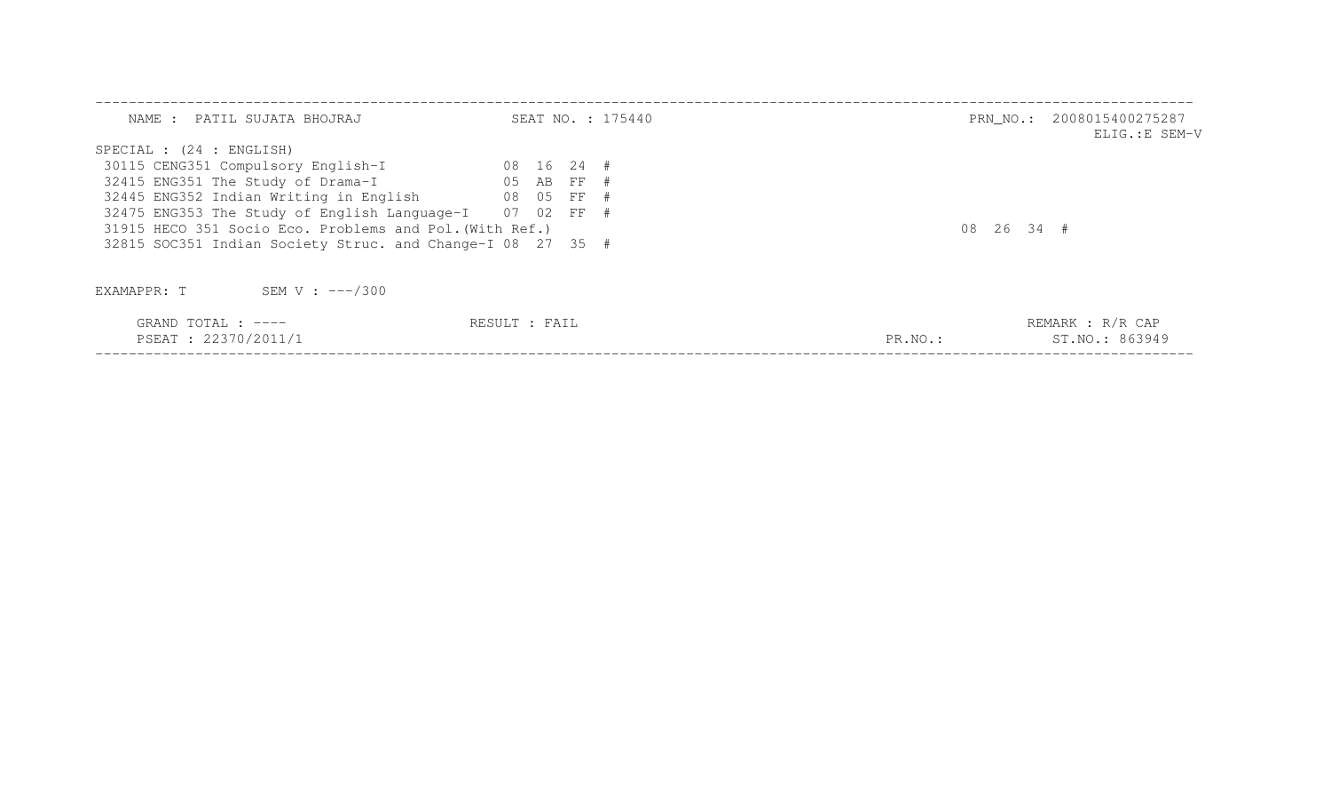| NAME : PATIL SUJATA BHOJRAJ                                | SEAT NO. : 175440        | PRN_NO.: 2008015400275287<br>ELIG.:E SEM-V |
|------------------------------------------------------------|--------------------------|--------------------------------------------|
| SPECIAL : (24 : ENGLISH)                                   |                          |                                            |
| 30115 CENG351 Compulsory English-I                         | 08 16 24 #               |                                            |
| 32415 ENG351 The Study of Drama-I 65 AB FF #               |                          |                                            |
| 32445 ENG352 Indian Writing in English 08 05 FF #          |                          |                                            |
| 32475 ENG353 The Study of English Language-I 07 02 FF #    |                          |                                            |
| 31915 HECO 351 Socio Eco. Problems and Pol. (With Ref.)    |                          | 08 26 34 #                                 |
| 32815 SOC351 Indian Society Struc. and Change-I 08 27 35 # |                          |                                            |
| SEM V : $---/300$<br>EXAMAPPR: T                           |                          |                                            |
| GRAND TOTAL : ----<br>PSEAT : 22370/2011/1                 | RESULT : FAIL<br>PR.NO.: | REMARK : R/R CAP<br>ST. NO.: 863949        |

PSEAT : 22370/2011/1 PR.NO.: ST.NO.: 863949 ------------------------------------------------------------------------------------------------------------------------------------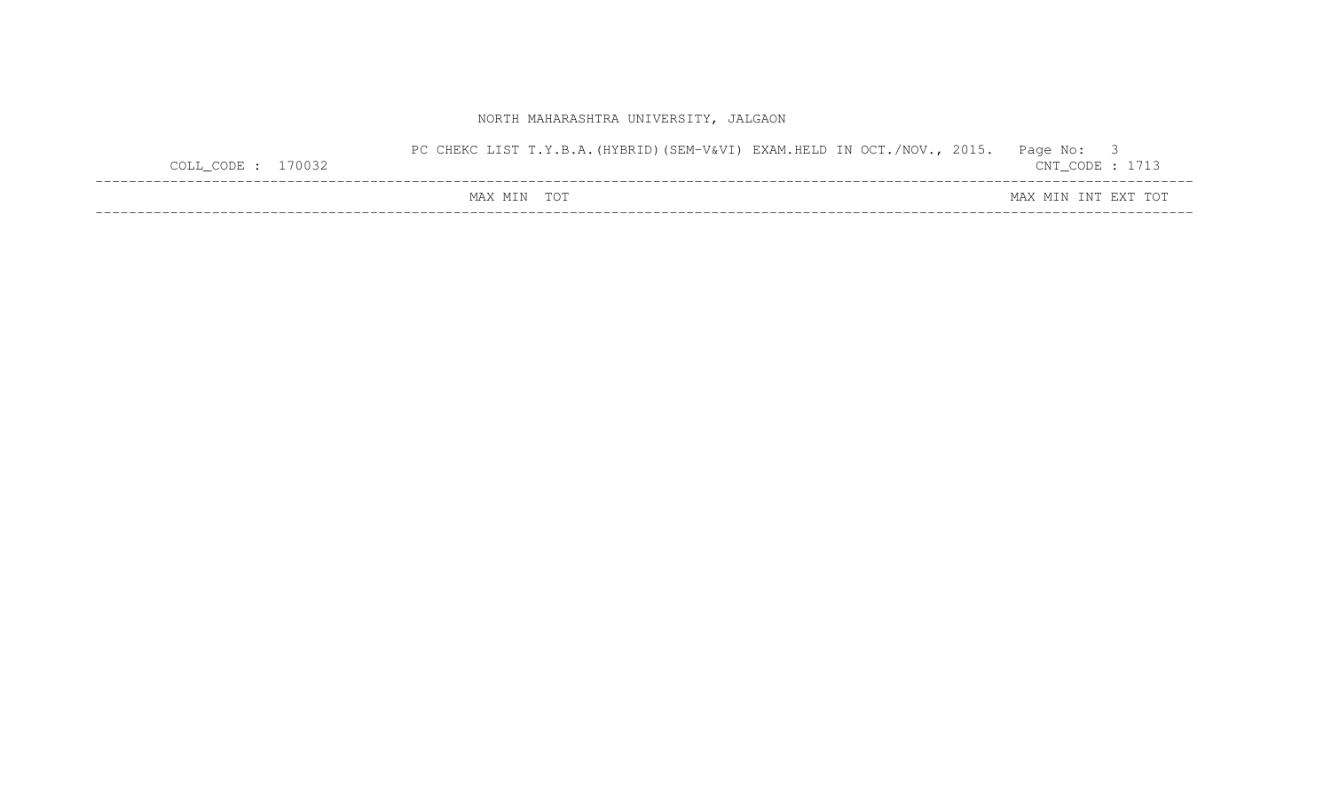| $COLL$ _CODE : 170032 | PC CHEKC LIST T.Y.B.A. (HYBRID) (SEM-V&VI) EXAM.HELD IN OCT./NOV., 2015. | Page No: 3<br>$CNT\_CODE$ : 1713 |  |
|-----------------------|--------------------------------------------------------------------------|----------------------------------|--|
|                       | MAX MIN TOT                                                              | MAX MIN INT EXT TOT              |  |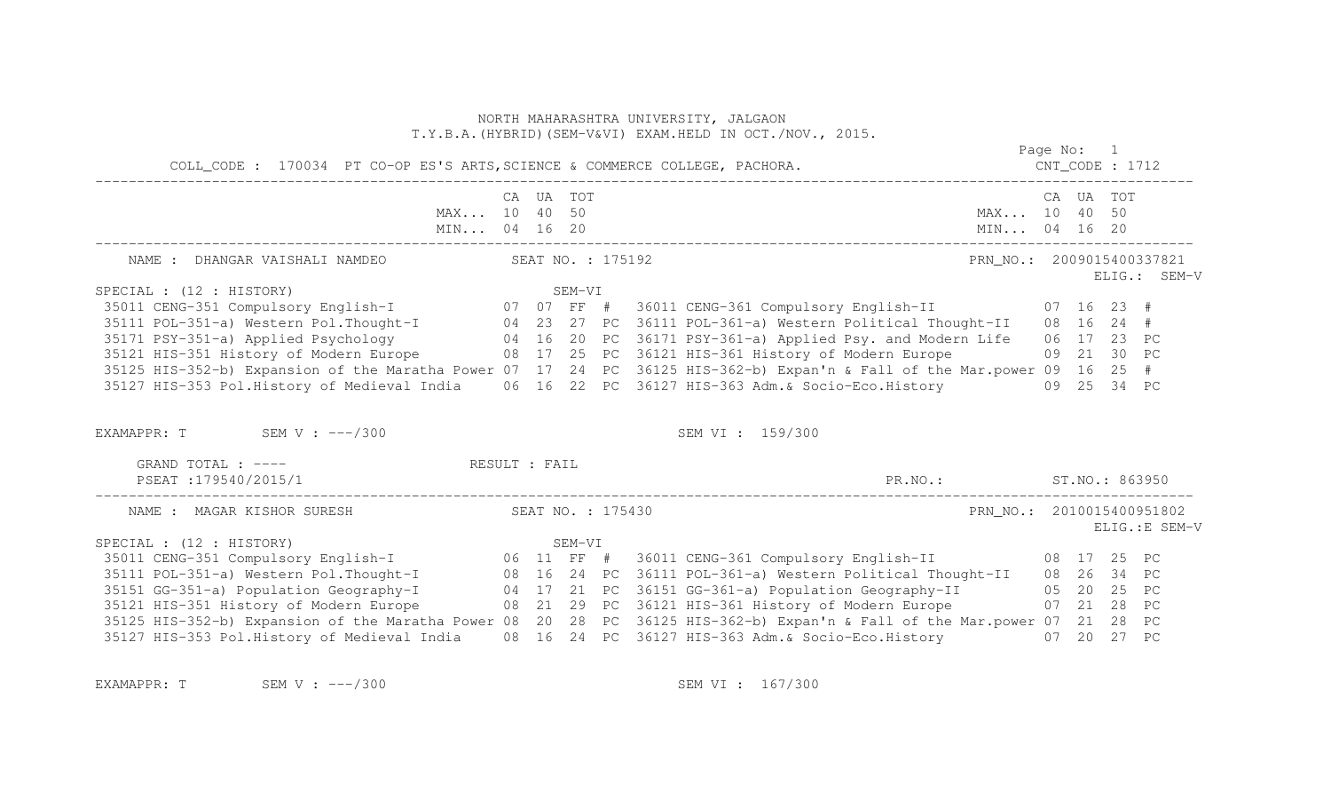|                                                                                                                          |           |        |                   | NORTH MAHARASHTRA UNIVERSITY, JALGAON<br>T.Y.B.A. (HYBRID) (SEM-V&VI) EXAM.HELD IN OCT./NOV., 2015. |            |           |                |
|--------------------------------------------------------------------------------------------------------------------------|-----------|--------|-------------------|-----------------------------------------------------------------------------------------------------|------------|-----------|----------------|
| COLL_CODE: 170034 PT CO-OP ES'S ARTS, SCIENCE & COMMERCE COLLEGE, PACHORA.                                               |           |        |                   |                                                                                                     | Page No: 1 |           |                |
| MAX 10 40 50<br>MIN 04 16 20                                                                                             | CA UA TOT |        |                   | MAX 10 40 50<br>MIN 04 16 20                                                                        |            | CA UA TOT |                |
| NAME : DHANGAR VAISHALI NAMDEO                                                                                           |           |        | SEAT NO. : 175192 | PRN NO.: 2009015400337821                                                                           |            |           | ELIG.: SEM-V   |
| SPECIAL : (12 : HISTORY)                                                                                                 |           | SEM-VI |                   |                                                                                                     |            |           |                |
| 35011 CENG-351 Compulsory English-I 07 07 07 FF # 36011 CENG-361 Compulsory English-II 07 16 23 #                        |           |        |                   |                                                                                                     |            |           |                |
| 35111 POL-351-a) Western Pol. Thought-I 04 23 27 PC 36111 POL-361-a) Western Political Thought-II 08 16 24 #             |           |        |                   |                                                                                                     |            |           |                |
| 35171 PSY-351-a) Applied Psychology 16 20 PC 36171 PSY-361-a) Applied Psy. and Modern Life 06 17 23 PC                   |           |        |                   |                                                                                                     |            |           |                |
| 35121 HIS-351 History of Modern Europe 68 17 25 PC 36121 HIS-361 History of Modern Europe 68 21 30 PC                    |           |        |                   |                                                                                                     |            |           |                |
| 35125 HIS-352-b) Expansion of the Maratha Power 07 17 24 PC 36125 HIS-362-b) Expan'n & Fall of the Mar.power 09 16 25 #  |           |        |                   |                                                                                                     |            |           |                |
| 35127 HIS-353 Pol.History of Medieval India 06 16 22 PC 36127 HIS-363 Adm. & Socio-Eco.History 09 25 34 PC               |           |        |                   |                                                                                                     |            |           |                |
| EXAMAPPR: T SEM V : $---/300$                                                                                            |           |        |                   | SEM VI : 159/300                                                                                    |            |           |                |
| GRAND TOTAL : ---- RESULT : FAIL                                                                                         |           |        |                   |                                                                                                     |            |           |                |
| PSEAT:179540/2015/1                                                                                                      |           |        |                   | PR.NO.: ST.NO.: 863950                                                                              |            |           |                |
| NAME : MAGAR KISHOR SURESH                                                                                               |           |        | SEAT NO. : 175430 | PRN_NO.: 2010015400951802                                                                           |            |           | ELIG.: E SEM-V |
| SPECIAL : (12 : HISTORY)                                                                                                 |           | SEM-VI |                   |                                                                                                     |            |           |                |
|                                                                                                                          |           |        |                   |                                                                                                     |            |           |                |
|                                                                                                                          |           |        |                   |                                                                                                     |            |           |                |
| 35151 GG-351-a) Population Geography-I 04 17 21 PC 36151 GG-361-a) Population Geography-II 05 20 25 PC                   |           |        |                   |                                                                                                     |            |           |                |
| 35121 HIS-351 History of Modern Europe 68 21 29 PC 36121 HIS-361 History of Modern Europe 67 21 28 PC                    |           |        |                   |                                                                                                     |            |           |                |
| 35125 HIS-352-b) Expansion of the Maratha Power 08 20 28 PC 36125 HIS-362-b) Expan'n & Fall of the Mar.power 07 21 28 PC |           |        |                   |                                                                                                     |            |           |                |
| 35127 HIS-353 Pol.History of Medieval India                                                                              |           |        |                   | 08 16 24 PC 36127 HIS-363 Adm.& Socio-Eco.History 07 20 27 PC                                       |            |           |                |

EXAMAPPR: T SEM V : ---/300 SEM V : ---/300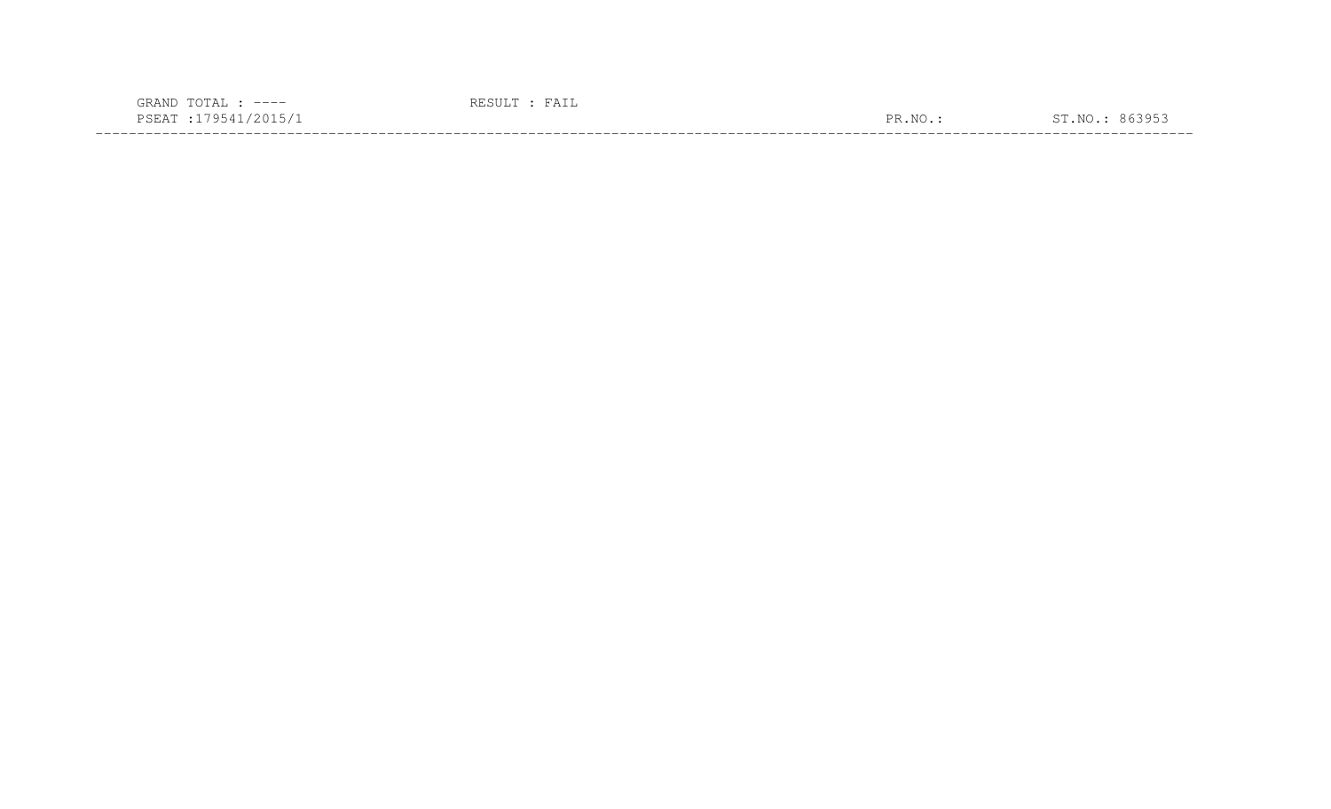| $---$<br>$\sqrt{ }$                                                                                                       |                      |          |
|---------------------------------------------------------------------------------------------------------------------------|----------------------|----------|
| $\sim$<br>the contract of the contract of the contract of the contract of the contract of the contract of the contract of | $\overline{N}$<br>םת | $\alpha$ |
|                                                                                                                           |                      |          |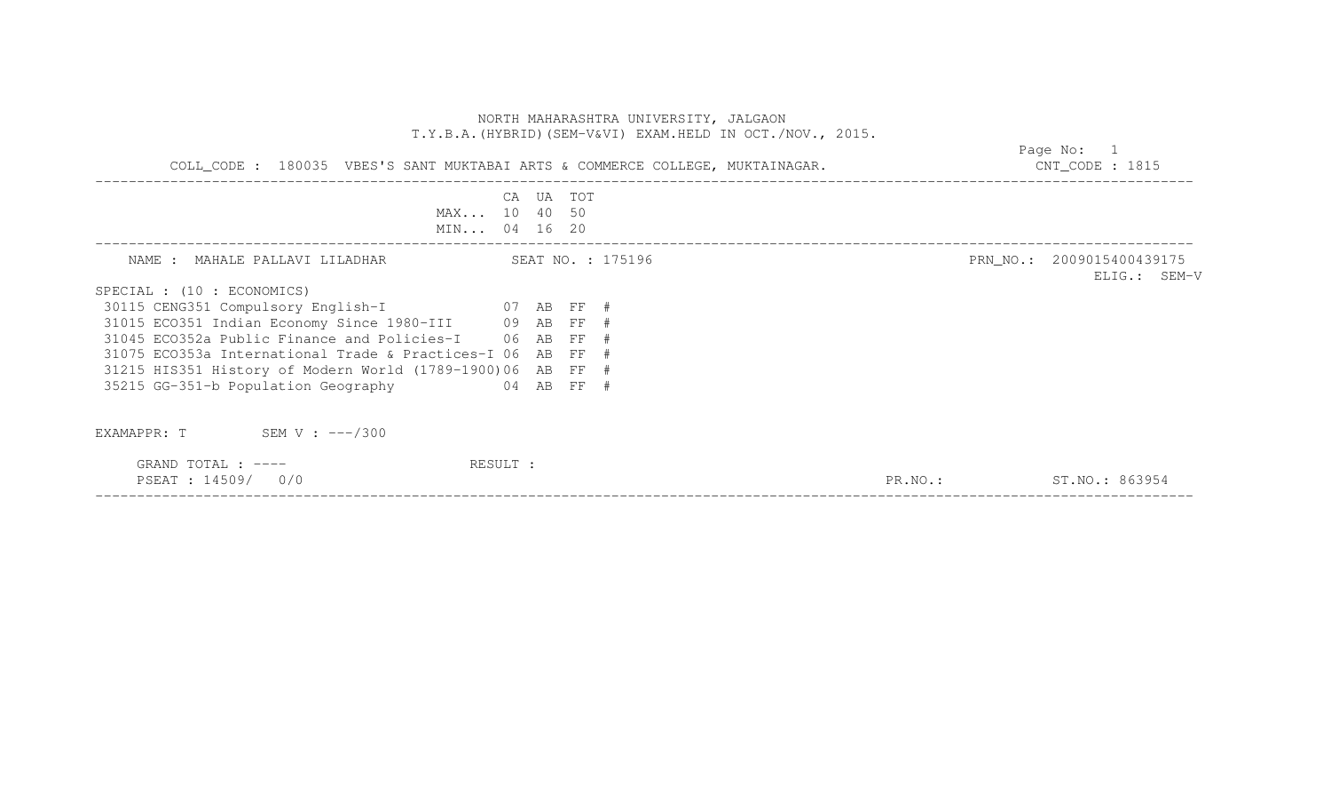|                                                                                                         | NORTH MAHARASHTRA UNIVERSITY, JALGAON<br>T.Y.B.A. (HYBRID) (SEM-V&VI) EXAM.HELD IN OCT./NOV., 2015. |                                           |
|---------------------------------------------------------------------------------------------------------|-----------------------------------------------------------------------------------------------------|-------------------------------------------|
| COLL_CODE: 180035 VBES'S SANT MUKTABAI ARTS & COMMERCE COLLEGE, MUKTAINAGAR. THE SAND MANUSCODE: 1815   | Page No: 1                                                                                          |                                           |
| MAX 10 40 50<br>MIN 04 16 20                                                                            | CA UA TOT                                                                                           |                                           |
| NAME : MAHALE PALLAVI LILADHAR                                                                          | SEAT NO. : 175196                                                                                   | PRN_NO.: 2009015400439175<br>ELIG.: SEM-V |
| SPECIAL : (10 : ECONOMICS)                                                                              |                                                                                                     |                                           |
| 30115 CENG351 Compulsory English-I 607 AB FF #<br>31015 ECO351 Indian Economy Since 1980-III 09 AB FF # |                                                                                                     |                                           |
| 31045 ECO352a Public Finance and Policies-I 06 AB FF #                                                  |                                                                                                     |                                           |
| 31075 ECO353a International Trade & Practices-I 06 AB FF #                                              |                                                                                                     |                                           |
| 31215 HIS351 History of Modern World (1789-1900)06 AB FF #                                              |                                                                                                     |                                           |
| 04 AB FF #<br>35215 GG-351-b Population Geography                                                       |                                                                                                     |                                           |
| EXAMAPPR: $T$ SEM V : $---/300$                                                                         |                                                                                                     |                                           |
| GRAND TOTAL : ----<br>RESULT :<br>PSEAT : 14509/ 0/0                                                    |                                                                                                     | ST.NO.: 863954<br>PR.NO.:                 |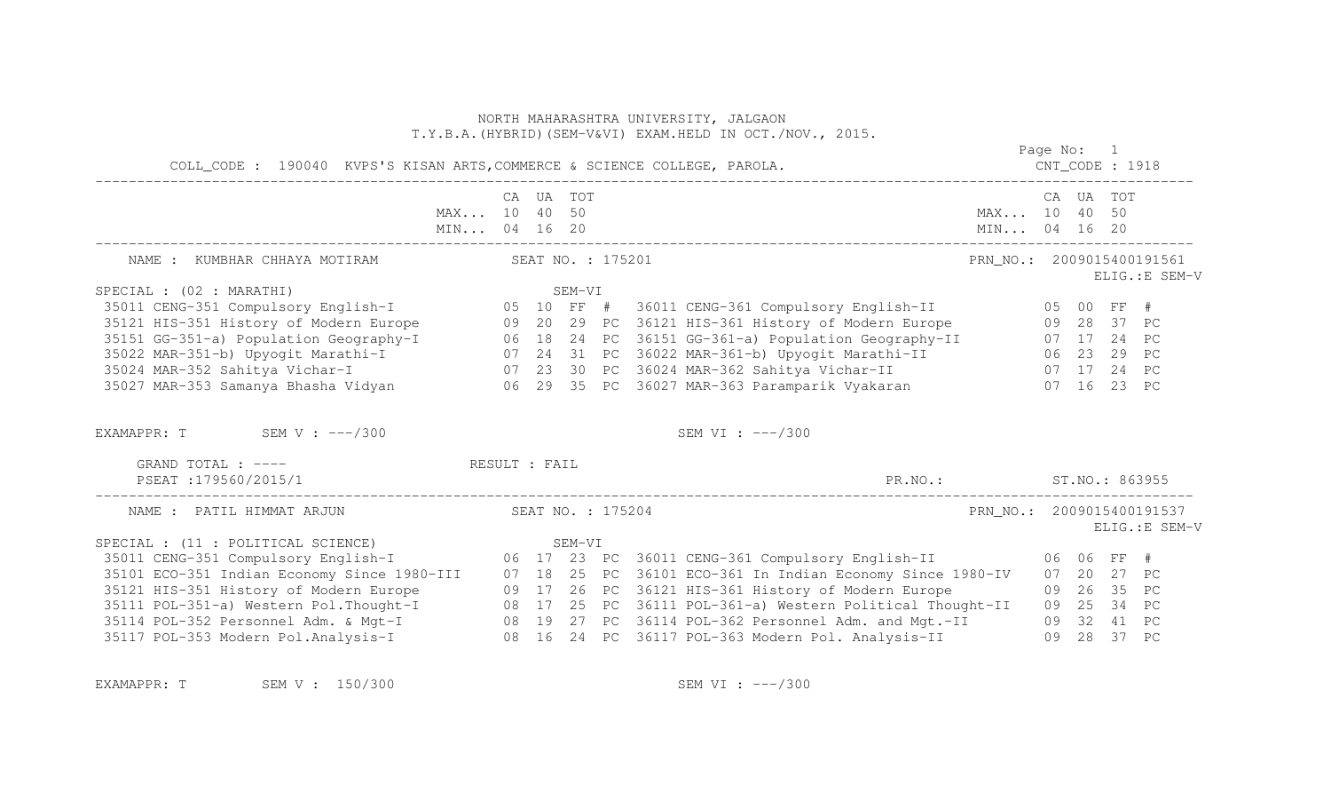|                                                                                                                                                                                                                                                                                                                                                                                                                                                                                                                                                  |               |           |        |                   | NORTH MAHARASHTRA UNIVERSITY, JALGAON<br>T.Y.B.A. (HYBRID) (SEM-V&VI) EXAM.HELD IN OCT./NOV., 2015. |                           |  |                               |                |
|--------------------------------------------------------------------------------------------------------------------------------------------------------------------------------------------------------------------------------------------------------------------------------------------------------------------------------------------------------------------------------------------------------------------------------------------------------------------------------------------------------------------------------------------------|---------------|-----------|--------|-------------------|-----------------------------------------------------------------------------------------------------|---------------------------|--|-------------------------------|----------------|
|                                                                                                                                                                                                                                                                                                                                                                                                                                                                                                                                                  |               |           |        |                   |                                                                                                     | Page No: 1                |  |                               |                |
|                                                                                                                                                                                                                                                                                                                                                                                                                                                                                                                                                  | MAX 10 40 50  | CA UA TOT |        |                   | MIN 04 16 20<br>MIN 04 16 20                                                                        | MAX 10 40 50              |  | CA UA TOT                     |                |
| NAME : KUMBHAR CHHAYA MOTIRAM                                                                                                                                                                                                                                                                                                                                                                                                                                                                                                                    |               |           |        | SEAT NO. : 175201 |                                                                                                     | PRN_NO.: 2009015400191561 |  |                               | ELIG.: E SEM-V |
| SPECIAL : (02 : MARATHI)                                                                                                                                                                                                                                                                                                                                                                                                                                                                                                                         |               |           | SEM-VI |                   |                                                                                                     |                           |  |                               |                |
| 35011 CENG-351 Compulsory English-I (1997) 05 10 FF # 36011 CENG-361 Compulsory English-II (1998) 05 00 FF #<br>35121 HIS-351 History of Modern Europe 609 20 29 PC 36121 HIS-361 History of Modern Europe 609 28 37 PC<br>35151 GG-351-a) Population Geography-I 06 18 24 PC 36151 GG-361-a) Population Geography-II 07 17 24 PC<br>35022 MAR-351-b) Upyogit Marathi-I 07 24 31 PC 36022 MAR-361-b) Upyogit Marathi-II 06 23 29 PC<br>35024 MAR-352 Sahitya Vi<br>EXAMAPPR: $T$ SEM V: $---/300$<br>GRAND TOTAL : ----<br>PSEAT : 179560/2015/1 | RESULT : FAIL |           |        |                   | SEM VI : ---/300<br>PR.NO.: ST.NO.: 863955                                                          |                           |  |                               |                |
| NAME : PATIL HIMMAT ARJUN                                                                                                                                                                                                                                                                                                                                                                                                                                                                                                                        |               |           |        | SEAT NO. : 175204 |                                                                                                     | PRN NO.: 2009015400191537 |  |                               | ELIG.: E SEM-V |
| SPECIAL : (11 : POLITICAL SCIENCE)<br>35101 ECO-351 Indian Economy Since 1980-III 07 18 25 PC 36101 ECO-361 In Indian Economy Since 1980-IV<br>35121 HIS-351 History of Modern Europe 609 17 26 PC 36121 HIS-361 History of Modern Europe<br>35111 POL-351-a) Western Pol.Thought-I 08 17 25 PC 36111 POL-361-a) Western Political Thought-II 09 25 34 PC<br>35114 POL-352 Personnel Adm. & Mgt-I 08 19 27 PC 36114 POL-362 Personnel Adm. and Mgt.-II 09 32 41 PC<br>35117 POL-3                                                                |               |           | SEM-VI |                   |                                                                                                     |                           |  | 07 20 27 PC<br>09  26  35  PC |                |

EXAMAPPR: T SEM V : 150/300 SEM SEM VI : ---/300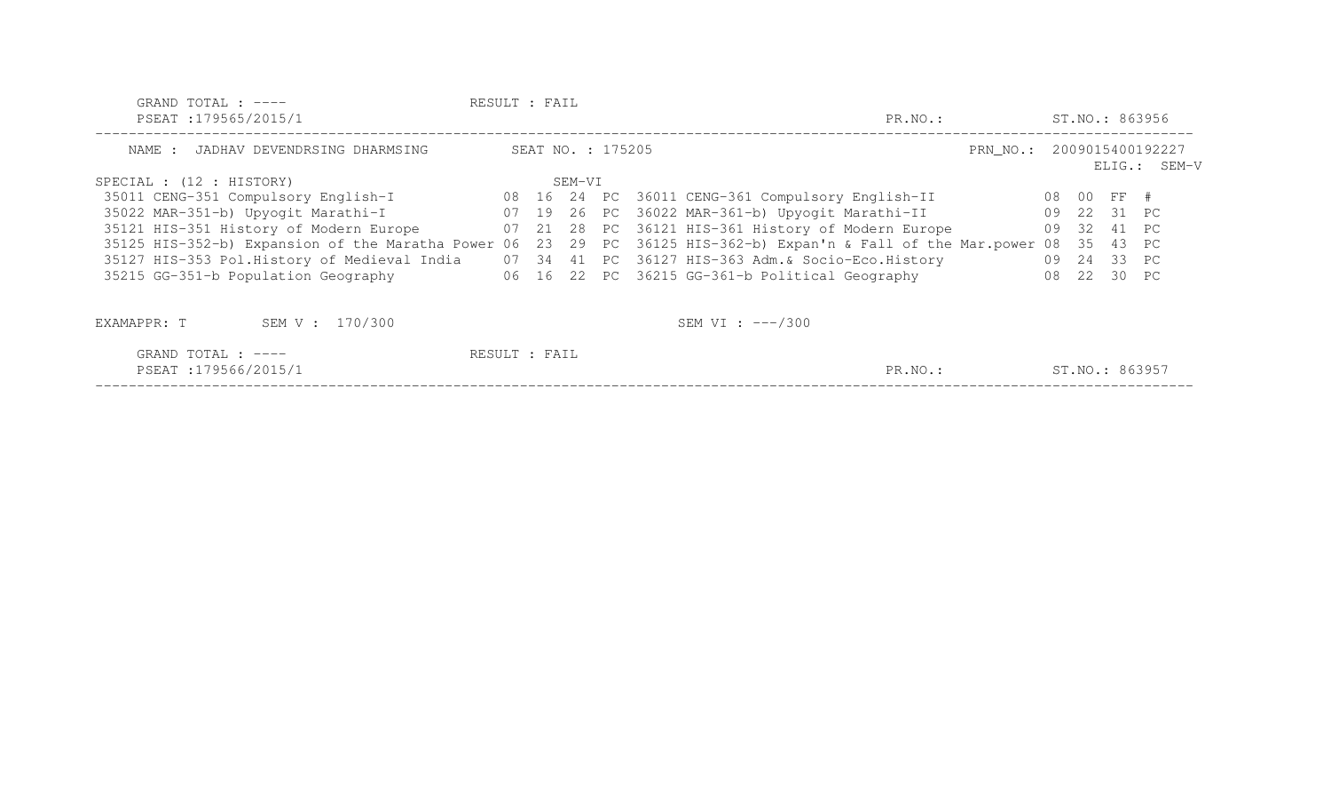| GRAND TOTAL : $---$                                                                            | RESULT : FAIL |        |                   |                                                              |         |                           |    |    |                |                |
|------------------------------------------------------------------------------------------------|---------------|--------|-------------------|--------------------------------------------------------------|---------|---------------------------|----|----|----------------|----------------|
| PSEAT : 179565/2015/1                                                                          |               |        |                   |                                                              | PR.NO.: |                           |    |    |                | ST.NO.: 863956 |
| NAME : JADHAV DEVENDRSING DHARMSING                                                            |               |        | SEAT NO. : 175205 |                                                              |         | PRN NO.: 2009015400192227 |    |    |                | ELIG.: SEM-V   |
| SPECIAL : (12 : HISTORY)                                                                       |               | SEM-VI |                   |                                                              |         |                           |    |    |                |                |
| 35011 CENG-351 Compulsory English-I                                                            |               |        |                   | 08 16 24 PC 36011 CENG-361 Compulsory English-II             |         |                           |    |    | 08 00 FF #     |                |
| 35022 MAR-351-b) Upyogit Marathi-I                                                             |               |        |                   | 07 19 26 PC 36022 MAR-361-b) Upyogit Marathi-II              |         |                           |    |    | 09 22 31 PC    |                |
| 35121 HIS-351 History of Modern Europe                                                         |               |        |                   | 07 21 28 PC 36121 HIS-361 History of Modern Europe           |         |                           |    |    | 09 32 41 PC    |                |
| 35125 HIS-352-b) Expansion of the Maratha Power 06                                             |               |        |                   | 23 29 PC 36125 HIS-362-b) Expan'n & Fall of the Mar.power 08 |         |                           |    | 35 | 43 PC          |                |
| 35127 HIS-353 Pol.History of Medieval India 07 34 41 PC 36127 HIS-363 Adm. & Socio-Eco.History |               |        |                   |                                                              |         |                           |    |    | 09 24 33 PC    |                |
| 35215 GG-351-b Population Geography                                                            |               |        |                   | 06 16 22 PC 36215 GG-361-b Political Geography               |         |                           | 08 |    | 22 30 PC       |                |
|                                                                                                |               |        |                   |                                                              |         |                           |    |    |                |                |
| SEM V : 170/300<br>EXAMAPPR: T                                                                 |               |        |                   | SEM VI : $---/300$                                           |         |                           |    |    |                |                |
| GRAND TOTAL : $---$                                                                            | RESULT : FAIL |        |                   |                                                              |         |                           |    |    |                |                |
| PSEAT : 179566/2015/1                                                                          |               |        |                   |                                                              | PR.NO.: |                           |    |    | ST.NO.: 863957 |                |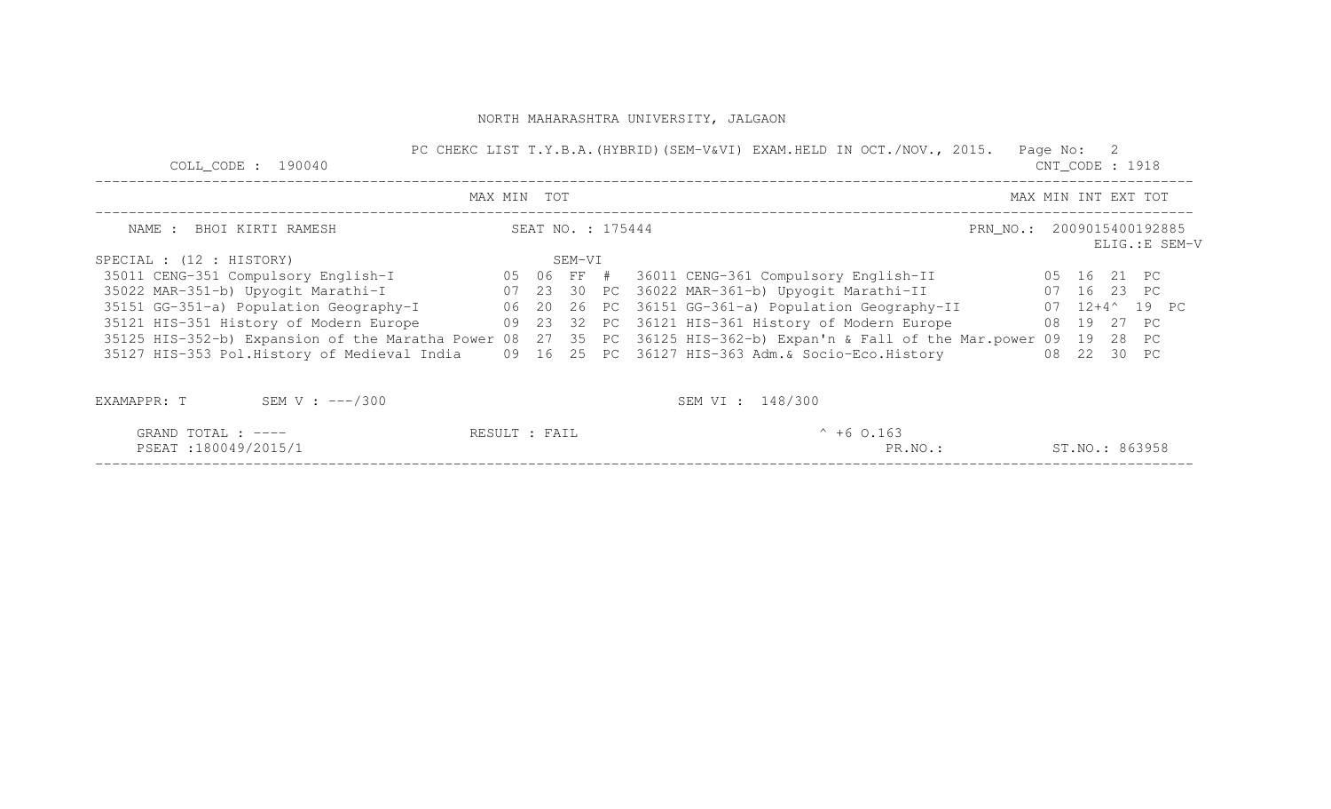| COLL CODE : $190040$                                                                               |               |                   | PC CHEKC LIST T.Y.B.A. (HYBRID) (SEM-V&VI) EXAM.HELD IN OCT./NOV., 2015.                                        | Page No: 2<br>$CNT\_CODE : 1918$            |
|----------------------------------------------------------------------------------------------------|---------------|-------------------|-----------------------------------------------------------------------------------------------------------------|---------------------------------------------|
|                                                                                                    | MAX MIN TOT   |                   |                                                                                                                 | MAX MIN INT EXT TOT                         |
| NAME : BHOI KIRTI RAMESH                                                                           |               | SEAT NO. : 175444 |                                                                                                                 | PRN_NO.: 2009015400192885<br>ELIG.: E SEM-V |
| SPECIAL : (12 : HISTORY)                                                                           |               | SEM-VI            |                                                                                                                 |                                             |
| 35011 CENG-351 Compulsory English-I 05 06 FF #                                                     |               |                   |                                                                                                                 |                                             |
|                                                                                                    |               |                   | 35022 MAR-351-b) Upyogit Marathi-I (07 23 30 PC 36022 MAR-361-b) Upyogit Marathi-II (07 16 23 PC                |                                             |
| 35151 GG-351-a) Population Geography-I                                                             |               |                   | 06 20 26 PC 36151 GG-361-a) Population Geography-II                                                             | $07$ $12+4^{\sim}$ 19 PC                    |
| 35121 HIS-351 History of Modern Europe 69 23 32 PC 36121 HIS-361 History of Modern Europe          |               |                   |                                                                                                                 | 08 19 27 PC                                 |
|                                                                                                    |               |                   | 35125 HIS-352-b) Expansion of the Maratha Power 08 27 35 PC 36125 HIS-362-b) Expan'n & Fall of the Mar.power 09 | 19<br>28<br>PC                              |
| 35127 HIS-353 Pol.History of Medieval India (1986) 16 25 PC 36127 HIS-363 Adm. & Socio-Eco.History |               |                   |                                                                                                                 | 22 30 PC<br>08.                             |
| EXAMAPPR: $T$ SEM V : $---/300$                                                                    |               |                   | SEM VI : 148/300                                                                                                |                                             |
| GRAND TOTAL : $---$                                                                                | RESULT : FAIL |                   | $^{\circ}$ +6 0.163                                                                                             |                                             |
| PSEAT:180049/2015/1                                                                                |               |                   | PR.NO.:                                                                                                         | ST.NO.: 863958                              |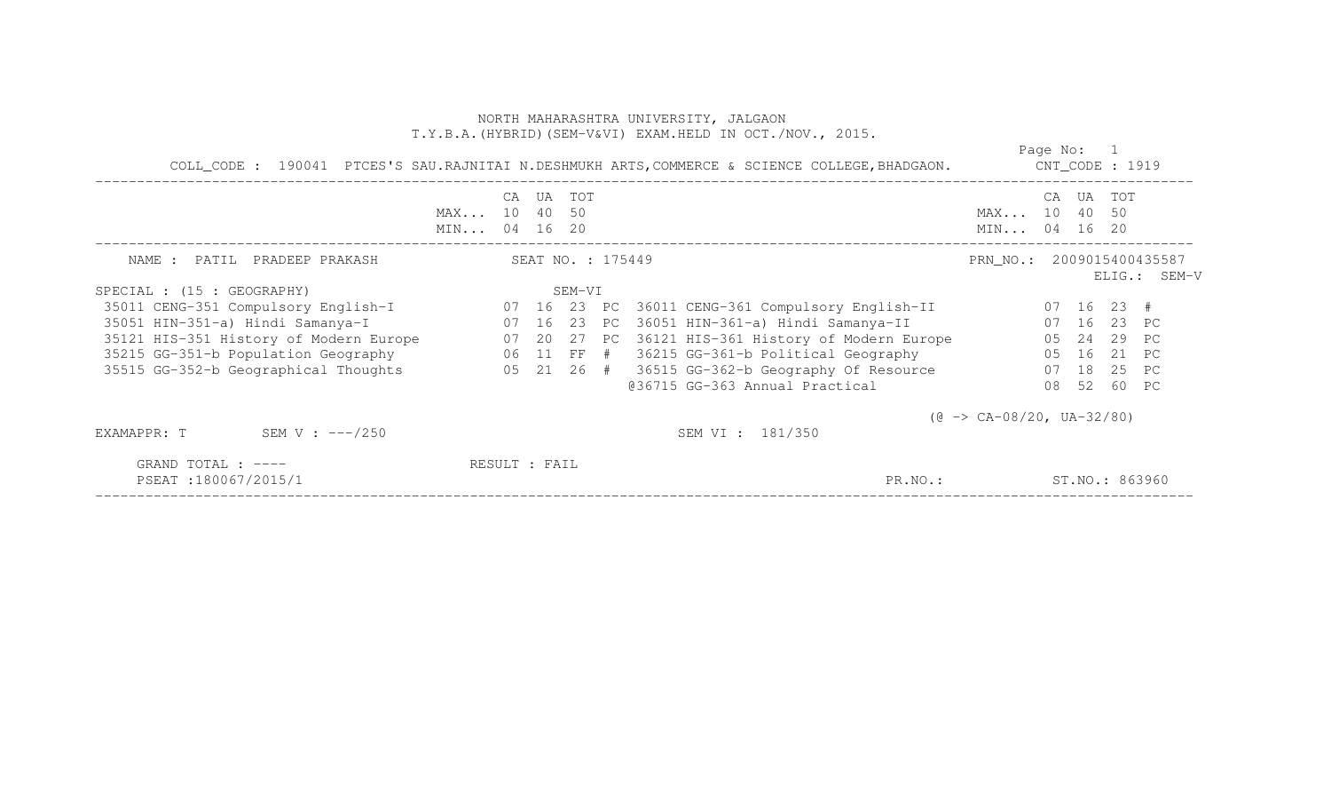|                                           | COLL_CODE : 190041 PTCES'S SAU.RAJNITAI N.DESHMUKH ARTS, COMMERCE & SCIENCE COLLEGE, BHADGAON. |  |                   |        |  |                                                                                   |                                           |    |        |                | Page No: 1<br>$CNT\_CODE$ : 1919 |  |  |  |  |  |  |
|-------------------------------------------|------------------------------------------------------------------------------------------------|--|-------------------|--------|--|-----------------------------------------------------------------------------------|-------------------------------------------|----|--------|----------------|----------------------------------|--|--|--|--|--|--|
|                                           | MAX 10 40 50<br>MIN 04 16 20                                                                   |  | CA UA TOT         |        |  |                                                                                   | MAX 10 40 50<br>MIN 04 16 20              | CA | UA TOT |                |                                  |  |  |  |  |  |  |
| NAME : PATIL PRADEEP PRAKASH              |                                                                                                |  | SEAT NO. : 175449 |        |  |                                                                                   | PRN_NO.: 2009015400435587                 |    |        |                | ELIG.: SEM-V                     |  |  |  |  |  |  |
| SPECIAL : (15 : GEOGRAPHY)                |                                                                                                |  |                   | SEM-VI |  |                                                                                   |                                           |    |        |                |                                  |  |  |  |  |  |  |
|                                           |                                                                                                |  |                   |        |  |                                                                                   |                                           |    |        |                |                                  |  |  |  |  |  |  |
| 35051 HIN-351-a) Hindi Samanya-I          |                                                                                                |  |                   |        |  | 07   16   23   PC   36051   HIN-361-a)   Hindi Samanya-II                         | 07 16 23 PC                               |    |        |                |                                  |  |  |  |  |  |  |
| 35121 HIS-351 History of Modern Europe    |                                                                                                |  |                   |        |  | 07 20 27 PC 36121 HIS-361 History of Modern Europe                                |                                           |    |        | 05 24 29 PC    |                                  |  |  |  |  |  |  |
|                                           |                                                                                                |  |                   |        |  | 35215 GG-351-b Population Geography 66 11 FF # 36215 GG-361-b Political Geography |                                           |    |        | 05 16 21 PC    |                                  |  |  |  |  |  |  |
| 35515 GG-352-b Geographical Thoughts      |                                                                                                |  |                   |        |  | 05 21 26 # 36515 GG-362-b Geography Of Resource                                   |                                           |    |        | 07 18 25 PC    |                                  |  |  |  |  |  |  |
|                                           |                                                                                                |  |                   |        |  | @36715 GG-363 Annual Practical                                                    |                                           |    |        | 08 52 60 PC    |                                  |  |  |  |  |  |  |
| SEM V : $---/250$<br>EXAMAPPR: T          |                                                                                                |  |                   |        |  | SEM VI : 181/350                                                                  | $(\theta \rightarrow CA-08/20, UA-32/80)$ |    |        |                |                                  |  |  |  |  |  |  |
| GRAND TOTAL : ----<br>PSEAT:180067/2015/1 |                                                                                                |  | RESULT : FAIL     |        |  | PR.NO.:                                                                           |                                           |    |        | ST.NO.: 863960 |                                  |  |  |  |  |  |  |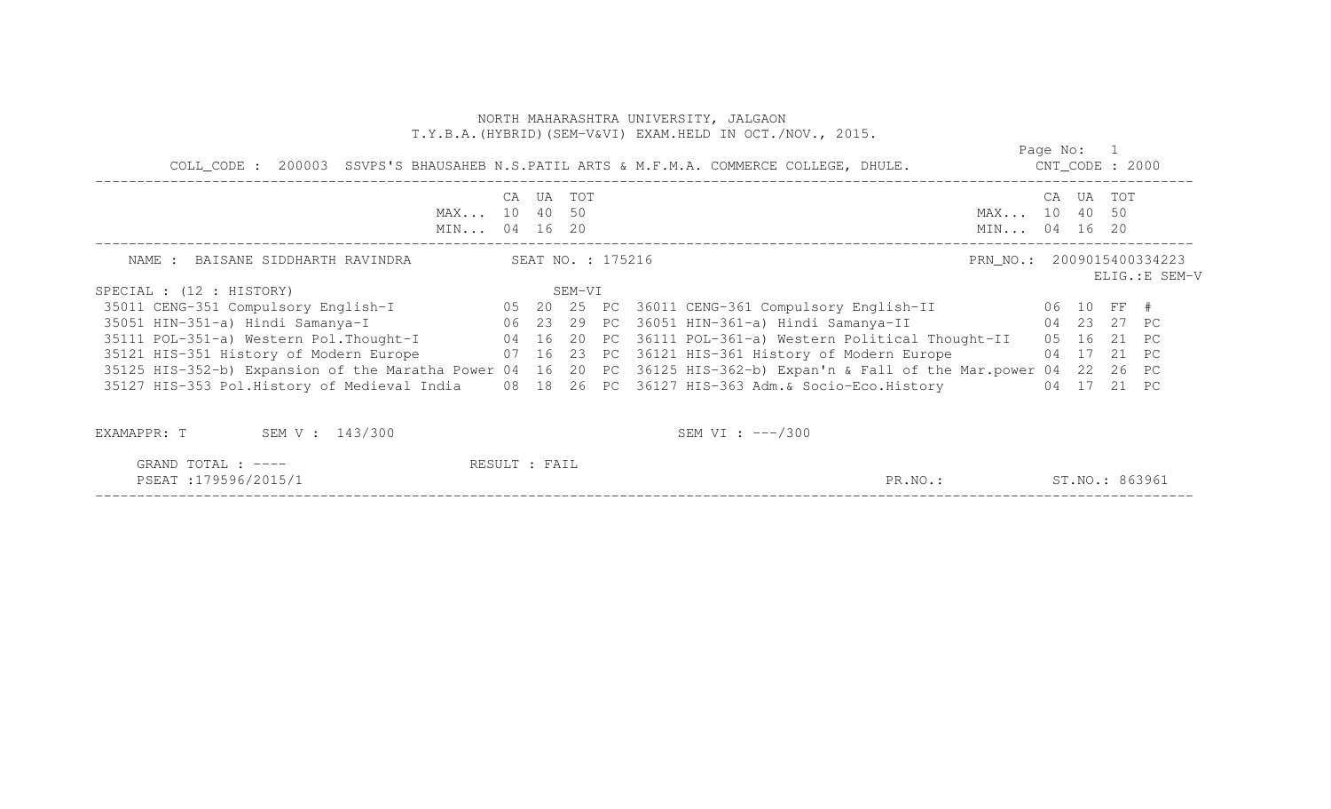| COLL_CODE: 200003 SSVPS'S BHAUSAHEB N.S.PATIL ARTS & M.F.M.A. COMMERCE COLLEGE, DHULE.                                                                   |           |        |                   |                                                                    | CNT_CODE : 2000              |       | Page No: 1  |       |                |
|----------------------------------------------------------------------------------------------------------------------------------------------------------|-----------|--------|-------------------|--------------------------------------------------------------------|------------------------------|-------|-------------|-------|----------------|
| MAX 10 40 50<br>MIN 04 16 20                                                                                                                             | CA UA TOT |        |                   |                                                                    | MAX 10 40 50<br>MIN 04 16 20 |       | CA UA TOT   |       |                |
| NAME : BAISANE SIDDHARTH RAVINDRA                                                                                                                        |           |        | SEAT NO. : 175216 |                                                                    | PRN_NO.: 2009015400334223    |       |             |       | ELIG.: E SEM-V |
| SPECIAL : (12 : HISTORY)                                                                                                                                 |           | SEM-VI |                   |                                                                    |                              |       |             |       |                |
| 35011 CENG-351 Compulsory English-I 65 20 25 PC 36011 CENG-361 Compulsory English-II                                                                     |           |        |                   |                                                                    | 06 10 FF #                   |       |             |       |                |
| 35051 HIN-351-a) Hindi Samanya-I                               06   23   29   PC   36051 HIN-361-a) Hindi Samanya-II                   04   23   27   PC |           |        |                   |                                                                    |                              |       |             |       |                |
| 35111 POL-351-a) Western Pol. Thought-I 04 16 20 PC 36111 POL-361-a) Western Political Thought-II                                                        |           |        |                   |                                                                    |                              | 05 16 |             | 21 PC |                |
| 35121 HIS-351 History of Modern Europe                                                                                                                   |           |        |                   | 07 16 23 PC 36121 HIS-361 History of Modern Europe                 |                              |       | 04 17 21 PC |       |                |
| 35125 HIS-352-b) Expansion of the Maratha Power 04 16                                                                                                    |           |        |                   | 20 PC 36125 HIS-362-b) Expan'n & Fall of the Mar.power 04 22 26 PC |                              |       |             |       |                |
| 35127 HIS-353 Pol.History of Medieval India                                                                                                              |           |        |                   | 08 18 26 PC 36127 HIS-363 Adm. & Socio-Eco. History                |                              |       | 04 17       | 21 PC |                |
| SEM V : 143/300<br>EXAMAPPR: T                                                                                                                           |           |        |                   | SEM VI : $---/300$                                                 |                              |       |             |       |                |

| GRAND TOTAL : ----                           | FAIL<br>RESULT |       |                      |
|----------------------------------------------|----------------|-------|----------------------|
| 179596/2015/1<br>PSEAT<br>. .<br>- - - - - - |                | PR.NO | 863961<br>$ST.NO.$ . |
| _____________________________                |                |       | ___________________  |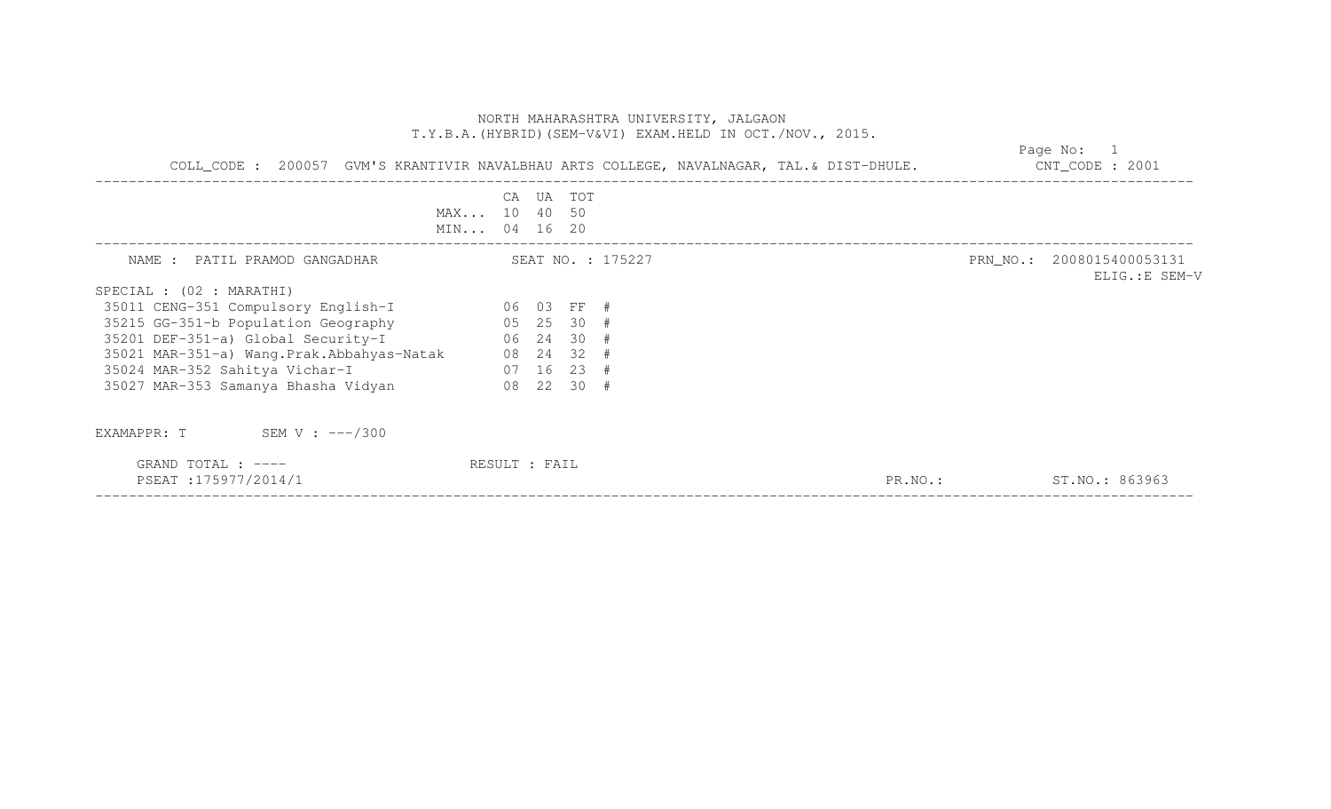| COLL_CODE: 200057 GVM'S KRANTIVIR NAVALBHAU ARTS COLLEGE, NAVALNAGAR, TAL.& DIST-DHULE. CONT_CODE: 2001 |                              |           |                   | Page No: 1 |  |                                             |  |  |
|---------------------------------------------------------------------------------------------------------|------------------------------|-----------|-------------------|------------|--|---------------------------------------------|--|--|
|                                                                                                         | MAX 10 40 50<br>MIN 04 16 20 | CA UA TOT |                   |            |  |                                             |  |  |
| NAME : PATIL PRAMOD GANGADHAR                                                                           |                              |           | SEAT NO. : 175227 |            |  | PRN_NO.: 2008015400053131<br>ELIG.: E SEM-V |  |  |
| SPECIAL : (02 : MARATHI)                                                                                |                              |           |                   |            |  |                                             |  |  |
| 06 03 FF #<br>35011 CENG-351 Compulsory English-I                                                       |                              |           |                   |            |  |                                             |  |  |
| $05$ 25 30 #<br>35215 GG-351-b Population Geography                                                     |                              |           |                   |            |  |                                             |  |  |
| 35201 DEF-351-a) Global Security-I 06 24 30 #                                                           |                              |           |                   |            |  |                                             |  |  |
| 35021 MAR-351-a) Wang. Prak. Abbahyas-Natak 08 24 32 #                                                  |                              |           |                   |            |  |                                             |  |  |
| $07$ 16 23 #<br>35024 MAR-352 Sahitya Vichar-I                                                          |                              |           |                   |            |  |                                             |  |  |
| 35027 MAR-353 Samanya Bhasha Vidyan<br>$08$ 22 30 #                                                     |                              |           |                   |            |  |                                             |  |  |
| EXAMAPPR: $T$ SEM V : $---/300$                                                                         |                              |           |                   |            |  |                                             |  |  |
| GRAND TOTAL : ----<br>PSEAT:175977/2014/1                                                               | RESULT : FAIL                |           |                   | PR.NO.:    |  | ST.NO.: 863963                              |  |  |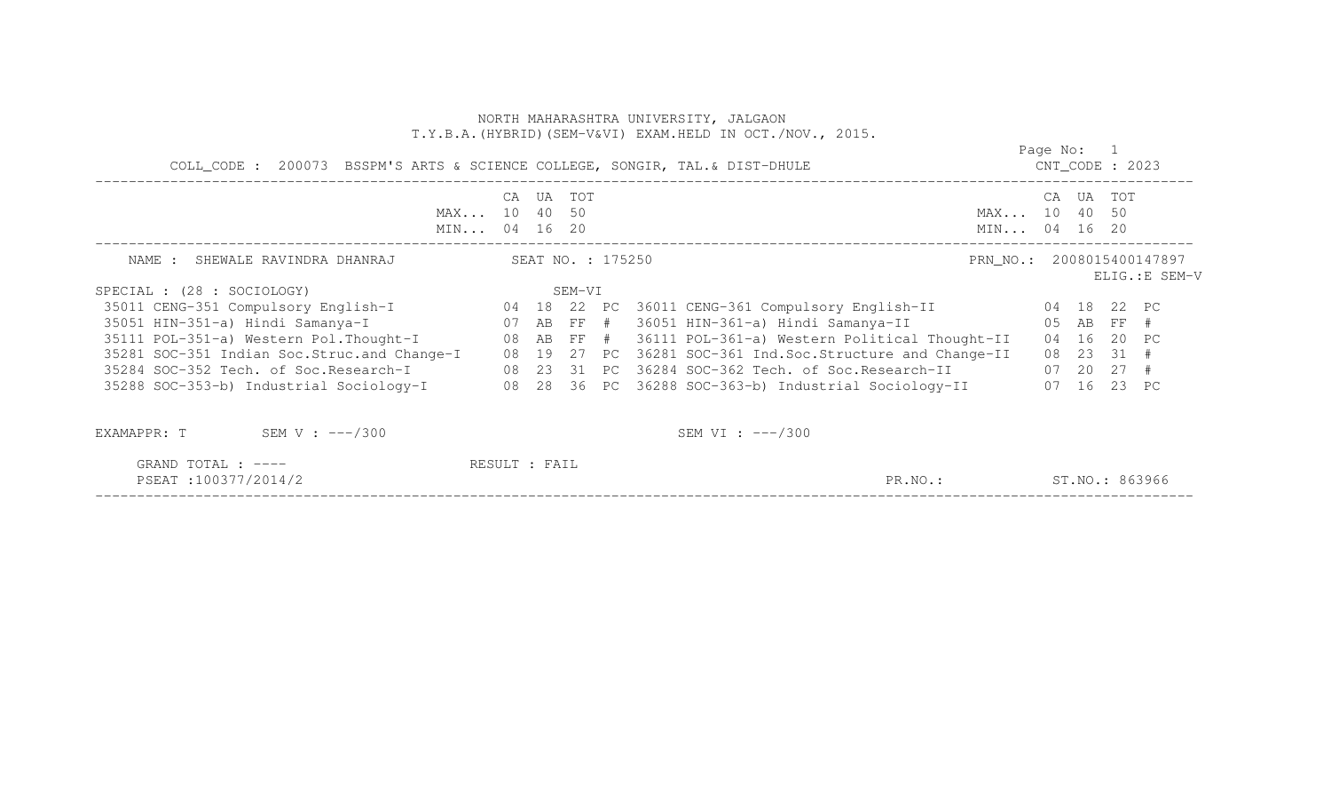|                                                                                                          |               |                   | NORTH MAHARASHTRA UNIVERSITY, JALGAON<br>T.Y.B.A. (HYBRID) (SEM-V&VI) EXAM.HELD IN OCT./NOV., 2015. |                              |            |             |                |
|----------------------------------------------------------------------------------------------------------|---------------|-------------------|-----------------------------------------------------------------------------------------------------|------------------------------|------------|-------------|----------------|
| COLL_CODE : 200073 BSSPM'S ARTS & SCIENCE COLLEGE, SONGIR, TAL. & DIST-DHULE                             |               |                   |                                                                                                     | $CNT\_CODE$ : 2023           | Page No: 1 |             |                |
| MAX 10 40 50<br>MIN 04 16 20                                                                             |               | CA UA TOT         |                                                                                                     | MAX 10 40 50<br>MIN 04 16 20 |            | CA UA TOT   |                |
| NAME : SHEWALE RAVINDRA DHANRAJ                                                                          |               | SEAT NO. : 175250 |                                                                                                     | PRN NO.: 2008015400147897    |            |             | ELIG.: E SEM-V |
| SPECIAL : (28 : SOCIOLOGY)                                                                               |               | SEM-VI            |                                                                                                     |                              |            |             |                |
| 35011 CENG-351 Compulsory English-I 04 18 22 PC 36011 CENG-361 Compulsory English-II 04 18 22 PC         |               |                   |                                                                                                     |                              |            |             |                |
| 35051 HIN-351-a) Hindi Samanya-I (07 AB FF # 36051 HIN-361-a) Hindi Samanya-II (05 AB FF #               |               |                   |                                                                                                     |                              |            |             |                |
| 35111 POL-351-a) Western Pol.Thought-I 08 AB FF # 36111 POL-361-a) Western Political Thought-II          |               |                   |                                                                                                     |                              |            | 04 16 20 PC |                |
| 35281 SOC-351 Indian Soc.Struc.and Change-I 08 19 27 PC 36281 SOC-361 Ind.Soc.Structure and Change-II    |               |                   |                                                                                                     |                              |            | 08 23 31 #  |                |
| 35284 SOC-352 Tech. of Soc.Research-I 08 23 31 PC 36284 SOC-362 Tech. of Soc.Research-II 07 20 27 #      |               |                   |                                                                                                     |                              |            |             |                |
| 35288 SOC-353-b) Industrial Sociology-I 08 28 36 PC 36288 SOC-363-b) Industrial Sociology-II 07 16 23 PC |               |                   |                                                                                                     |                              |            |             |                |
| EXAMAPPR: $T$ SEM V: $---/300$                                                                           |               |                   | SEM VI : $---/300$                                                                                  |                              |            |             |                |
| GRAND TOTAL : ----                                                                                       | RESULT : FAIL |                   |                                                                                                     |                              |            |             |                |

PSEAT :100377/2014/2 PR.NO.: ST.NO.: 863966 ------------------------------------------------------------------------------------------------------------------------------------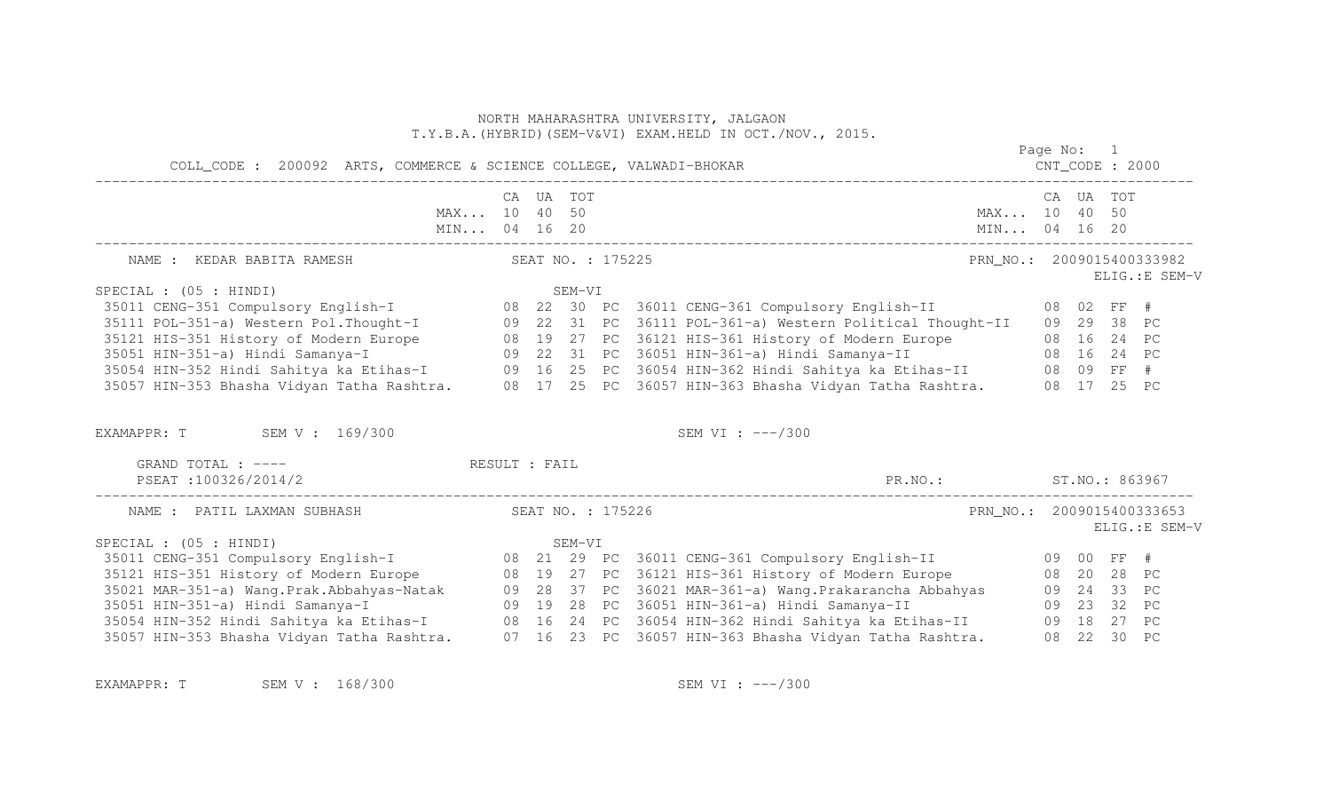|                                                                                                                                                                                                                                      |  |                   | NORTH MAHARASHTRA UNIVERSITY, JALGAON<br>T.Y.B.A. (HYBRID) (SEM-V&VI) EXAM. HELD IN OCT./NOV., 2015. |                           |            |                |
|--------------------------------------------------------------------------------------------------------------------------------------------------------------------------------------------------------------------------------------|--|-------------------|------------------------------------------------------------------------------------------------------|---------------------------|------------|----------------|
| COLL_CODE : 200092 ARTS, COMMERCE & SCIENCE COLLEGE, VALWADI-BHOKAR                                                                                                                                                                  |  |                   |                                                                                                      |                           | Page No: 1 |                |
| MAX 10 40 50<br>MIN 04 16 20                                                                                                                                                                                                         |  | CA UA TOT         | MIN 04 16 20                                                                                         | MAX 10 40 50              | CA UA TOT  |                |
| NAME : KEDAR BABITA RAMESH                                                                                                                                                                                                           |  | SEAT NO. : 175225 |                                                                                                      | PRN_NO.: 2009015400333982 |            | ELIG.: E SEM-V |
| SPECIAL : $(05 : HINDI)$                                                                                                                                                                                                             |  | SEM-VI            |                                                                                                      |                           |            |                |
|                                                                                                                                                                                                                                      |  |                   |                                                                                                      |                           |            |                |
|                                                                                                                                                                                                                                      |  |                   |                                                                                                      |                           |            |                |
|                                                                                                                                                                                                                                      |  |                   |                                                                                                      |                           |            |                |
|                                                                                                                                                                                                                                      |  |                   |                                                                                                      |                           |            |                |
| 35121 HIS-351 History of Modern Europe<br>35051 HIN-351-a) Hindi Samanya-I 09 22 31 PC 36121 HIS-361 History of Modern Europe 08 16 24 PC<br>35054 HIN-352 Hindi Samanya-I 09 22 31 PC 36051 HIN-361-a) Hindi Samanya-II 08 16 24 PC |  |                   |                                                                                                      |                           |            |                |
| EXAMAPPR: T SEM V: 169/300                                                                                                                                                                                                           |  |                   | SEM VI : $---/300$                                                                                   |                           |            |                |
| GRAND TOTAL : ----<br>RESULT : FAIL                                                                                                                                                                                                  |  |                   |                                                                                                      |                           |            |                |
| PSEAT:100326/2014/2                                                                                                                                                                                                                  |  |                   | PR.NO.: ST.NO.: 863967                                                                               |                           |            |                |
| NAME : PATIL LAXMAN SUBHASH                                                                                                                                                                                                          |  | SEAT NO. : 175226 |                                                                                                      | PRN_NO.: 2009015400333653 |            | ELIG.: E SEM-V |
| SPECIAL : (05 : HINDI)                                                                                                                                                                                                               |  | SEM-VI            |                                                                                                      |                           |            |                |
|                                                                                                                                                                                                                                      |  |                   |                                                                                                      |                           |            |                |
|                                                                                                                                                                                                                                      |  |                   |                                                                                                      |                           |            |                |
| 35021 MAR-351-a) Wang.Prak.Abbahyas-Natak 09 28 37 PC 36021 MAR-361-a) Wang.Prakarancha Abbahyas 09 24 33 PC<br>35051 HIN-351-a) Hindi Samanya-I (09 19 28 PC 36051 HIN-361-a) Hindi Samanya-II                                      |  |                   |                                                                                                      | 09 23 32 PC               |            |                |
| 35054 HIN-352 Hindi Sahitya ka Etihas-I (8 16 24 PC 36054 HIN-362 Hindi Sahitya ka Etihas-II (8 18 27 PC                                                                                                                             |  |                   |                                                                                                      |                           |            |                |
| 35057 HIN-353 Bhasha Vidyan Tatha Rashtra. 07 16 23 PC 36057 HIN-363 Bhasha Vidyan Tatha Rashtra. 08 22 30 PC                                                                                                                        |  |                   |                                                                                                      |                           |            |                |

EXAMAPPR: T SEM V: 168/300 SEM SEM VI: ---/300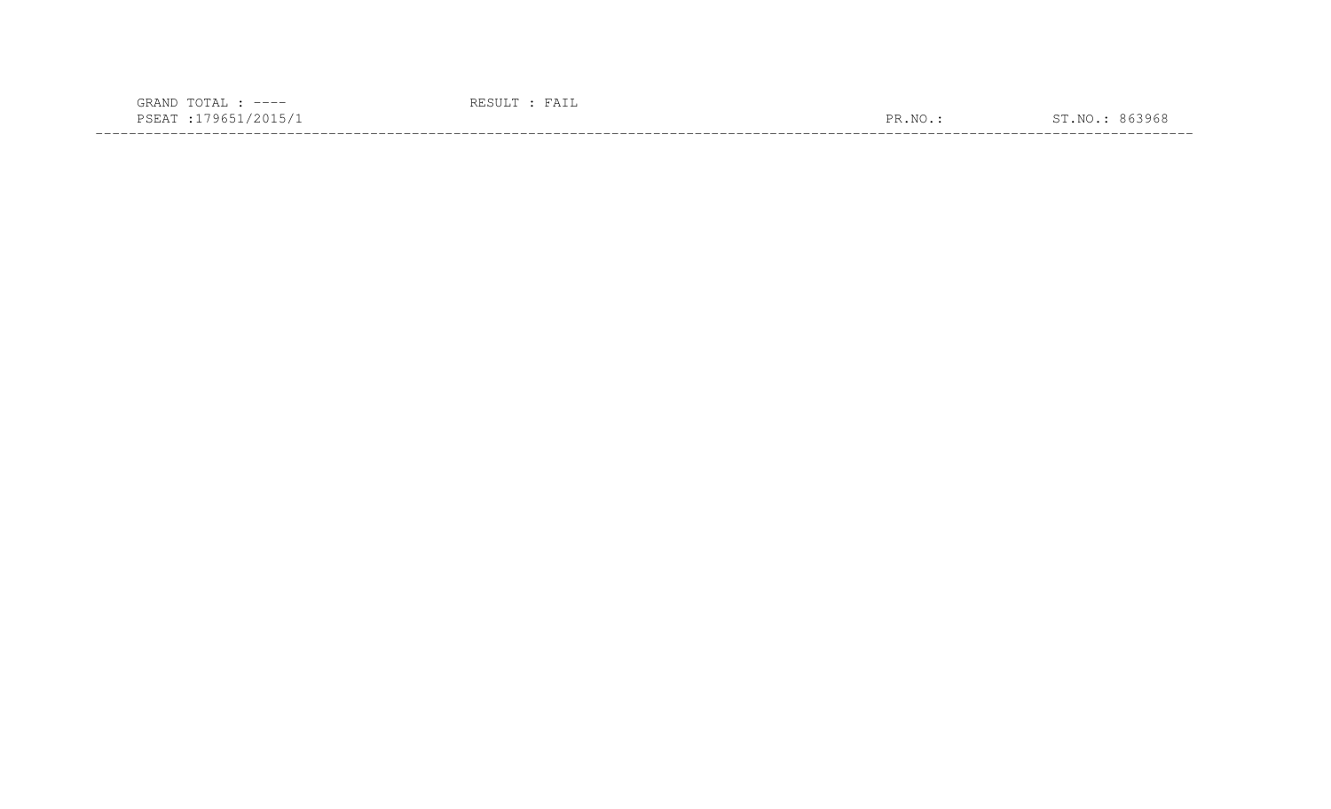| $---$<br>$\sqrt{ }$                                                                                                                     |           |       |
|-----------------------------------------------------------------------------------------------------------------------------------------|-----------|-------|
| <b>U</b> h<br>بمتلات<br>the contract of the contract of the contract of the contract of the contract of the contract of the contract of | NTC<br>םת | 1965. |
|                                                                                                                                         |           |       |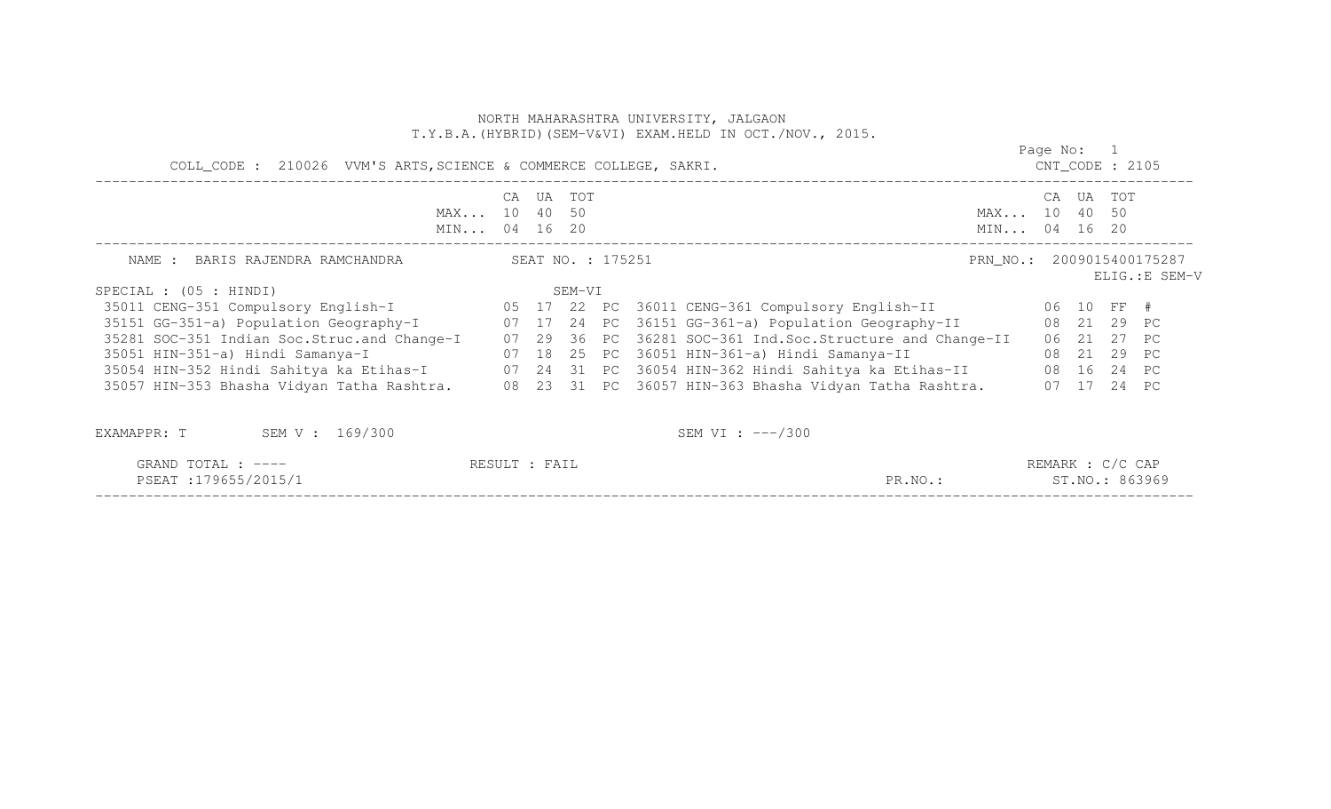|                                                                                                            |       |        |                   | NORTH MAHARASHTRA UNIVERSITY, JALGAON<br>T.Y.B.A. (HYBRID) (SEM-V&VI) EXAM.HELD IN OCT./NOV., 2015. |                              |            |       |                    |                |
|------------------------------------------------------------------------------------------------------------|-------|--------|-------------------|-----------------------------------------------------------------------------------------------------|------------------------------|------------|-------|--------------------|----------------|
| COLL_CODE : 210026 VVM'S ARTS, SCIENCE & COMMERCE COLLEGE, SAKRI.                                          |       |        |                   |                                                                                                     |                              | Page No: 1 |       | $CNT\_CODE$ : 2105 |                |
| MAX 10 40 50<br>MIN 04 16 20                                                                               | CA UA | TOT    |                   |                                                                                                     | MAX 10 40 50<br>MIN 04 16 20 | CA UA      |       | <b>TOT</b>         |                |
| NAME : BARIS RAJENDRA RAMCHANDRA                                                                           |       |        | SEAT NO. : 175251 |                                                                                                     | PRN NO.: 2009015400175287    |            |       |                    | ELIG.: E SEM-V |
| SPECIAL : $(05 : HINDI)$                                                                                   |       | SEM-VI |                   |                                                                                                     |                              |            |       |                    |                |
| 35011 CENG-351 Compulsory English-I 05 17 22 PC 36011 CENG-361 Compulsory English-II 06 10 FF #            |       |        |                   |                                                                                                     |                              |            |       |                    |                |
|                                                                                                            |       |        |                   |                                                                                                     |                              |            |       | 08  21  29  PC     |                |
| 35281 SOC-351 Indian Soc.Struc.and Change-I                                                                |       |        |                   | 07 29 36 PC 36281 SOC-361 Ind.Soc.Structure and Change-II                                           |                              |            |       | 06 21 27 PC        |                |
| 35051 HIN-351-a) Hindi Samanya-I                                                                           |       |        |                   | 07 18 25 PC 36051 HIN-361-a) Hindi Samanya-II                                                       |                              |            |       | 08  21  29  PC     |                |
| 35054 HIN-352 Hindi Sahitya ka Etihas-I           07  24  31  PC  36054 HIN-362 Hindi Sahitya ka Etihas-II |       |        |                   |                                                                                                     |                              |            |       | 08  16  24  PC     |                |
| 35057 HIN-353 Bhasha Vidyan Tatha Rashtra. 08 23 31 PC 36057 HIN-363 Bhasha Vidyan Tatha Rashtra.          |       |        |                   |                                                                                                     |                              |            | 07 17 | 24 PC              |                |
| EXAMAPPR: T<br>SEM V : 169/300                                                                             |       |        |                   | SEM VI : $---/300$                                                                                  |                              |            |       |                    |                |

| TOTAL<br>GRAND<br>.                                                                                               | 'All<br>くヒコリ        |             | REMARK<br>'C CAP     |
|-------------------------------------------------------------------------------------------------------------------|---------------------|-------------|----------------------|
| 179655/2015/1<br>PSEAT<br>. .<br>,我们也不会有什么。""我们的人,我们也不会有什么?""我们的人,我们也不会有什么?""我们的人,我们也不会有什么?""我们的人,我们也不会有什么?""我们的人 |                     | PR<br>R.NO. | 863969<br>. NO       |
| ___________________                                                                                               | ___________________ | ________    | ____________________ |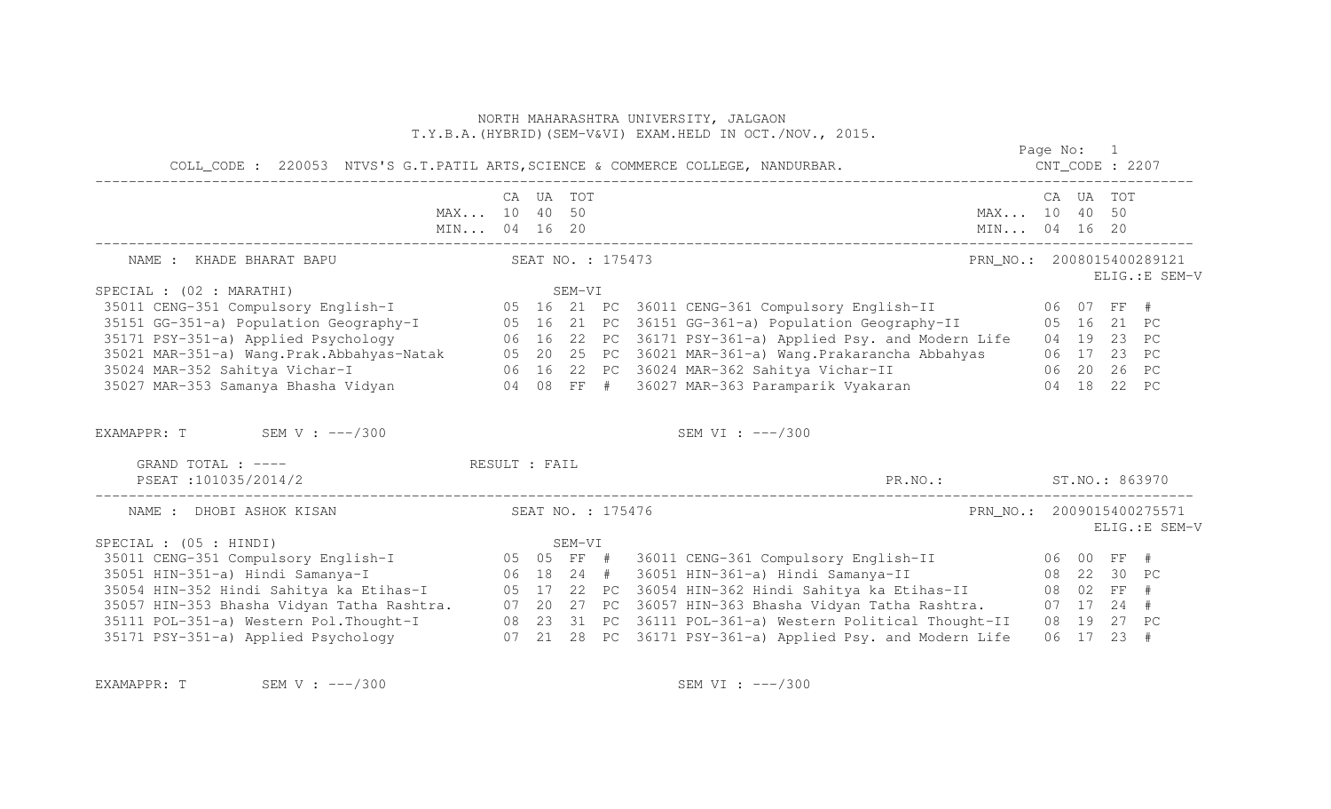|                                                                                                                                                                                                                                      |                   |        | NORTH MAHARASHTRA UNIVERSITY, JALGAON<br>T.Y.B.A. (HYBRID) (SEM-V&VI) EXAM.HELD IN OCT./NOV., 2015. |                                  |  |                |                |
|--------------------------------------------------------------------------------------------------------------------------------------------------------------------------------------------------------------------------------------|-------------------|--------|-----------------------------------------------------------------------------------------------------|----------------------------------|--|----------------|----------------|
|                                                                                                                                                                                                                                      |                   |        | COLL_CODE : 220053 NTVS'S G.T.PATIL ARTS, SCIENCE & COMMERCE COLLEGE, NANDURBAR.                    | Page No: 1<br>$CNT\_CODE$ : 2207 |  |                |                |
| MAX 10 40 50<br>MIN 04 16 20                                                                                                                                                                                                         | CA UA TOT         |        |                                                                                                     | MAX 10 40 50<br>MIN 04 16 20     |  | CA UA TOT      |                |
| NAME : KHADE BHARAT BAPU                                                                                                                                                                                                             | SEAT NO. : 175473 |        |                                                                                                     | PRN NO.: 2008015400289121        |  |                | ELIG.: E SEM-V |
| SPECIAL : (02 : MARATHI)                                                                                                                                                                                                             |                   | SEM-VI |                                                                                                     |                                  |  |                |                |
| 35011 CENG-351 Compulsory English-I 05 16 21 PC 36011 CENG-361 Compulsory English-II 06 07 FF #                                                                                                                                      |                   |        |                                                                                                     |                                  |  |                |                |
|                                                                                                                                                                                                                                      |                   |        |                                                                                                     |                                  |  |                |                |
| 35151 GG-351-a) Population Geography-I 05 16 21 PC 36151 GG-361-a) Population Geography-II 05 16 21 PC<br>35171 PSY-351-a) Applied Psychology 06 16 22 PC 36171 PSY-361-a) Applied Psy. and Modern Life 04 19 23 PC<br>35021 MAR-351 |                   |        |                                                                                                     |                                  |  |                |                |
|                                                                                                                                                                                                                                      |                   |        |                                                                                                     |                                  |  |                |                |
| 35024 MAR-352 Sahitya Vichar-I (26 06 16 22 PC 36024 MAR-362 Sahitya Vichar-II (26 20 26 PC                                                                                                                                          |                   |        |                                                                                                     |                                  |  |                |                |
| 35027 MAR-353 Samanya Bhasha Vidyan 60 04 08 FF # 36027 MAR-363 Paramparik Vyakaran 604 18 22 PC                                                                                                                                     |                   |        |                                                                                                     |                                  |  |                |                |
| EXAMAPPR: T SEM V : $---/300$                                                                                                                                                                                                        |                   |        | SEM VI : ---/300                                                                                    |                                  |  |                |                |
| GRAND TOTAL : ---- The RESULT : FAIL                                                                                                                                                                                                 |                   |        |                                                                                                     |                                  |  |                |                |
| PSEAT : 101035/2014/2                                                                                                                                                                                                                |                   |        | PR.NO.: ST.NO.: 863970                                                                              |                                  |  |                |                |
| NAME : DHOBI ASHOK KISAN                                                                                                                                                                                                             | SEAT NO. : 175476 |        |                                                                                                     | PRN NO.: 2009015400275571        |  |                | ELIG.: E SEM-V |
| SPECIAL : $(05 : HINDI)$                                                                                                                                                                                                             |                   | SEM-VI |                                                                                                     |                                  |  |                |                |
|                                                                                                                                                                                                                                      |                   |        |                                                                                                     |                                  |  |                |                |
|                                                                                                                                                                                                                                      |                   |        |                                                                                                     |                                  |  | 08  22  30  PC |                |
|                                                                                                                                                                                                                                      |                   |        |                                                                                                     |                                  |  |                |                |
|                                                                                                                                                                                                                                      |                   |        |                                                                                                     |                                  |  |                |                |
| 35111 POL-351-a) Western Pol. Thought-I (8 23 31 PC 36111 POL-361-a) Western Political Thought-II (8 19 27 PC                                                                                                                        |                   |        |                                                                                                     |                                  |  |                |                |
| 35171 PSY-351-a) Applied Psychology 67 21 28 PC 36171 PSY-361-a) Applied Psy. and Modern Life                                                                                                                                        |                   |        |                                                                                                     |                                  |  | 06 17 23 #     |                |

EXAMAPPR: T SEM V : ---/300 SEM VI : ---/300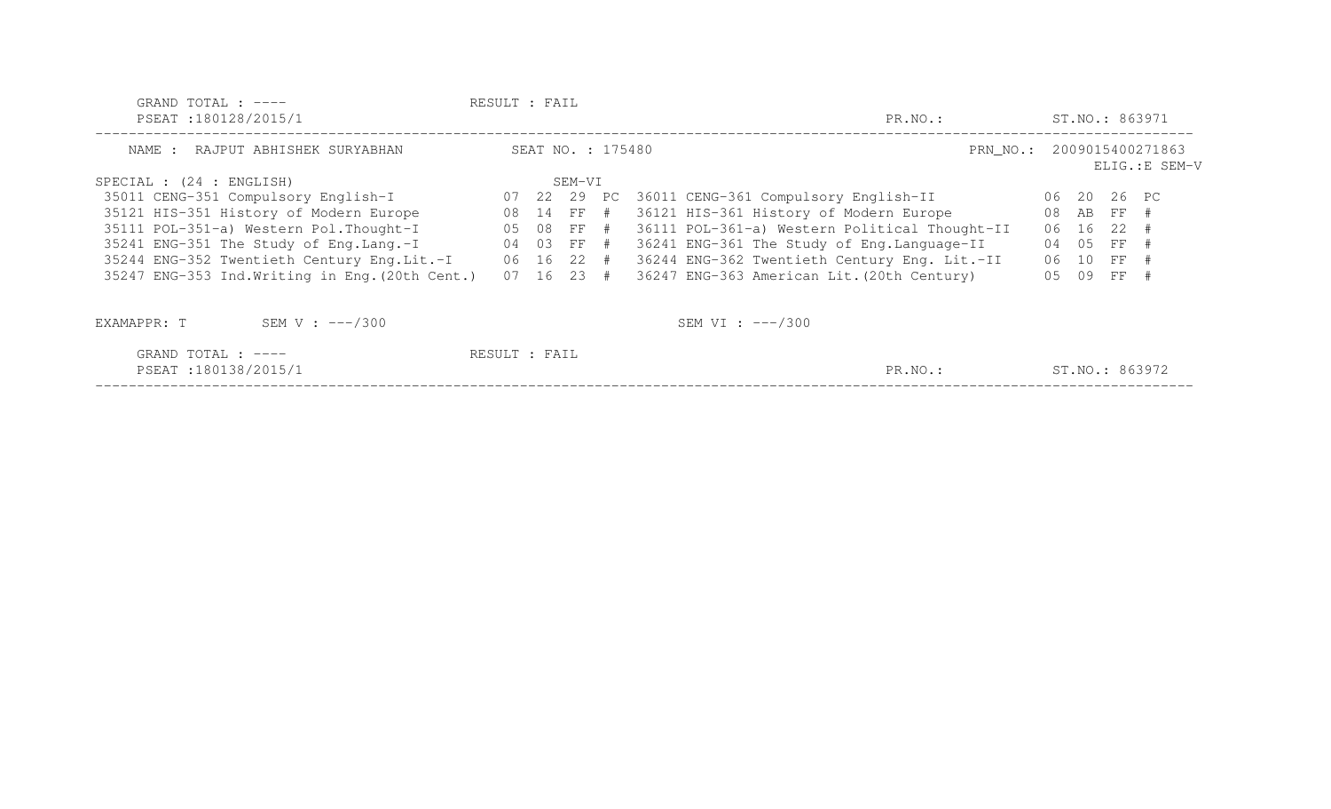| GRAND TOTAL : $---$<br>PSEAT:180128/2015/1            | RESULT : FAIL |                                                          |              |  | PR.NO.:                                       |                |     | ST.NO.: 863971 |                |
|-------------------------------------------------------|---------------|----------------------------------------------------------|--------------|--|-----------------------------------------------|----------------|-----|----------------|----------------|
| NAME : RAJPUT ABHISHEK SURYABHAN                      |               | SEAT NO. : 175480<br>PRN NO.: 2009015400271863<br>SEM-VI |              |  |                                               | ELIG.: E SEM-V |     |                |                |
| SPECIAL : (24 : ENGLISH)                              |               |                                                          |              |  |                                               |                |     |                |                |
| 35011 CENG-351 Compulsory English-I                   |               |                                                          | 07 22 29 PC  |  | 36011 CENG-361 Compulsory English-II          |                |     | 06 20 26 PC    |                |
| 35121 HIS-351 History of Modern Europe                |               |                                                          | 08 14 FF #   |  | 36121 HIS-361 History of Modern Europe        |                |     | 08 AB FF #     |                |
| 35111 POL-351-a) Western Pol. Thought-I               | 05 08 FF #    |                                                          |              |  | 36111 POL-361-a) Western Political Thought-II |                |     | 06 16 22 #     |                |
| 35241 ENG-351 The Study of Eng. Lang.-I               | 04 03 FF #    |                                                          |              |  | 36241 ENG-361 The Study of Eng. Language-II   |                | 04  | 05 FF #        |                |
| 35244 ENG-352 Twentieth Century Eng.Lit.-I 06 16 22 # |               |                                                          |              |  | 36244 ENG-362 Twentieth Century Eng. Lit.-II  |                |     | 06 10 FF #     |                |
| 35247 ENG-353 Ind. Writing in Eng. (20th Cent.)       |               |                                                          | $07$ 16 23 # |  | 36247 ENG-363 American Lit. (20th Century)    |                | 0.5 | 09 FF #        |                |
| SEM V : $---/300$<br>EXAMAPPR: T                      |               |                                                          |              |  | SEM VI : $---/300$                            |                |     |                |                |
| GRAND TOTAL : $---$<br>PSEAT:180138/2015/1            | RESULT : FAIL |                                                          |              |  | PR.NO.:                                       |                |     |                | ST.NO.: 863972 |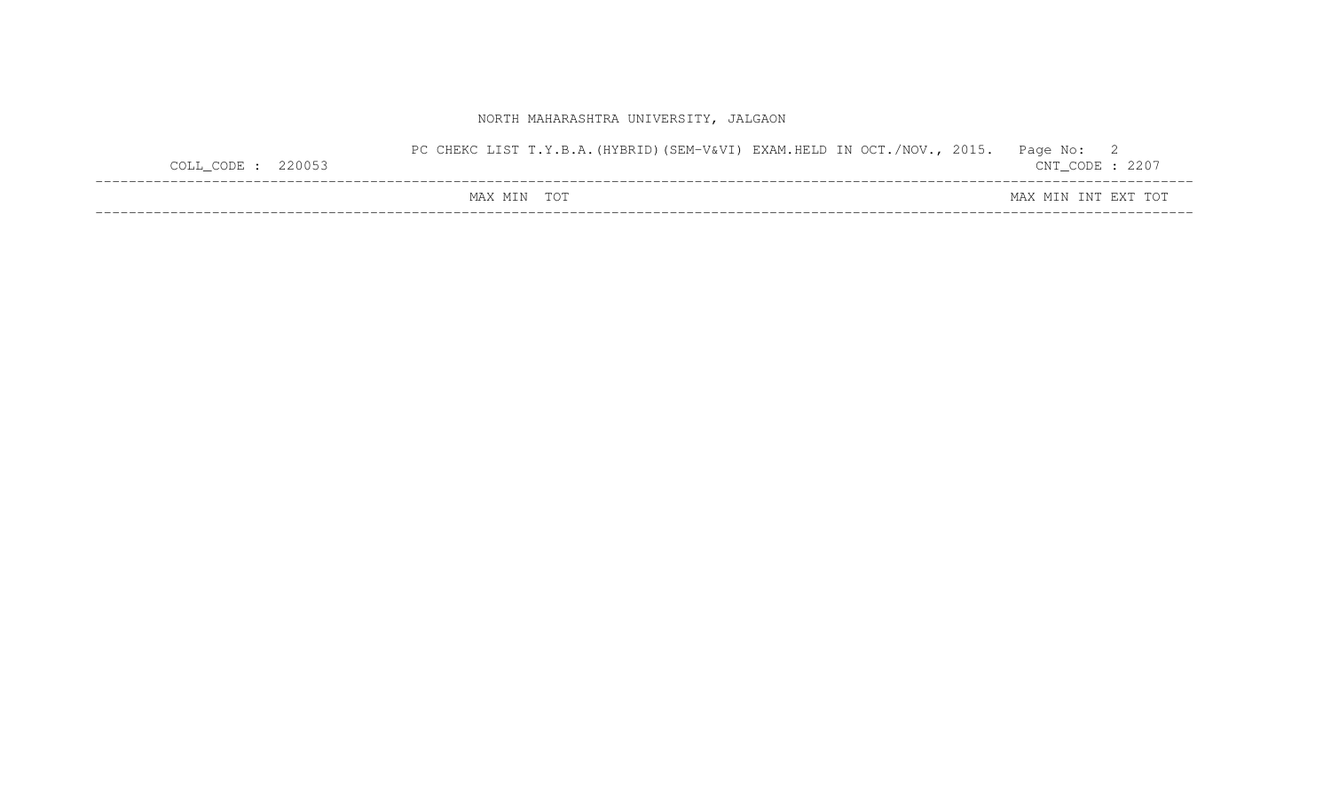| $COLL$ CODE : 220053 | LIST T.Y.B.A. (HYBRID) (SEM-V&VI) EXAM.HELD IN OCT./NOV., 2015.<br>PC CHEKC | Page No: 2<br>$CNT\_CODE$ : 2207 |
|----------------------|-----------------------------------------------------------------------------|----------------------------------|
|                      | MAX MIN TOT                                                                 | MAX MIN INT EXT TOT              |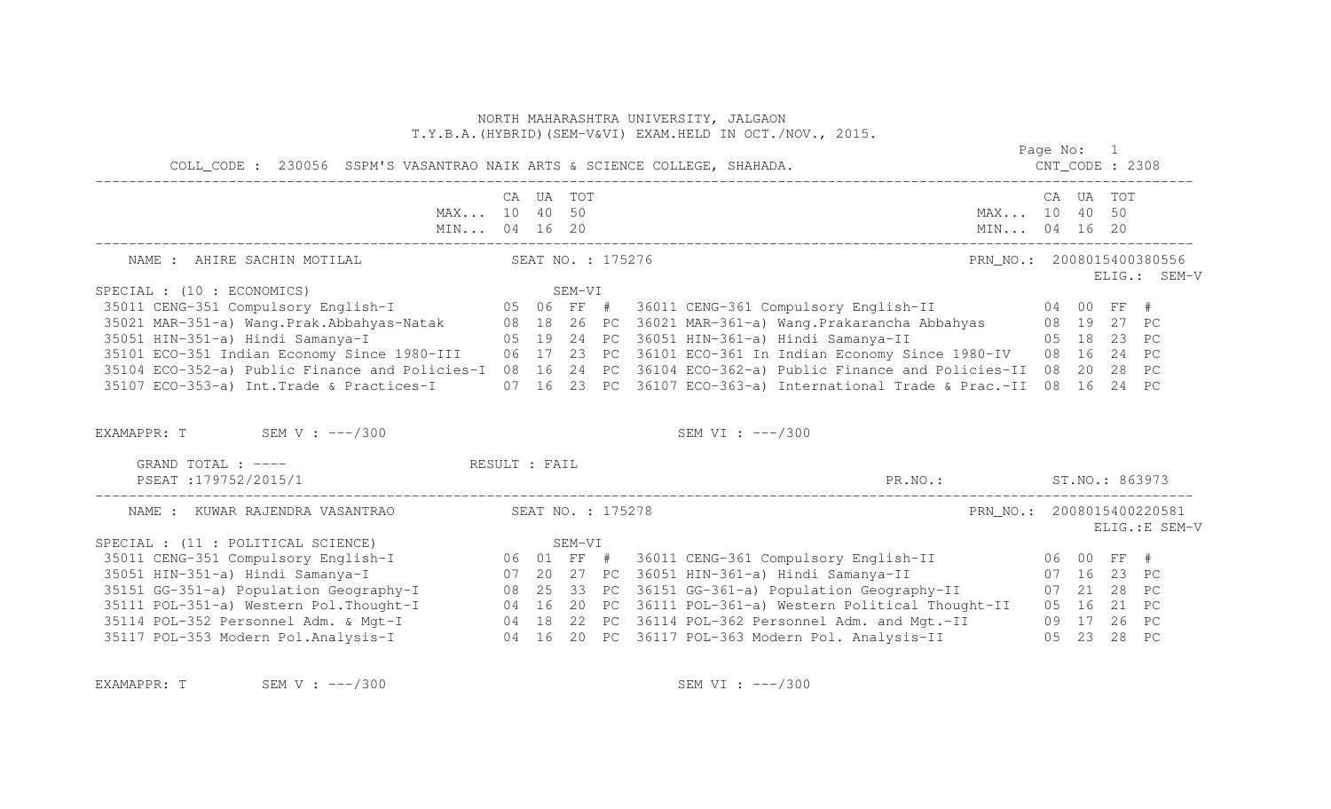|                                                                                                                                                                                                                                      |           |        |                   | NORTH MAHARASHTRA UNIVERSITY, JALGAON<br>T.Y.B.A. (HYBRID) (SEM-V&VI) EXAM. HELD IN OCT./NOV., 2015. |                           |           |                |
|--------------------------------------------------------------------------------------------------------------------------------------------------------------------------------------------------------------------------------------|-----------|--------|-------------------|------------------------------------------------------------------------------------------------------|---------------------------|-----------|----------------|
|                                                                                                                                                                                                                                      |           |        |                   |                                                                                                      | Page No: 1                |           |                |
| MAX 10 40 50<br>MIN 04 16 20                                                                                                                                                                                                         | CA UA TOT |        |                   | MIN 04 16 20                                                                                         | MAX 10 40 50              | CA UA TOT |                |
| NAME : AHIRE SACHIN MOTILAL                                                                                                                                                                                                          |           |        | SEAT NO. : 175276 |                                                                                                      | PRN NO.: 2008015400380556 |           | ELIG.: SEM-V   |
| SPECIAL : (10 : ECONOMICS)                                                                                                                                                                                                           |           | SEM-VI |                   |                                                                                                      |                           |           |                |
| r (10 : Economics)<br>35011 CENG-351 Compulsory English-I                    05  06  FF  #   36011 CENG-361 Compulsory English-II                           04  00  FF  #                                                            |           |        |                   |                                                                                                      |                           |           |                |
|                                                                                                                                                                                                                                      |           |        |                   |                                                                                                      |                           |           |                |
|                                                                                                                                                                                                                                      |           |        |                   |                                                                                                      |                           |           |                |
| 35021 MAR-351-a) Wang.Prak.Abbahyas-Natak (27 08 18 26 PC 36021 MAR-361-a) Wang.Prakarancha Abbahyas (28 19 27<br>35051 HIN-351-a) Hindi Samanya-I (28 19 24 PC 36051 HIN-361-a) Hindi Samanya-II (28 18 23 PC<br>35101 ECO-351 Indi |           |        |                   |                                                                                                      |                           |           |                |
| 35104 ECO-352-a) Public Finance and Policies-I 08 16 24 PC 36104 ECO-362-a) Public Finance and Policies-II 08 20 28 PC                                                                                                               |           |        |                   |                                                                                                      |                           |           |                |
| 35107 ECO-353-a) Int.Trade & Practices-I 07 16 23 PC 36107 ECO-363-a) International Trade & Prac.-II 08 16 24 PC                                                                                                                     |           |        |                   |                                                                                                      |                           |           |                |
| EXAMAPPR: $T$ SEM V : $---/300$                                                                                                                                                                                                      |           |        |                   | SEM VI : ---/300                                                                                     |                           |           |                |
| GRAND TOTAL : ----<br>RESULT : FAIL                                                                                                                                                                                                  |           |        |                   |                                                                                                      |                           |           |                |
| PSEAT :179752/2015/1                                                                                                                                                                                                                 |           |        |                   | PR.NO.: ST.NO.: 863973                                                                               |                           |           |                |
| NAME : KUWAR RAJENDRA VASANTRAO                                                                                                                                                                                                      |           |        | SEAT NO. : 175278 |                                                                                                      | PRN_NO.: 2008015400220581 |           | ELIG.: E SEM-V |
|                                                                                                                                                                                                                                      |           |        |                   |                                                                                                      |                           |           |                |
|                                                                                                                                                                                                                                      |           |        |                   |                                                                                                      |                           |           |                |
| 35051 HIN-351-a) Hindi Samanya-I (07 20 27 PC 36051 HIN-361-a) Hindi Samanya-II (07 16 23 PC                                                                                                                                         |           |        |                   |                                                                                                      |                           |           |                |
| 35151 GG-351-a) Population Geography-I 08 25 33 PC 36151 GG-361-a) Population Geography-II 07 21 28 PC                                                                                                                               |           |        |                   |                                                                                                      |                           |           |                |
|                                                                                                                                                                                                                                      |           |        |                   |                                                                                                      |                           |           |                |
|                                                                                                                                                                                                                                      |           |        |                   |                                                                                                      |                           |           |                |
| 35111 POL-351-a) Western Pol.Thought-I 04 16 20 PC 36111 POL-361-a) Western Political Thought-II 05 16 21 PC<br>35114 POL-352 Personnel Adm. & Mgt-I 04 18 22 PC 36114 POL-362 Personnel Adm. and Mgt.-II 09 17 26 PC<br>35117 POL-3 |           |        |                   |                                                                                                      |                           |           |                |

EXAMAPPR: T SEM V : ---/300 SEM VI : ---/300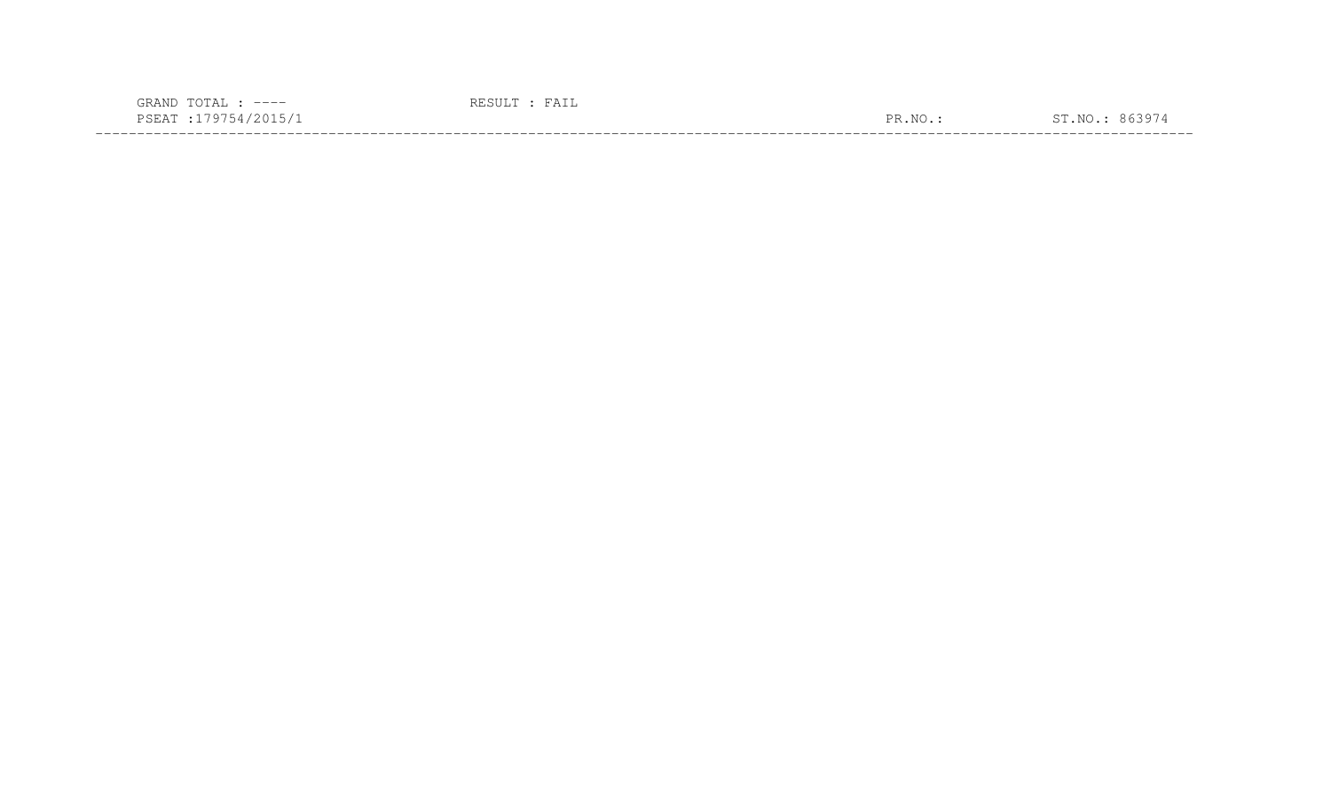| $---$                                                                                                                     |                      |  |
|---------------------------------------------------------------------------------------------------------------------------|----------------------|--|
| ممتلات<br>the contract of the contract of the contract of the contract of the contract of the contract of the contract of | $\overline{N}$<br>םת |  |
|                                                                                                                           |                      |  |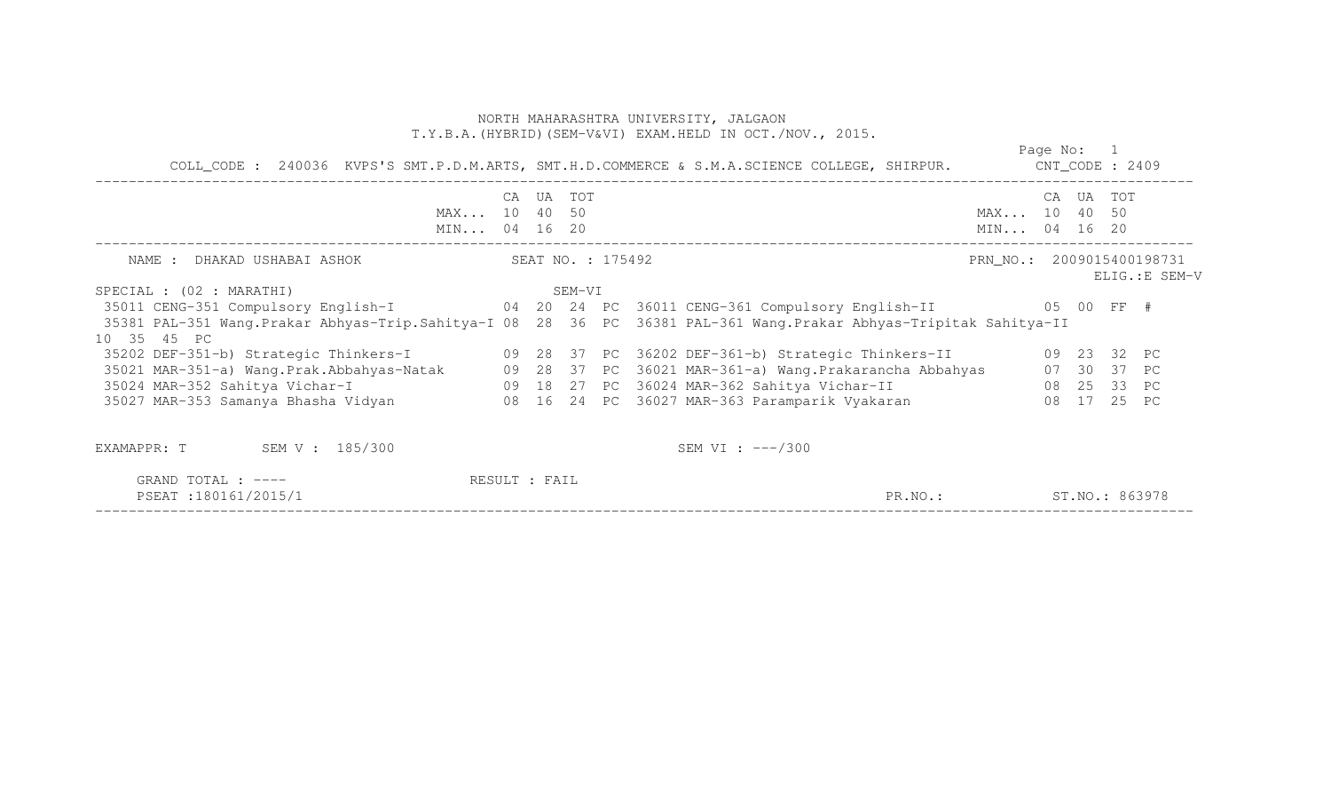| COLL_CODE: 240036 KVPS'S SMT.P.D.M.ARTS, SMT.H.D.COMMERCE & S.M.A.SCIENCE COLLEGE, SHIRPUR. CNT_CODE: 2409                                                                                                        |  |           |                   |                        |                              | Page No: 1 |           |                |
|-------------------------------------------------------------------------------------------------------------------------------------------------------------------------------------------------------------------|--|-----------|-------------------|------------------------|------------------------------|------------|-----------|----------------|
| MAX 10 40 50<br>MIN 04 16 20                                                                                                                                                                                      |  | CA UA TOT |                   |                        | MAX 10 40 50<br>MIN 04 16 20 |            | CA UA TOT |                |
| NAME : DHAKAD USHABAI ASHOK                                                                                                                                                                                       |  |           | SEAT NO. : 175492 |                        | PRN_NO.: 2009015400198731    |            |           | ELIG.: E SEM-V |
| SEM-VI<br>SPECIAL : (02 : MARATHI)                                                                                                                                                                                |  |           |                   |                        |                              |            |           |                |
| 35011 CENG-351 Compulsory English-I   04   20   24   PC   36011 CENG-361 Compulsory English-II   05   00   FF #                                                                                                   |  |           |                   |                        |                              |            |           |                |
| 35381 PAL-351 Wang.Prakar Abhyas-Trip.Sahitya-I 08 28 36 PC 36381 PAL-361 Wang.Prakar Abhyas-Tripitak Sahitya-II<br>10 35 45 PC                                                                                   |  |           |                   |                        |                              |            |           |                |
| 35202 DEF-351-b) Strategic Thinkers-I (09 28 37 PC 36202 DEF-361-b) Strategic Thinkers-II (09 23 32 PC                                                                                                            |  |           |                   |                        |                              |            |           |                |
| 35021 MAR-351-a) Wang Prak Abbahyas-Natak (29 28 37 PC 36021 MAR-361-a) Wang Prakarancha Abbahyas (27 30 37 PC<br>35024 MAR-352 Sahitya Vichar-I (25 29 29 29 27 PC 36024 MAR-362 Sahitya Vichar-II (28 25 33 PC) |  |           |                   |                        |                              |            |           |                |
|                                                                                                                                                                                                                   |  |           |                   |                        |                              |            |           |                |
| 35027 MAR-353 Samanya Bhasha Vidyan 1980 16 24 PC 36027 MAR-363 Paramparik Vyakaran 1980 17 25 PC                                                                                                                 |  |           |                   |                        |                              |            |           |                |
| SEM V : 185/300<br>EXAMAPPR: T                                                                                                                                                                                    |  |           |                   | SEM VI : $---/300$     |                              |            |           |                |
| GRAND TOTAL : $---$<br>RESULT : FAIL<br>PSEAT: 180161/2015/1                                                                                                                                                      |  |           |                   | PR.NO.: ST.NO.: 863978 |                              |            |           |                |

PSEAT :180161/2015/1 PR.NO.: ST.NO.: 863978 ------------------------------------------------------------------------------------------------------------------------------------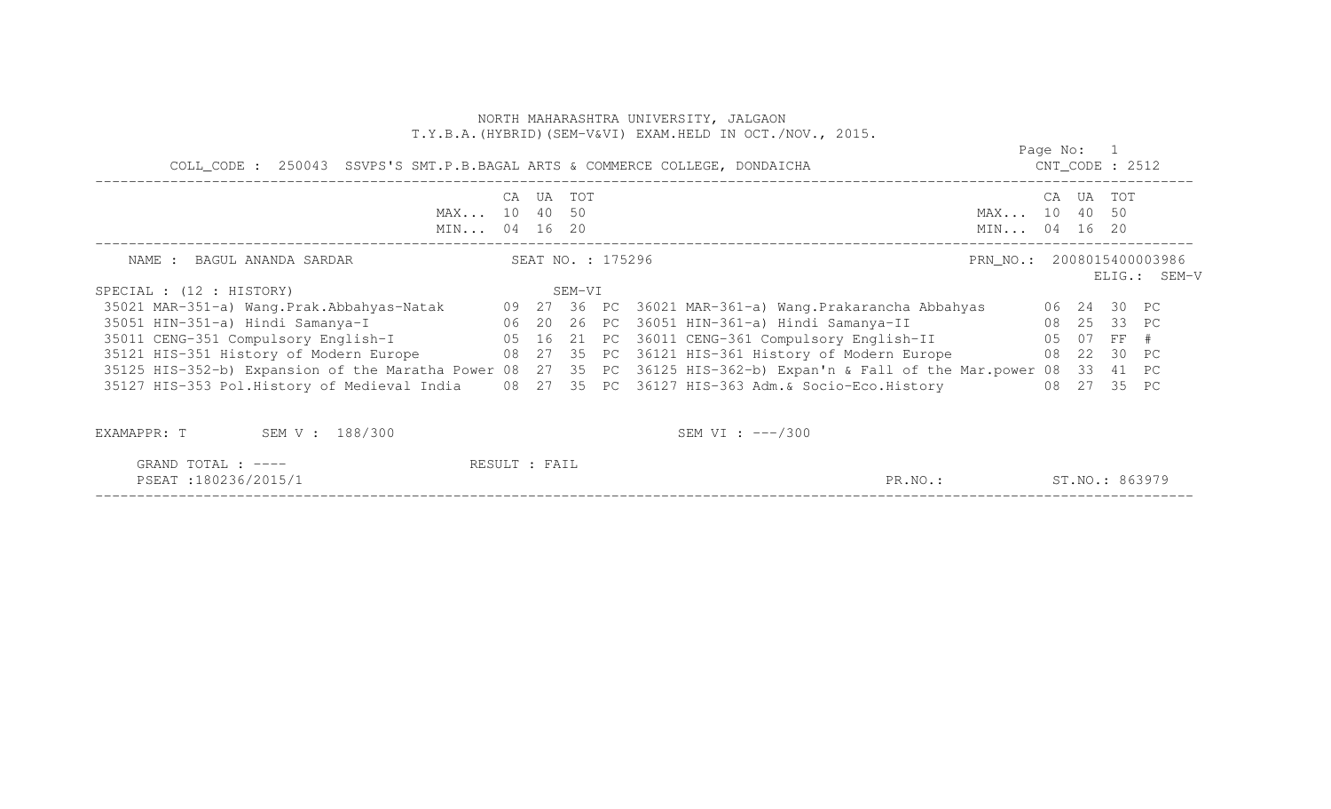|                                                                                                                          |  |           |                   | NORTH MAHARASHTRA UNIVERSITY, JALGAON<br>T.Y.B.A. (HYBRID) (SEM-V&VI) EXAM.HELD IN OCT./NOV., 2015. |                              |            |                    |              |
|--------------------------------------------------------------------------------------------------------------------------|--|-----------|-------------------|-----------------------------------------------------------------------------------------------------|------------------------------|------------|--------------------|--------------|
| COLL_CODE : 250043 SSVPS'S SMT.P.B.BAGAL ARTS & COMMERCE COLLEGE, DONDAICHA                                              |  |           |                   |                                                                                                     |                              | Page No: 1 | $CNT\_CODE$ : 2512 |              |
| MAX 10 40 50<br>MIN 04 16 20                                                                                             |  | CA UA TOT |                   |                                                                                                     | MAX 10 40 50<br>MIN 04 16 20 |            | CA UA TOT          |              |
| NAME : BAGUL ANANDA SARDAR                                                                                               |  |           | SEAT NO. : 175296 |                                                                                                     | PRN_NO.: 2008015400003986    |            |                    | ELIG.: SEM-V |
| SPECIAL : (12 : HISTORY)                                                                                                 |  | SEM-VI    |                   |                                                                                                     |                              |            |                    |              |
| 35021 MAR-351-a) Wang.Prak.Abbahyas-Natak 09 27 36 PC 36021 MAR-361-a) Wang.Prakarancha Abbahyas 06 24 30 PC             |  |           |                   |                                                                                                     |                              |            |                    |              |
| 35051 HIN-351-a) Hindi Samanya-I 1 1 06 20 26 PC 36051 HIN-361-a) Hindi Samanya-II                                       |  |           |                   |                                                                                                     | 08 25 33 PC                  |            |                    |              |
| 35011 CENG-351 Compulsory English-I 65 16 21 PC 36011 CENG-361 Compulsory English-II 65 07 FF #                          |  |           |                   |                                                                                                     |                              |            |                    |              |
| 35121 HIS-351 History of Modern Europe 68 27 35 PC 36121 HIS-361 History of Modern Europe 68 22 30 PC                    |  |           |                   |                                                                                                     |                              |            |                    |              |
| 35125 HIS-352-b) Expansion of the Maratha Power 08 27 35 PC 36125 HIS-362-b) Expan'n & Fall of the Mar.power 08 33 41 PC |  |           |                   |                                                                                                     |                              |            |                    |              |
| 35127 HIS-353 Pol.History of Medieval India 08 27 35 PC 36127 HIS-363 Adm.& Socio-Eco.History                            |  |           |                   |                                                                                                     |                              |            | 08 27 35 PC        |              |
| EXAMAPPR: T<br>SEM V : 188/300                                                                                           |  |           |                   | SEM VI : $---/300$                                                                                  |                              |            |                    |              |

| $m \wedge m \wedge \tau$<br>GRAND<br>LUIAL<br>$- - - -$                                                                                                                 | $   -$<br>$\sqrt{ }$<br>ິຕ⊥⊥ |                          |                                                  |
|-------------------------------------------------------------------------------------------------------------------------------------------------------------------------|------------------------------|--------------------------|--------------------------------------------------|
| PSEA.<br>$\sim$ $\sim$ 11<br>└ ─ ─ ─ ─ ─<br>$\cdots$<br>the contract of the contract of the contract of the contract of the contract of the contract of the contract of |                              | PR<br>$\mathcal{P}R.MO.$ | $\sim$ $\sim$<br>$\overline{N}$<br>なもろり<br>51.NU |
|                                                                                                                                                                         |                              |                          |                                                  |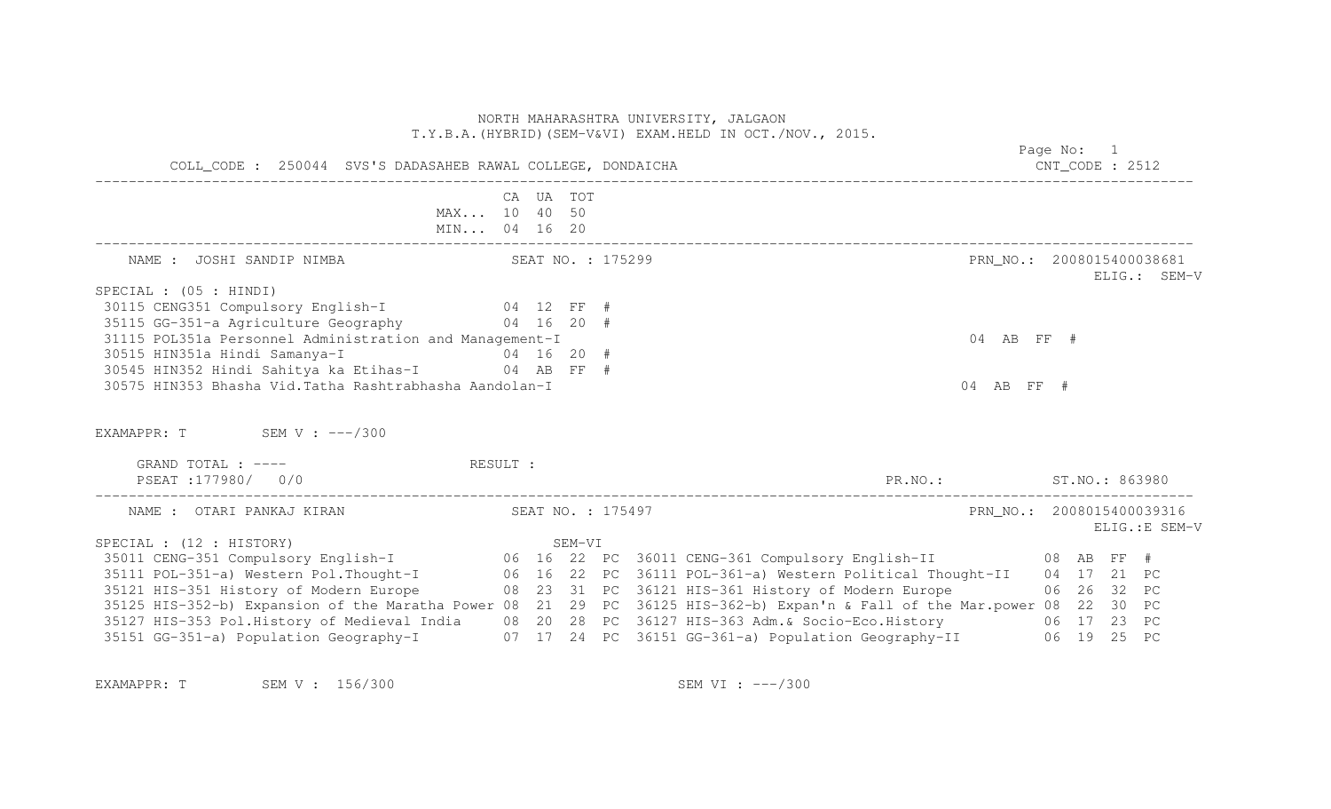|                                                                                                            | NORTH MAHARASHTRA UNIVERSITY, JALGAON<br>T.Y.B.A. (HYBRID) (SEM-V&VI) EXAM.HELD IN OCT./NOV., 2015.                                                                                                                                  |                                             |
|------------------------------------------------------------------------------------------------------------|--------------------------------------------------------------------------------------------------------------------------------------------------------------------------------------------------------------------------------------|---------------------------------------------|
| COLL_CODE : 250044 SVS'S DADASAHEB RAWAL COLLEGE, DONDAICHA                                                |                                                                                                                                                                                                                                      | Page No: 1<br>$CNT\_CODE$ : 2512            |
|                                                                                                            | CA UA TOT<br>MAX 10 40 50<br>MIN 04 16 20                                                                                                                                                                                            |                                             |
|                                                                                                            |                                                                                                                                                                                                                                      | PRN NO.: 2008015400038681<br>ELIG.: SEM-V   |
| SPECIAL : (05 : HINDI)                                                                                     |                                                                                                                                                                                                                                      |                                             |
| 30115 CENG351 Compulsory English-I 04 12 FF #                                                              |                                                                                                                                                                                                                                      |                                             |
| 35115 GG-351-a Agriculture Geography 64 16 20 #<br>31115 POL351a Personnel Administration and Management-I |                                                                                                                                                                                                                                      | 04 AB FF #                                  |
|                                                                                                            |                                                                                                                                                                                                                                      |                                             |
|                                                                                                            |                                                                                                                                                                                                                                      |                                             |
| 30575 HIN353 Bhasha Vid. Tatha Rashtrabhasha Aandolan-I                                                    |                                                                                                                                                                                                                                      | 04 AB FF #                                  |
| EXAMAPPR: T SEM V: ---/300                                                                                 |                                                                                                                                                                                                                                      |                                             |
| GRAND TOTAL : ----                                                                                         | RESULT :                                                                                                                                                                                                                             |                                             |
| PSEAT :177980/        0/0                                                                                  |                                                                                                                                                                                                                                      | PR.NO.: ST.NO.: 863980                      |
| NAME : OTARI PANKAJ KIRAN                                                                                  | SEAT NO. : 175497                                                                                                                                                                                                                    | PRN NO.: 2008015400039316<br>ELIG.: E SEM-V |
| SPECIAL : (12 : HISTORY)                                                                                   |                                                                                                                                                                                                                                      |                                             |
|                                                                                                            | SPECIAL : (12 : HISTORY)                 SEM-VI<br>35011 CENG-351 Compulsory English-I        06  16  22  PC  36011 CENG-361 Compulsory English-II        08  AB  FF  #<br>26  16  23  PC  36111 Pet-361-a)    Mestern Political Tho |                                             |
|                                                                                                            | 35111 POL-351-a) Western Pol. Thought-I 06 16 22 PC 36111 POL-361-a) Western Political Thought-II 04 17 21 PC                                                                                                                        |                                             |
|                                                                                                            | 35121 HIS-351 History of Modern Europe 68 23 31 PC 36121 HIS-361 History of Modern Europe 68 26 32 PC                                                                                                                                |                                             |
|                                                                                                            | 35125 HIS-352-b) Expansion of the Maratha Power 08 21 29 PC 36125 HIS-362-b) Expan'n & Fall of the Mar.power 08 22 30 PC                                                                                                             |                                             |
|                                                                                                            | 35127 HIS-353 Pol.History of Medieval India 08 20 28 PC 36127 HIS-363 Adm.& Socio-Eco.History 06 17 23 PC<br>35151 GG-351-a) Population Geography-I 07 17 24 PC 36151 GG-361-a) Population Geography-II 06 19 25 PC                  |                                             |

EXAMAPPR: T SEM V : 156/300 SEM SEM VI : ---/300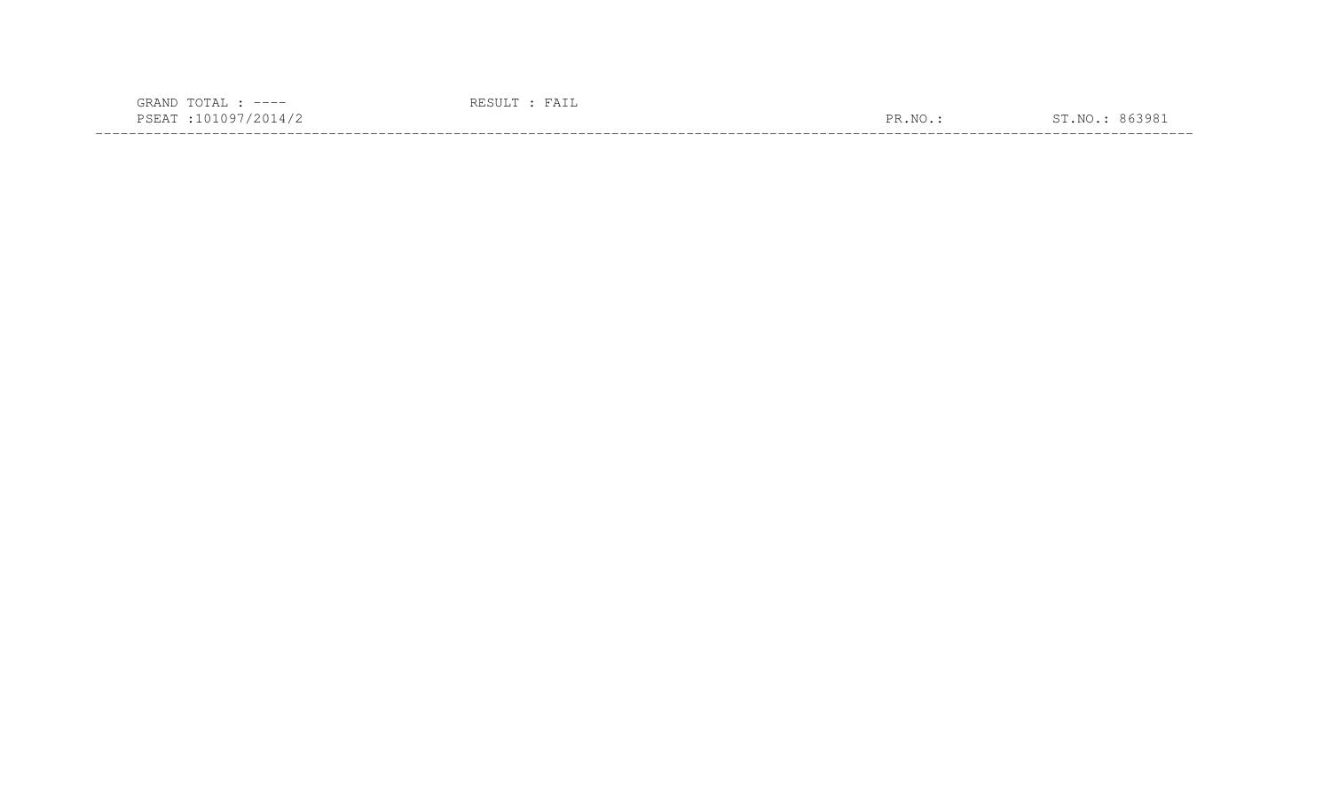| $---$                                                                                                           |                      |       |
|-----------------------------------------------------------------------------------------------------------------|----------------------|-------|
| the contract of the contract of the contract of the contract of the contract of the contract of the contract of | $\overline{N}$<br>םת | : 9 R |
|                                                                                                                 |                      |       |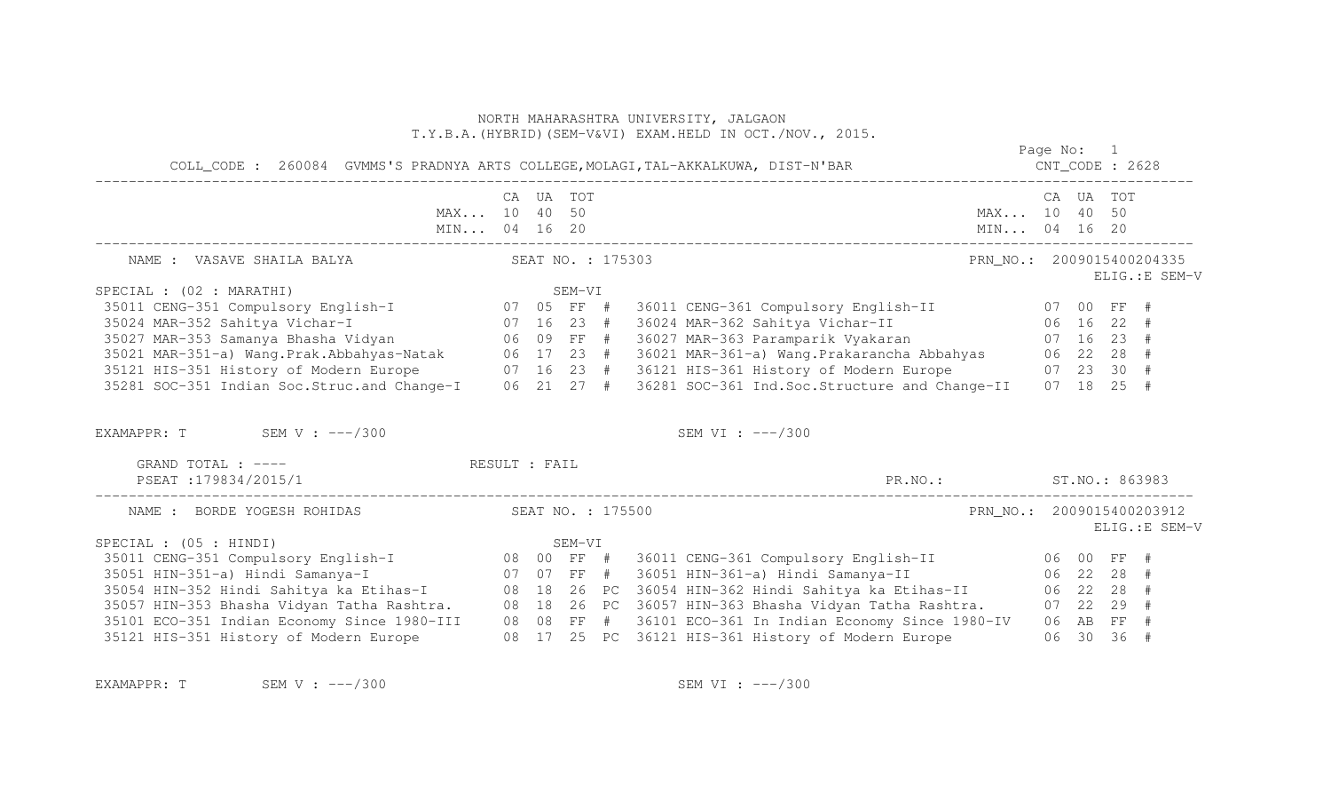|                                                                                                                                                                                                                                      |  |           |                   | COLL_CODE: 260084 GVMMS'S PRADNYA ARTS COLLEGE, MOLAGI, TAL-AKKALKUWA, DIST-N'BAR COLL_CODE: 2628 |                           | Page No: 1 |                |
|--------------------------------------------------------------------------------------------------------------------------------------------------------------------------------------------------------------------------------------|--|-----------|-------------------|---------------------------------------------------------------------------------------------------|---------------------------|------------|----------------|
| MAX 10 40 50                                                                                                                                                                                                                         |  | CA UA TOT |                   |                                                                                                   | MAX 10 40 50              | CA UA TOT  |                |
| NAME : VASAVE SHAILA BALYA                                                                                                                                                                                                           |  |           |                   | SEAT NO. : 175303                                                                                 | PRN NO.: 2009015400204335 |            | ELIG.: E SEM-V |
| SPECIAL : (02 : MARATHI)                                                                                                                                                                                                             |  |           |                   |                                                                                                   |                           |            |                |
|                                                                                                                                                                                                                                      |  |           |                   |                                                                                                   |                           |            |                |
|                                                                                                                                                                                                                                      |  |           |                   | 36011 CENG-361 Compulsory English-II 07 00 FF #<br>36024 MAR-362 Sahitya Vichar-II 06 16 22 #     |                           |            |                |
| SPECIAL : (02 : MARATHI) SEM-VI<br>35011 CENG-351 Compulsory English-I 07 05 FF #<br>35024 MAR-352 Sahitya Vichar-I 07 16 23 #<br>35027 MAR-353 Samanya Bhasha Vidyan 06 09 FF #                                                     |  |           |                   | 36027 MAR-363 Paramparik Vyakaran (1988) 07 16 23 #                                               |                           |            |                |
| 35021 MAR-351-a) Wang.Prak.Abbahyas-Natak 06 17 23 # 36021 MAR-361-a) Wang.Prakarancha Abbahyas 06 22 28 #<br>35121 HIS-351 History of Modern Europe 07 16 23 # 36121 HIS-361 History of Modern Europe 07 23 30 #<br>35281 SOC-351 I |  |           |                   |                                                                                                   |                           |            |                |
|                                                                                                                                                                                                                                      |  |           |                   |                                                                                                   |                           |            |                |
|                                                                                                                                                                                                                                      |  |           |                   |                                                                                                   |                           |            |                |
| EXAMAPPR: T SEM V : $---/300$                                                                                                                                                                                                        |  |           |                   | SEM VI : $---/300$                                                                                |                           |            |                |
| GRAND TOTAL : ---- RESULT : FAIL<br>PSEAT : 179834/2015/1                                                                                                                                                                            |  |           |                   | PR.NO.: ST.NO.: 863983                                                                            |                           |            |                |
| NAME : BORDE YOGESH ROHIDAS                                                                                                                                                                                                          |  |           | SEAT NO. : 175500 |                                                                                                   | PRN_NO.: 2009015400203912 |            | ELIG.: E SEM-V |
| SPECIAL : $(05 : HINDI)$                                                                                                                                                                                                             |  |           |                   |                                                                                                   |                           |            |                |
|                                                                                                                                                                                                                                      |  |           |                   |                                                                                                   |                           |            |                |
|                                                                                                                                                                                                                                      |  |           |                   |                                                                                                   |                           |            |                |
|                                                                                                                                                                                                                                      |  |           |                   |                                                                                                   |                           |            |                |
| 35057 HIN-353 Bhasha Vidyan Tatha Rashtra. 08 18 26 PC 36057 HIN-363 Bhasha Vidyan Tatha Rashtra. 07 22 29 #                                                                                                                         |  |           |                   |                                                                                                   |                           |            |                |
| 35101 ECO-351 Indian Economy Since 1980-III 08 08 FF # 36101 ECO-361 In Indian Economy Since 1980-IV 06 AB FF #                                                                                                                      |  |           |                   |                                                                                                   |                           |            |                |
| 35121 HIS-351 History of Modern Europe 68 17 25 PC 36121 HIS-361 History of Modern Europe 66 30 36 #                                                                                                                                 |  |           |                   |                                                                                                   |                           |            |                |

EXAMAPPR: T SEM V : ---/300 SEM VI : ---/300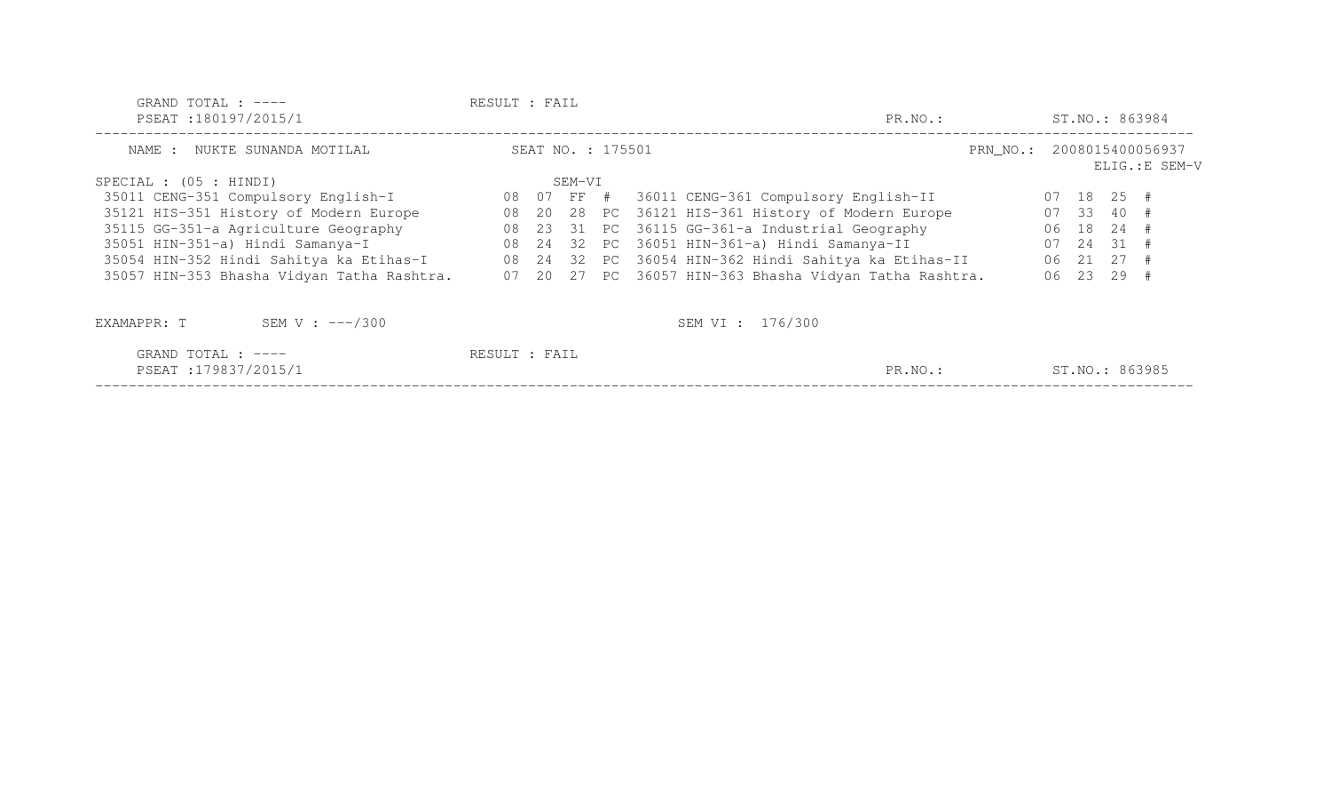| GRAND TOTAL : $---$<br>PSEAT:180197/2015/1 | RESULT : FAIL |                   |  | PR.NO.:                                                |                           |  |              | ST.NO.: 863984 |
|--------------------------------------------|---------------|-------------------|--|--------------------------------------------------------|---------------------------|--|--------------|----------------|
| NAME : NUKTE SUNANDA MOTILAL               |               | SEAT NO. : 175501 |  |                                                        | PRN NO.: 2008015400056937 |  |              | ELIG.: E SEM-V |
| SPECIAL : $(05 : HINDI)$                   |               | SEM-VI            |  |                                                        |                           |  |              |                |
| 35011 CENG-351 Compulsory English-I        | 08 07 FF #    |                   |  | 36011 CENG-361 Compulsory English-II                   |                           |  | $07$ 18 25 # |                |
| 35121 HIS-351 History of Modern Europe     | 08            |                   |  | 20 28 PC 36121 HIS-361 History of Modern Europe        |                           |  | $07$ 33 40 # |                |
| 35115 GG-351-a Agriculture Geography       |               |                   |  | 08 23 31 PC 36115 GG-361-a Industrial Geography        |                           |  | 06 18 24 #   |                |
| 35051 HIN-351-a) Hindi Samanya-I           |               |                   |  | 08 24 32 PC 36051 HIN-361-a) Hindi Samanya-II          |                           |  | $07$ 24 31 # |                |
| 35054 HIN-352 Hindi Sahitya ka Etihas-I    |               |                   |  | 08 24 32 PC 36054 HIN-362 Hindi Sahitya ka Etihas-II   |                           |  | 06 21 27 #   |                |
| 35057 HIN-353 Bhasha Vidyan Tatha Rashtra. |               |                   |  | 07 20 27 PC 36057 HIN-363 Bhasha Vidyan Tatha Rashtra. |                           |  | 06 23 29 #   |                |
| SEM V : $---/300$<br>EXAMAPPR: T           |               |                   |  | SEM VI : 176/300                                       |                           |  |              |                |
| GRAND TOTAL : $---$<br>PSEAT:179837/2015/1 | RESULT : FAIL |                   |  | PR.NO.:                                                |                           |  |              | ST.NO.: 863985 |